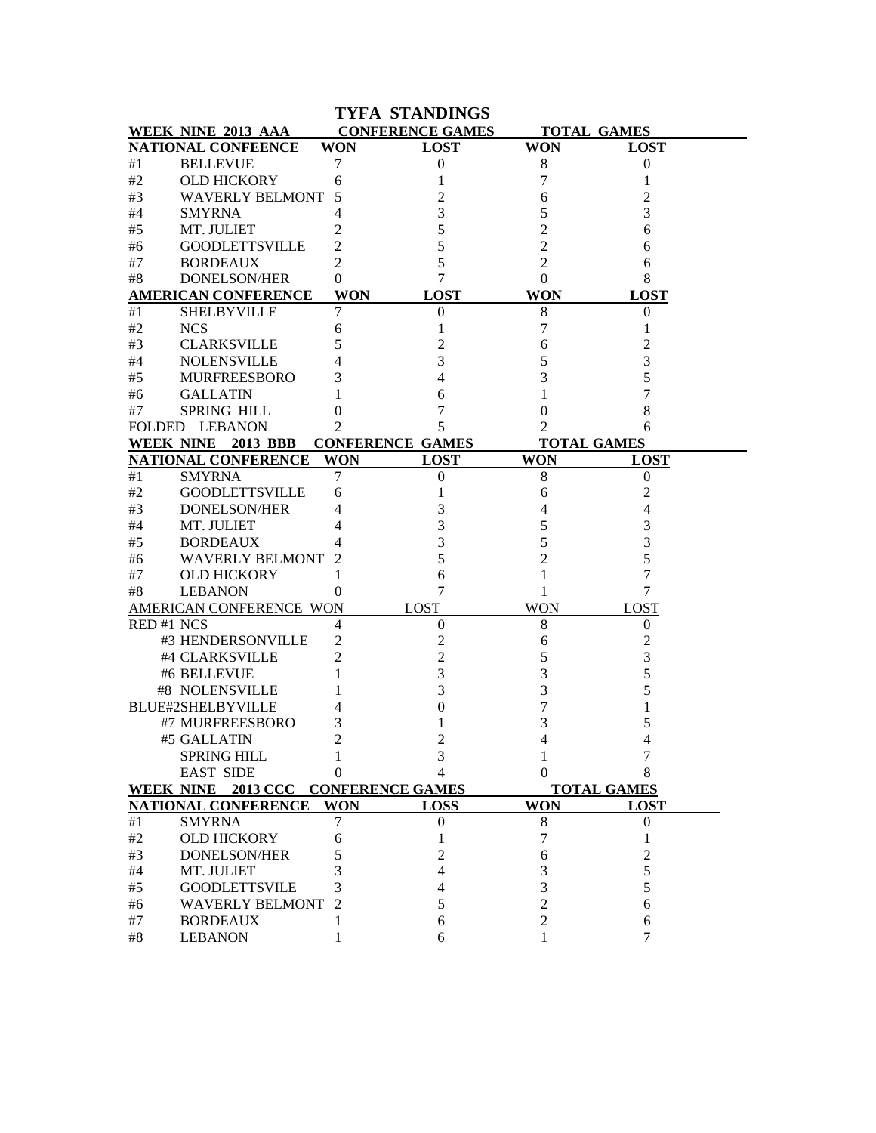|           |                                     |                 | <b>TYFA STANDINGS</b>   |            |                    |
|-----------|-------------------------------------|-----------------|-------------------------|------------|--------------------|
|           | WEEK NINE 2013 AAA                  |                 | <b>CONFERENCE GAMES</b> |            | <b>TOTAL GAMES</b> |
|           | <b>NATIONAL CONFEENCE</b>           | <b>WON</b>      | <b>LOST</b>             | <b>WON</b> | <b>LOST</b>        |
| #1        | <b>BELLEVUE</b>                     | 7               | 0                       | 8          | $\overline{0}$     |
| #2        | <b>OLD HICKORY</b>                  | 6               | 1                       | 7          | 1                  |
| #3        | <b>WAVERLY BELMONT</b>              | 5               | 2                       | 6          | 2                  |
| #4        | <b>SMYRNA</b>                       | 4               | 3                       |            |                    |
| #5        | MT. JULIET                          | 2               | 5                       |            | 6                  |
| #6        | <b>GOODLETTSVILLE</b>               | 2               | 5                       | 2          | 6                  |
| #7        | <b>BORDEAUX</b>                     | 2               | 5                       | 2          | 6                  |
| #8        | <b>DONELSON/HER</b>                 | 0               | 7                       | $\theta$   | 8                  |
|           | <b>AMERICAN CONFERENCE</b>          | <b>WON</b>      | <b>LOST</b>             | <b>WON</b> | <b>LOST</b>        |
| #1        | <b>SHELBYVILLE</b>                  | 7               | 0                       | 8          | $\Omega$           |
| #2        | <b>NCS</b>                          | 6               |                         | 7          |                    |
| #3        | <b>CLARKSVILLE</b>                  | 5               | 2                       | 6          |                    |
| #4        | <b>NOLENSVILLE</b>                  | 4               | 3                       |            |                    |
| #5        | <b>MURFREESBORO</b>                 | 3               |                         |            |                    |
| #6        | <b>GALLATIN</b>                     |                 | 6                       |            |                    |
| #7        | <b>SPRING HILL</b>                  | 0               |                         |            |                    |
|           | <b>FOLDED LEBANON</b>               | $\mathfrak{D}$  | 5                       |            |                    |
|           | <b>WEEK NINE</b><br>2013 BBB        |                 | <b>CONFERENCE GAMES</b> |            | <b>TOTAL GAMES</b> |
|           | <b>NATIONAL CONFERENCE</b>          | <b>WON</b>      | <b>LOST</b>             | <b>WON</b> | <b>LOST</b>        |
| #1        | <b>SMYRNA</b>                       | 7               | 0                       | 8          | $\theta$           |
| #2        | <b>GOODLETTSVILLE</b>               | 6               |                         | 6          | 2                  |
| #3        | <b>DONELSON/HER</b>                 | 4               | 3                       |            |                    |
| #4        | MT. JULIET                          | 4               | 3                       | 5          |                    |
| #5        | <b>BORDEAUX</b>                     |                 | 3                       |            |                    |
| #6        | <b>WAVERLY BELMONT</b>              | 2               | 5                       |            |                    |
| #7        | <b>OLD HICKORY</b>                  | 1               | 6                       |            |                    |
| #8        | <b>LEBANON</b>                      | $\theta$        | 7                       | 1          | 7                  |
|           | AMERICAN CONFERENCE WON             |                 | LOST                    | <b>WON</b> | <b>LOST</b>        |
| RED#1 NCS |                                     | 4               | $\boldsymbol{0}$        | 8          | 0                  |
|           | #3 HENDERSONVILLE                   | 2               | 2                       | 6          | 2                  |
|           | #4 CLARKSVILLE                      | 2               | 2                       | 5          | 3                  |
|           | #6 BELLEVUE                         |                 | 3                       | 3          |                    |
|           | #8 NOLENSVILLE                      |                 | 3                       | 3          |                    |
|           | BLUE#2SHELBYVILLE                   |                 | 0                       |            |                    |
|           | #7 MURFREESBORO                     | 3               |                         | 3          | 5                  |
|           | #5 GALLATIN                         | ◠               |                         |            |                    |
|           | <b>SPRING HILL</b>                  |                 | 3                       |            | 4                  |
|           | <b>EAST SIDE</b>                    | $\theta$        | 4                       | 0          |                    |
|           |                                     |                 |                         |            |                    |
|           | WEEK NINE 2013 CCC CONFERENCE GAMES |                 |                         |            | <b>TOTAL GAMES</b> |
|           | <b>NATIONAL CONFERENCE</b>          | <b>WON</b><br>7 | <b>LOSS</b>             | <b>WON</b> | <b>LOST</b>        |
| #1        | <b>SMYRNA</b>                       |                 | $\boldsymbol{0}$        | 8          | $\mathbf{0}$       |
| $\#2$     | <b>OLD HICKORY</b>                  | 6               |                         | 7          |                    |
| #3        | DONELSON/HER                        | 5               | 2                       | 6          | 2                  |
| #4        | MT. JULIET                          | 3               | 4                       | 3          | 5                  |
| #5        | <b>GOODLETTSVILE</b>                | 3               | 4                       | 3          | 5                  |
| #6        | <b>WAVERLY BELMONT</b>              |                 | 5                       |            | 6                  |
| #7        | <b>BORDEAUX</b>                     |                 | 6                       | 2          | 6                  |
| $\#8$     | <b>LEBANON</b>                      |                 | 6                       |            | 7                  |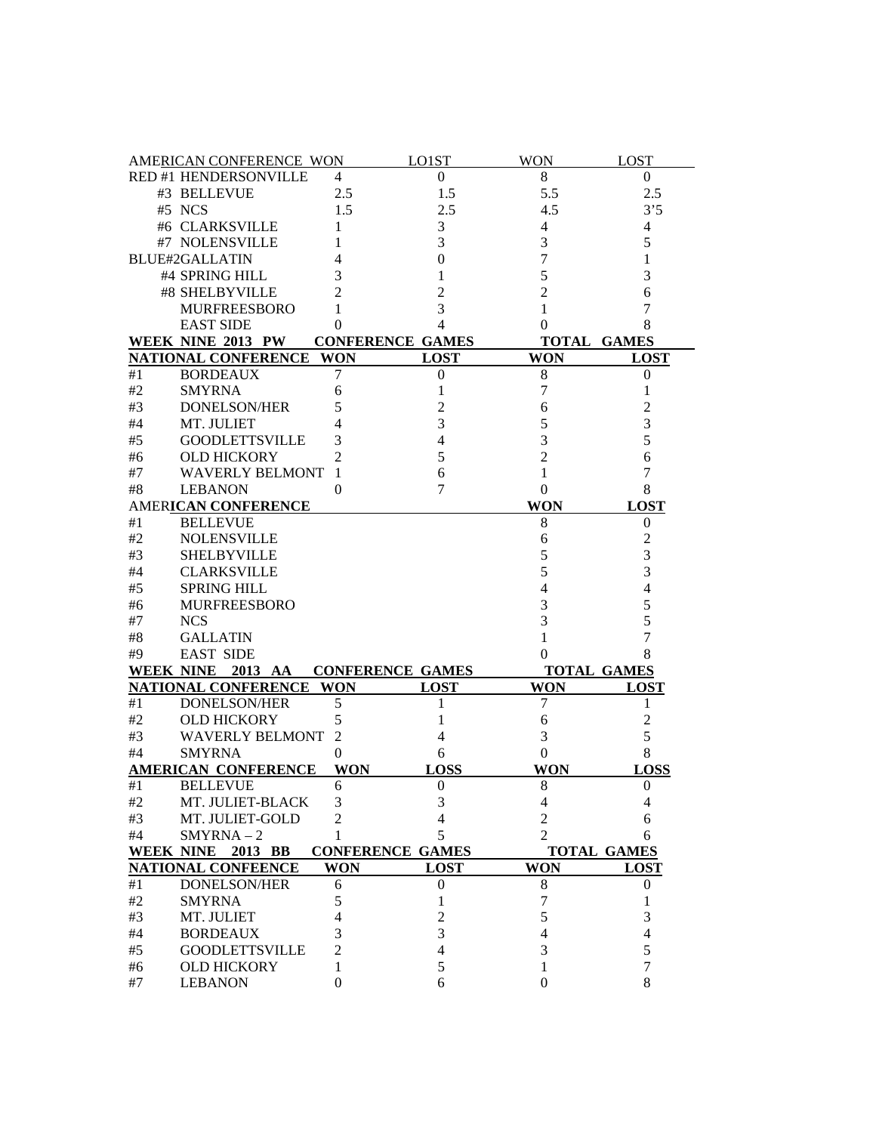|          | AMERICAN CONFERENCE WON                     |                | LO1ST                   | <b>WON</b>       | <b>LOST</b>        |
|----------|---------------------------------------------|----------------|-------------------------|------------------|--------------------|
|          | RED #1 HENDERSONVILLE                       | $\overline{4}$ | $\mathbf{0}$            | 8                | $\overline{0}$     |
|          | #3 BELLEVUE                                 | 2.5            | 1.5                     | 5.5              | 2.5                |
|          | #5 NCS                                      | 1.5            | 2.5                     | 4.5              | 3'5                |
|          | #6 CLARKSVILLE                              | 1              | 3                       | 4                | 4                  |
|          | #7 NOLENSVILLE                              | 1              | 3                       | 3                | 5                  |
|          | <b>BLUE#2GALLATIN</b>                       | 4              | $\overline{0}$          | 7                | 1                  |
|          | #4 SPRING HILL                              | 3              | 1                       | 5                | 3                  |
|          | #8 SHELBYVILLE                              | 2              | $\overline{c}$          | $\overline{2}$   | 6                  |
|          | <b>MURFREESBORO</b>                         | 1              | 3                       | $\mathbf{1}$     | 7                  |
|          | <b>EAST SIDE</b>                            | $\theta$       | $\overline{4}$          | 0                | 8                  |
|          | WEEK NINE 2013 PW                           |                | <b>CONFERENCE GAMES</b> |                  | <b>TOTAL GAMES</b> |
|          | NATIONAL CONFERENCE WON                     |                | <b>LOST</b>             | <b>WON</b>       | <b>LOST</b>        |
| #1       | <b>BORDEAUX</b>                             | 7              | $\boldsymbol{0}$        | 8                | $\boldsymbol{0}$   |
| #2       | <b>SMYRNA</b>                               | 6              | 1                       | 7                | 1                  |
| #3       | <b>DONELSON/HER</b>                         | 5              | 2                       | 6                | $\overline{2}$     |
| #4       | MT. JULIET                                  | 4              | 3                       | 5                | 3                  |
|          |                                             |                | $\overline{4}$          |                  | 5                  |
| #5       | <b>GOODLETTSVILLE</b>                       | 3              | 5                       | 3                |                    |
| #6       | <b>OLD HICKORY</b>                          | 2              |                         | $\overline{2}$   | 6                  |
| #7       | <b>WAVERLY BELMONT</b>                      | 1              | 6                       | 1                | 7                  |
| #8       | <b>LEBANON</b>                              | $\mathbf{0}$   | 7                       | $\boldsymbol{0}$ | 8                  |
|          | AMERICAN CONFERENCE                         |                |                         | <b>WON</b>       | <b>LOST</b>        |
| #1       | <b>BELLEVUE</b>                             |                |                         | 8                | $\boldsymbol{0}$   |
| #2       | <b>NOLENSVILLE</b>                          |                |                         | 6                | $\overline{c}$     |
| #3       | <b>SHELBYVILLE</b>                          |                |                         | 5                | 3                  |
| #4       | <b>CLARKSVILLE</b>                          |                |                         | 5                | 3                  |
| #5       | <b>SPRING HILL</b>                          |                |                         | $\overline{4}$   | $\overline{4}$     |
| #6       | <b>MURFREESBORO</b>                         |                |                         | 3                | 5                  |
| #7       | <b>NCS</b>                                  |                |                         | 3                | 5                  |
| #8       | <b>GALLATIN</b>                             |                |                         | 1                | 7                  |
| #9       | <b>EAST SIDE</b>                            |                |                         | 0                | 8                  |
|          | WEEK NINE 2013 AA                           |                | <b>CONFERENCE GAMES</b> |                  | <b>TOTAL GAMES</b> |
|          | <b>NATIONAL CONFERENCE</b>                  | <b>WON</b>     | <b>LOST</b>             | <b>WON</b>       | <b>LOST</b>        |
| #1       | <b>DONELSON/HER</b>                         | 5              | 1                       | 7                | 1                  |
| #2       | <b>OLD HICKORY</b>                          | 5              | 1                       | 6                | $\mathfrak{2}$     |
| #3       | <b>WAVERLY BELMONT</b>                      | 2              | 4                       | 3                | 5                  |
| #4       | <b>SMYRNA</b>                               | $\Omega$       | 6                       | $\mathbf{0}$     | 8                  |
|          | <b>AMERICAN CONFERENCE</b>                  | <b>WON</b>     | <b>LOSS</b>             | <b>WON</b>       | <b>LOSS</b>        |
| #1       | <b>BELLEVUE</b>                             | 6              | $\boldsymbol{0}$        | 8                | $\boldsymbol{0}$   |
| #2       | MT. JULIET-BLACK                            | 3              | 3                       | 4                | 4                  |
| #3       | MT. JULIET-GOLD                             | 2              | 4                       | 2                | 6                  |
| #4       | $SMYRNA-2$                                  | 1              | 5                       | 2                | 6                  |
|          | WEEK NINE 2013 BB                           |                | <b>CONFERENCE GAMES</b> |                  | <b>TOTAL GAMES</b> |
|          | <b>NATIONAL CONFEENCE</b>                   | <b>WON</b>     | <b>LOST</b>             | <b>WON</b>       | <b>LOST</b>        |
| #1       | DONELSON/HER                                | 6              | $\boldsymbol{0}$        | 8                | $\boldsymbol{0}$   |
| #2       | <b>SMYRNA</b>                               | 5              | 1                       | 7                | 1                  |
| #3       | MT. JULIET                                  | 4              | $\overline{c}$          | 5                | 3                  |
|          |                                             |                |                         |                  |                    |
|          |                                             |                |                         |                  |                    |
| #4       | <b>BORDEAUX</b>                             | 3              | 3                       | 4                | $\overline{4}$     |
| #5<br>#6 | <b>GOODLETTSVILLE</b><br><b>OLD HICKORY</b> | 2<br>1         | $\overline{4}$<br>5     | 3<br>1           | 5<br>$\tau$        |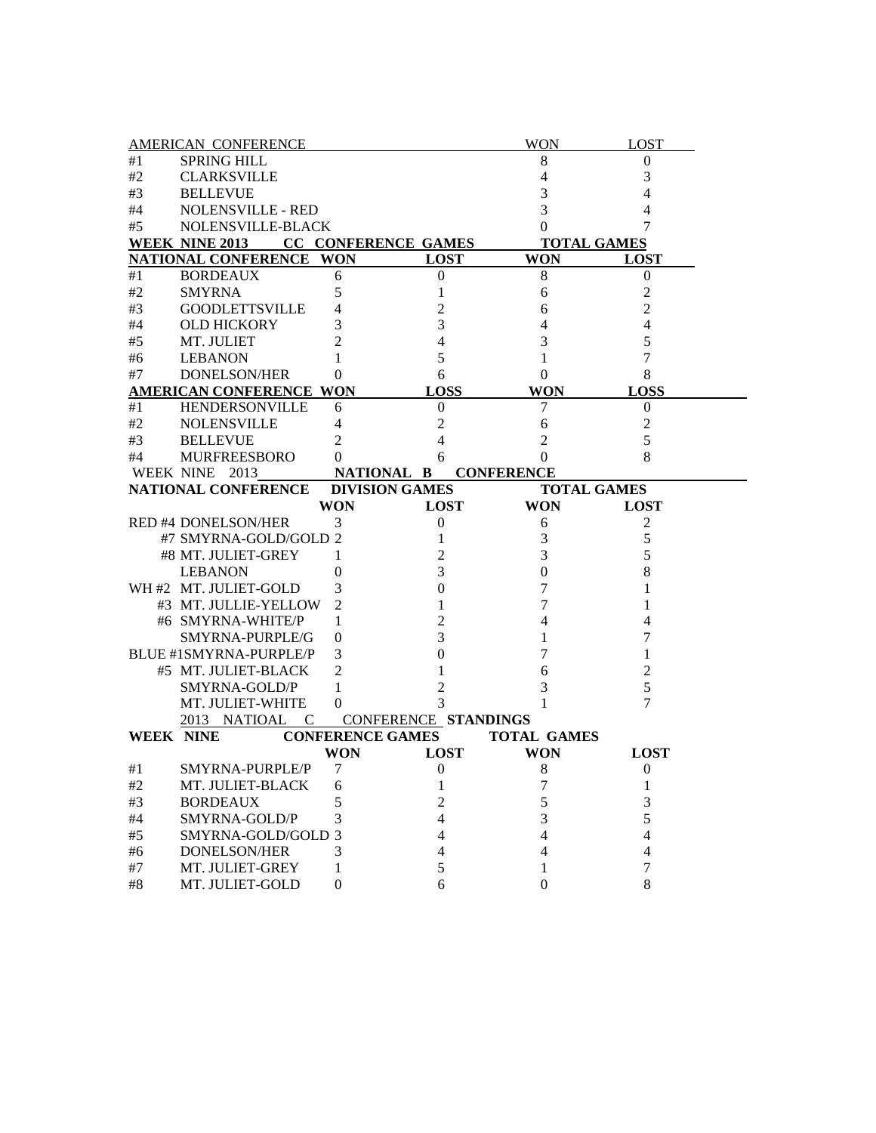|             | <b>AMERICAN CONFERENCE</b>         |              |                            | <b>WON</b>         | <b>LOST</b>              |  |
|-------------|------------------------------------|--------------|----------------------------|--------------------|--------------------------|--|
| #1          | <b>SPRING HILL</b>                 |              |                            | 8                  | $\theta$                 |  |
| #2          | <b>CLARKSVILLE</b>                 |              |                            | $\overline{4}$     | 3                        |  |
| #3          | <b>BELLEVUE</b>                    |              |                            | 3                  | 4                        |  |
| #4          | <b>NOLENSVILLE - RED</b>           |              |                            | 3                  | 4                        |  |
| #5          | NOLENSVILLE-BLACK                  |              |                            | $\mathbf{0}$       |                          |  |
|             | <b>WEEK NINE 2013</b>              |              | <b>CC CONFERENCE GAMES</b> |                    | <b>TOTAL GAMES</b>       |  |
|             | NATIONAL CONFERENCE WON            |              | <b>LOST</b>                | <b>WON</b>         | <b>LOST</b>              |  |
| #1          | <b>BORDEAUX</b>                    | 6            | 0                          | 8                  | $\boldsymbol{0}$         |  |
| #2          | <b>SMYRNA</b>                      | 5            | 1                          | 6                  | 2                        |  |
| #3          | <b>GOODLETTSVILLE</b>              | 4            | $\mathfrak{2}$             | 6                  | $\overline{2}$           |  |
| #4          | <b>OLD HICKORY</b>                 | 3            | $\mathfrak{Z}$             | $\overline{4}$     | 4                        |  |
| #5          | MT. JULIET                         | 2            | $\overline{4}$             | $\mathfrak{Z}$     | 5                        |  |
| #6          | <b>LEBANON</b>                     | 1            | 5                          | 1                  | 7                        |  |
| #7          | DONELSON/HER                       | $\theta$     | 6                          | $\theta$           | 8                        |  |
|             | AMERICAN CONFERENCE WON            |              | <b>LOSS</b>                | <b>WON</b>         | <b>LOSS</b>              |  |
| #1          | <b>HENDERSONVILLE</b>              | 6            | $\Omega$                   | 7                  | 0                        |  |
| #2          | <b>NOLENSVILLE</b>                 | 4            | 2                          | 6                  | 2                        |  |
| #3          | <b>BELLEVUE</b>                    | 2            | 4                          | 2                  | 5                        |  |
| #4          | <b>MURFREESBORO</b>                | $^{(1)}$     | 6                          | $\Omega$           | 8                        |  |
|             | WEEK NINE 2013                     |              | NATIONAL B                 | <b>CONFERENCE</b>  |                          |  |
|             | NATIONAL CONFERENCE                |              | <b>DIVISION GAMES</b>      |                    | <b>TOTAL GAMES</b>       |  |
|             |                                    | <b>WON</b>   | <b>LOST</b>                | <b>WON</b>         | <b>LOST</b>              |  |
|             |                                    |              |                            |                    |                          |  |
|             | <b>RED #4 DONELSON/HER</b>         | 3            | $\boldsymbol{0}$           | 6                  | $\overline{2}$           |  |
|             | #7 SMYRNA-GOLD/GOLD 2              |              | 1                          | 3                  | 5                        |  |
|             | #8 MT. JULIET-GREY                 | 1            | $\overline{c}$             | 3                  | 5                        |  |
|             | <b>LEBANON</b>                     | 0            | 3                          | $\mathbf{0}$       | 8                        |  |
|             | WH #2 MT. JULIET-GOLD              | 3            | $\Omega$                   | 7                  |                          |  |
|             | #3 MT. JULLIE-YELLOW               | 2            | 1                          | 7                  |                          |  |
|             | #6 SMYRNA-WHITE/P                  | 1            | 2                          | 4                  |                          |  |
|             | SMYRNA-PURPLE/G                    | 0            | 3                          | 1                  | 7                        |  |
|             | BLUE #1SMYRNA-PURPLE/P             | 3            | 0                          | 7                  |                          |  |
|             | #5 MT. JULIET-BLACK                | 2            | 1                          | 6                  | $\overline{2}$           |  |
|             | SMYRNA-GOLD/P                      | 1            | 2                          | 3                  | 5                        |  |
|             | MT. JULIET-WHITE                   | $\mathbf{0}$ | 3                          | 1                  | 7                        |  |
|             | 2013 NATIOAL<br>$\mathbf{C}$       |              | CONFERENCE STANDINGS       |                    |                          |  |
|             | <b>WEEK NINE</b>                   |              | <b>CONFERENCE GAMES</b>    | <b>TOTAL GAMES</b> |                          |  |
|             |                                    | <b>WON</b>   | <b>LOST</b>                | <b>WON</b>         | <b>LOST</b>              |  |
| #1          | SMYRNA-PURPLE/P                    | 7            | $\boldsymbol{0}$           | 8                  | $\mathbf{0}$             |  |
| #2          | MT. JULIET-BLACK                   | 6            | 1                          | 7                  | 1                        |  |
| #3          | <b>BORDEAUX</b>                    | 5            | $\overline{2}$             | 5                  | 3                        |  |
| #4          | SMYRNA-GOLD/P                      | 3            | 4                          | 3                  | 5                        |  |
| #5          | SMYRNA-GOLD/GOLD 3                 |              | 4                          | 4                  | $\overline{\mathcal{L}}$ |  |
| #6          | DONELSON/HER                       | 3            | 4                          | $\overline{4}$     | $\overline{4}$           |  |
| #7<br>$\#8$ | MT. JULIET-GREY<br>MT. JULIET-GOLD | 1<br>0       | 5<br>6                     | 1<br>$\mathbf{0}$  | 7<br>8                   |  |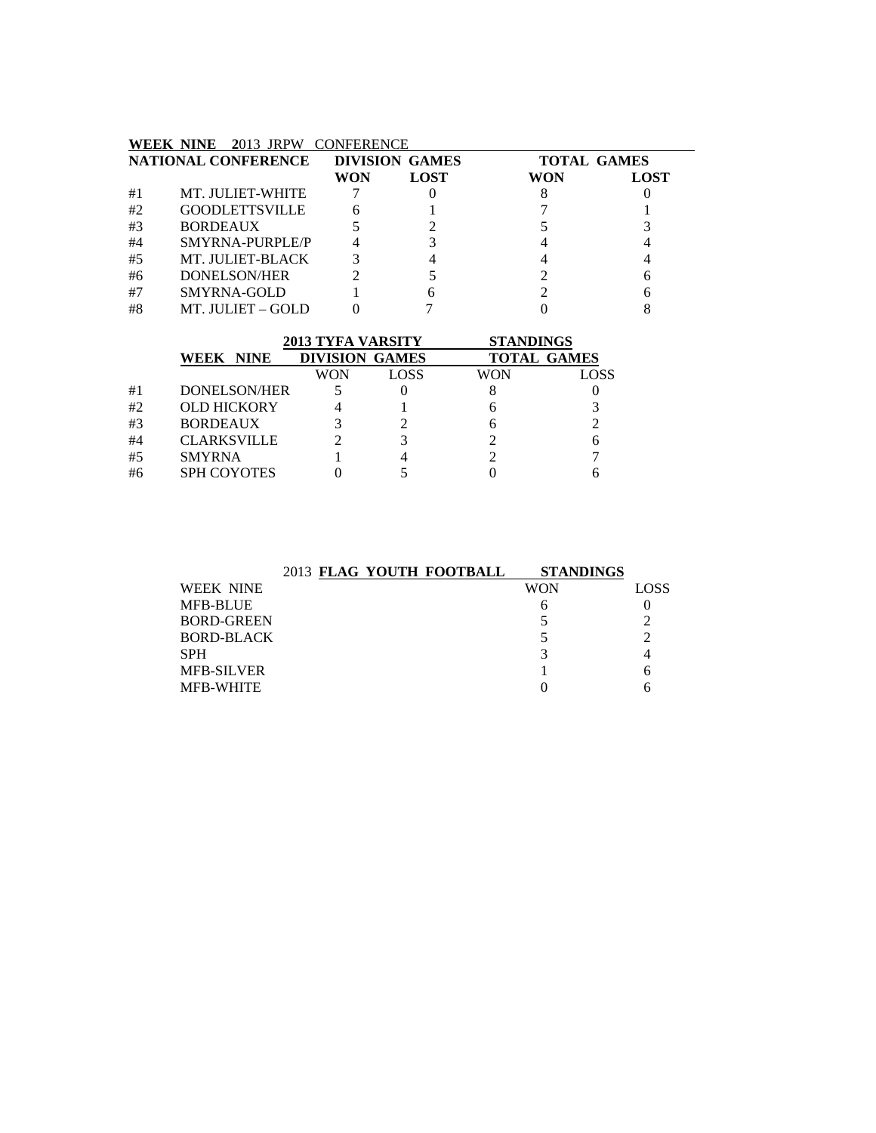#### **WEEK NINE 2**013 JRPW CONFERENCE

|    | NATIONAL CONFERENCE   |     | <b>DIVISION GAMES</b> | <b>TOTAL GAMES</b> |             |
|----|-----------------------|-----|-----------------------|--------------------|-------------|
|    |                       | WON | <b>LOST</b>           | WON                | <b>LOST</b> |
| #1 | MT. JULIET-WHITE      |     |                       |                    |             |
| #2 | <b>GOODLETTSVILLE</b> | 6   |                       |                    |             |
| #3 | <b>BORDEAUX</b>       |     |                       |                    |             |
| #4 | SMYRNA-PURPLE/P       |     |                       |                    |             |
| #5 | MT. JULIET-BLACK      |     |                       |                    |             |
| #6 | DONELSON/HER          |     |                       |                    |             |
| #7 | SMYRNA-GOLD           |     |                       |                    |             |
| #8 | MT. JULIET – GOLD     |     |                       |                    |             |

|                    | <b>2013 TYFA VARSITY</b> |      | <b>STANDINGS</b>   |      |
|--------------------|--------------------------|------|--------------------|------|
| WEEK NINE          | <b>DIVISION GAMES</b>    |      | <b>TOTAL GAMES</b> |      |
|                    | WON                      | LOSS | WON                | LOSS |
| DONELSON/HER       |                          |      |                    |      |
| <b>OLD HICKORY</b> |                          |      |                    |      |
| <b>BORDEAUX</b>    |                          |      |                    |      |
| <b>CLARKSVILLE</b> |                          |      |                    | 6    |
| <b>SMYRNA</b>      |                          |      |                    |      |
| <b>SPH COYOTES</b> |                          |      |                    |      |
|                    |                          |      |                    |      |

|                   | 2013 FLAG YOUTH FOOTBALL | <b>STANDINGS</b> |      |
|-------------------|--------------------------|------------------|------|
| <b>WEEK NINE</b>  |                          | <b>WON</b>       | LOSS |
| <b>MFB-BLUE</b>   |                          | n                |      |
| <b>BORD-GREEN</b> |                          |                  |      |
| <b>BORD-BLACK</b> |                          |                  |      |
| <b>SPH</b>        |                          |                  |      |
| <b>MFB-SILVER</b> |                          |                  |      |
| <b>MFB-WHITE</b>  |                          |                  |      |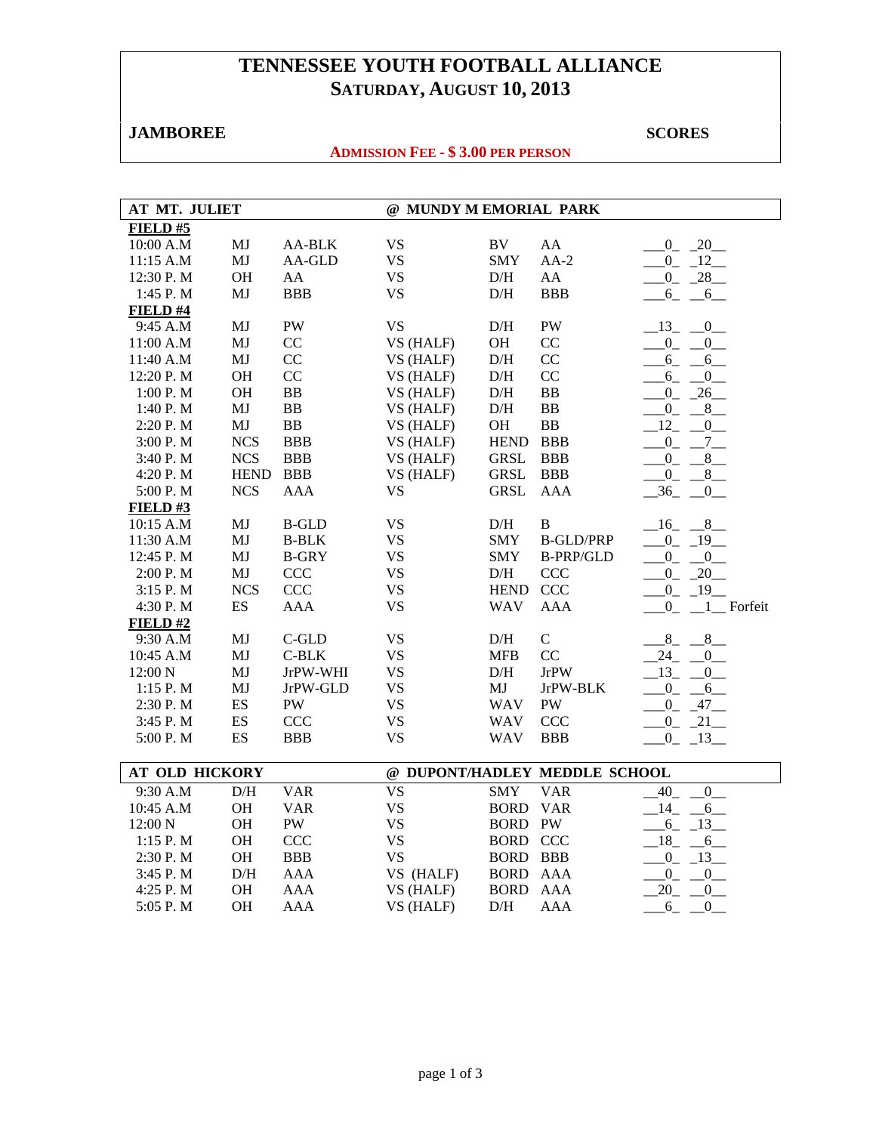# **TENNESSEE YOUTH FOOTBALL ALLIANCE SATURDAY, AUGUST 10, 2013**

# **JAMBOREE** SCORES **SCORES**

## **ADMISSION FEE - \$ 3.00 PER PERSON**

| AT MT. JULIET         |                          |              | @ MUNDY M EMORIAL PARK |                 |                               |                                  |  |
|-----------------------|--------------------------|--------------|------------------------|-----------------|-------------------------------|----------------------------------|--|
| FIELD #5              |                          |              |                        |                 |                               |                                  |  |
| 10:00 A.M             | $\mathbf{M}\mathbf{J}$   | AA-BLK       | <b>VS</b>              | $\rm BV$        | AA                            | $-0$ $-20$                       |  |
| 11:15 A.M             | MJ                       | AA-GLD       | <b>VS</b>              | <b>SMY</b>      | $AA-2$                        | $0 - 12$                         |  |
| 12:30 P.M             | <b>OH</b>                | AA           | <b>VS</b>              | D/H             | AA                            | $0 - 28$                         |  |
| 1:45 P.M              | MJ                       | <b>BBB</b>   | <b>VS</b>              | D/H             | <b>BBB</b>                    | $6_{-}$<br>$-6$                  |  |
| <b>FIELD</b> #4       |                          |              |                        |                 |                               |                                  |  |
| 9:45 A.M              | MJ                       | PW           | <b>VS</b>              | D/H             | PW                            | $-13$ $-0$                       |  |
| 11:00 A.M             | MJ                       | CC           | VS (HALF)              | OH              | CC                            | $-0$ $-0$                        |  |
| 11:40 A.M             | $\mathbf{M}\mathbf{J}$   | CC           | VS (HALF)              | $\mathrm{D/H}$  | CC                            | $6 - 6$                          |  |
| 12:20 P.M             | <b>OH</b>                | CC           | VS (HALF)              | D/H             | CC                            | $6_{-}$<br>$\overline{0}$        |  |
| 1:00 P.M              | <b>OH</b>                | BB           | VS (HALF)              | D/H             | <b>BB</b>                     | $0 - 26$                         |  |
| 1:40 P.M              | MJ                       | <b>BB</b>    | VS (HALF)              | $\rm{D/H}$      | <b>BB</b>                     | $_{0}^{0}$<br>8<br>$\sim$        |  |
| 2:20 P.M              | MJ                       | ${\bf BB}$   | VS (HALF)              | OH              | ${\bf BB}$                    | 12<br>0                          |  |
| 3:00 P.M              | <b>NCS</b>               | <b>BBB</b>   | VS (HALF)              | <b>HEND</b>     | <b>BBB</b>                    | $-0 - 7$                         |  |
| 3:40 P.M              | <b>NCS</b>               | <b>BBB</b>   | VS (HALF)              | <b>GRSL</b>     | <b>BBB</b>                    | $-0$ $-8$                        |  |
| 4:20 P.M              | <b>HEND</b>              | <b>BBB</b>   | VS (HALF)              | <b>GRSL</b>     | <b>BBB</b>                    | $_{0}$<br>$-8$                   |  |
| 5:00 P.M              | <b>NCS</b>               | <b>AAA</b>   | <b>VS</b>              | <b>GRSL</b>     | <b>AAA</b>                    | 36<br>$\overline{0}$             |  |
| FIELD# $3$            |                          |              |                        |                 |                               |                                  |  |
| 10:15 A.M             | MJ                       | <b>B-GLD</b> | <b>VS</b>              | D/H             | $\bf{B}$                      | $-16$<br>$-8$                    |  |
| 11:30 A.M             | MJ                       | <b>B-BLK</b> | <b>VS</b>              | <b>SMY</b>      | <b>B-GLD/PRP</b>              | $\overline{0}$<br>$-19$          |  |
| 12:45 P.M             | MJ                       | <b>B-GRY</b> | <b>VS</b>              | <b>SMY</b>      | <b>B-PRP/GLD</b>              | $\overline{0}$<br>$\overline{0}$ |  |
| 2:00 P.M              | MJ                       | <b>CCC</b>   | <b>VS</b>              | D/H             | <b>CCC</b>                    | $0 - 20$                         |  |
| 3:15 P.M              | <b>NCS</b>               | CCC          | <b>VS</b>              | <b>HEND</b>     | CCC                           | $-19$<br>$\overline{0}$          |  |
| 4:30 P.M              | $\mathop{\hbox{\rm ES}}$ | <b>AAA</b>   | <b>VS</b>              | <b>WAV</b>      | <b>AAA</b>                    | $0_{-}$<br>$1$ Forfeit           |  |
| FIELD#2               |                          |              |                        |                 |                               |                                  |  |
| 9:30 A.M              | MJ                       | C-GLD        | <b>VS</b>              | D/H             | $\mathbf C$                   | $8_{-}$<br>$-$ <sup>8</sup>      |  |
| 10:45 A.M             | MJ                       | $C-BLK$      | <b>VS</b>              | <b>MFB</b>      | CC                            | 24<br>$^{0}$                     |  |
| 12:00 N               | MJ                       | JrPW-WHI     | <b>VS</b>              | D/H             | $\rm JrPW$                    | $-13$<br>$\overline{0}$          |  |
| 1:15 P.M              | MJ                       | JrPW-GLD     | <b>VS</b>              | MJ              | JrPW-BLK                      | $0 - 6$                          |  |
| 2:30 P.M              | $\mathop{\hbox{\rm ES}}$ | PW           | <b>VS</b>              | <b>WAV</b>      | PW                            | $0 - 47$                         |  |
| 3:45 P.M              | ES                       | CCC          | <b>VS</b>              | <b>WAV</b>      | <b>CCC</b>                    | $0_{-}$<br>$21$ <sub>—</sub>     |  |
| 5:00 P.M              | $\mathop{\hbox{\rm ES}}$ | <b>BBB</b>   | <b>VS</b>              | <b>WAV</b>      | <b>BBB</b>                    | $0 - 13$                         |  |
|                       |                          |              |                        |                 |                               |                                  |  |
| <b>AT OLD HICKORY</b> |                          |              |                        |                 | @ DUPONT/HADLEY MEDDLE SCHOOL |                                  |  |
| 9:30 A.M              | D/H                      | <b>VAR</b>   | <b>VS</b>              | <b>SMY</b>      | <b>VAR</b>                    | 40<br>$0$ <sub>--</sub>          |  |
| 10:45 A.M             | OH                       | <b>VAR</b>   | <b>VS</b>              | <b>BORD</b>     | <b>VAR</b>                    | 14<br>$6$ <sub>—</sub>           |  |
| 12:00 N               | <b>OH</b>                | ${\rm PW}$   | <b>VS</b>              | <b>BORD</b>     | PW                            | $-6 - 13$                        |  |
| 1:15 P.M              | <b>OH</b>                | <b>CCC</b>   | <b>VS</b>              | <b>BORD CCC</b> |                               | $-18$<br>$-6$                    |  |
| 2:30 P.M              | OH                       | <b>BBB</b>   | <b>VS</b>              | <b>BORD</b>     | <b>BBB</b>                    | $^{0}$<br>$-13$                  |  |
| 3:45 P.M              | D/H                      | <b>AAA</b>   | VS (HALF)              | <b>BORD</b>     | <b>AAA</b>                    | $\overline{0}$<br>$\overline{0}$ |  |
| 4:25 P.M              | <b>OH</b>                | <b>AAA</b>   | VS (HALF)              | <b>BORD</b>     | <b>AAA</b>                    | 20<br>$\overline{0}$             |  |
| 5:05 P.M              | <b>OH</b>                | <b>AAA</b>   | VS (HALF)              | $\rm{D/H}$      | <b>AAA</b>                    | 6<br>$\boldsymbol{0}$            |  |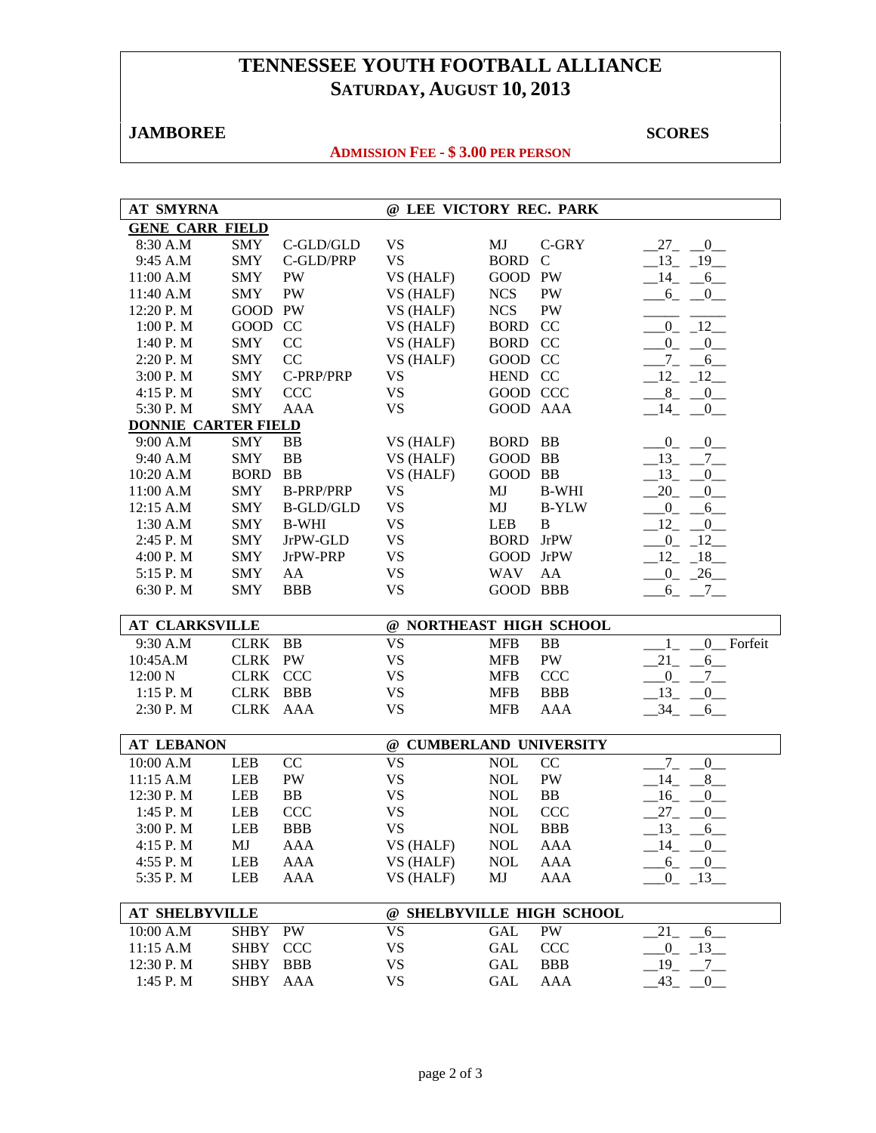# **TENNESSEE YOUTH FOOTBALL ALLIANCE SATURDAY, AUGUST 10, 2013**

# **JAMBOREE** SCORES **SCORES**

## **ADMISSION FEE - \$ 3.00 PER PERSON**

| <b>AT SMYRNA</b>           |             |                  | @ LEE VICTORY REC. PARK   |                  |              |                                     |
|----------------------------|-------------|------------------|---------------------------|------------------|--------------|-------------------------------------|
| <b>GENE CARR FIELD</b>     |             |                  |                           |                  |              |                                     |
| 8:30 A.M                   | SMY         | C-GLD/GLD        | <b>VS</b>                 | MJ               | C-GRY        | $-27$ $-0$ $-$                      |
| 9:45 A.M                   | <b>SMY</b>  | C-GLD/PRP        | <b>VS</b>                 | <b>BORD</b>      | $\mathsf{C}$ | $-13$ $-19$                         |
| 11:00 A.M                  | <b>SMY</b>  | <b>PW</b>        | VS (HALF)                 | GOOD PW          |              | $-14$<br>$-6$                       |
| 11:40 A.M                  | <b>SMY</b>  | <b>PW</b>        | VS (HALF)                 | <b>NCS</b>       | PW           | $6_{-}$<br>$-0$                     |
| 12:20 P.M                  | GOOD PW     |                  | VS (HALF)                 | <b>NCS</b>       | PW           |                                     |
| 1:00 P.M                   | GOOD CC     |                  | VS (HALF)                 | <b>BORD</b>      | CC           | $_{0}$<br>$-12$                     |
| 1:40 P.M                   | <b>SMY</b>  | CC               | VS (HALF)                 | <b>BORD CC</b>   |              | $_{0}^{0}$<br>$_{0-}$               |
| 2:20 P.M                   | <b>SMY</b>  | CC               | VS (HALF)                 | GOOD CC          |              | $7_{-}$<br>$6\_\_$                  |
| 3:00 P.M                   | <b>SMY</b>  | C-PRP/PRP        | <b>VS</b>                 | HEND CC          |              | $12 - 12$                           |
| 4:15 P.M                   | <b>SMY</b>  | <b>CCC</b>       | <b>VS</b>                 | GOOD CCC         |              | $-8$ <sub>-</sub> $-0$              |
| 5:30 P.M                   | <b>SMY</b>  | <b>AAA</b>       | <b>VS</b>                 | GOOD AAA         |              | $-14$ $-0$ $-$                      |
| <b>DONNIE CARTER FIELD</b> |             |                  |                           |                  |              |                                     |
| 9:00 A.M                   | <b>SMY</b>  | BB               | VS (HALF)                 | BORD BB          |              | $_{0_{-}}$<br>$-0$                  |
| 9:40 A.M                   | <b>SMY</b>  | <b>BB</b>        | VS (HALF)                 | GOOD BB          |              | $-13$ , $-7$                        |
| 10:20 A.M                  | <b>BORD</b> | <b>BB</b>        | VS (HALF)                 | GOOD BB          |              | $-13$<br>$\mathbf{0}$               |
| 11:00 A.M                  | <b>SMY</b>  | <b>B-PRP/PRP</b> | <b>VS</b>                 | MJ               | <b>B-WHI</b> | 20<br>$\overline{0}$                |
| 12:15 A.M                  | <b>SMY</b>  | <b>B-GLD/GLD</b> | <b>VS</b>                 | MJ               | <b>B-YLW</b> | $0_$<br>6                           |
| 1:30 A.M                   | <b>SMY</b>  | <b>B-WHI</b>     | <b>VS</b>                 | <b>LEB</b>       | $\bf{B}$     | 12<br>$\overline{0}$                |
| 2:45 P.M                   | <b>SMY</b>  | JrPW-GLD         | <b>VS</b>                 | <b>BORD</b> JrPW |              | $_{0}$<br>12                        |
| 4:00 P.M                   | <b>SMY</b>  | JrPW-PRP         | <b>VS</b>                 | GOOD JrPW        |              | 12<br>$-18$                         |
| 5:15 P.M                   | <b>SMY</b>  | AA               | <b>VS</b>                 | <b>WAV</b>       | AA           | 26<br>$^{0}$                        |
| 6:30 P.M                   | <b>SMY</b>  | <b>BBB</b>       | <b>VS</b>                 | <b>GOOD BBB</b>  |              | $6_{-}$<br>$-7$                     |
|                            |             |                  |                           |                  |              |                                     |
| AT CLARKSVILLE             |             |                  | @ NORTHEAST HIGH SCHOOL   |                  |              |                                     |
| 9:30 A.M                   | CLRK BB     |                  | <b>VS</b>                 | <b>MFB</b>       | <b>BB</b>    | 0 Forfeit<br>$\mathbf{1}$           |
| 10:45A.M                   | CLRK PW     |                  | <b>VS</b>                 | <b>MFB</b>       | PW           | 21<br>$6$ <sub>—</sub>              |
| 12:00 N                    | CLRK CCC    |                  | <b>VS</b>                 | <b>MFB</b>       | <b>CCC</b>   | $0_{-}$<br>$.7$ $-$                 |
| 1:15 P. M                  | CLRK BBB    |                  | <b>VS</b>                 | <b>MFB</b>       | <b>BBB</b>   | $-13$<br>$_{0-}$                    |
| 2:30 P.M                   | CLRK AAA    |                  | <b>VS</b>                 | <b>MFB</b>       | <b>AAA</b>   | $-34$<br>6                          |
|                            |             |                  |                           |                  |              |                                     |
| <b>AT LEBANON</b>          |             |                  | @ CUMBERLAND UNIVERSITY   |                  |              |                                     |
| 10:00 A.M                  | <b>LEB</b>  | CC               | <b>VS</b>                 | <b>NOL</b>       | CC           | $7_{-}$<br>$0$ <sub>—</sub>         |
| 11:15 A.M                  | LEB         | PW               | <b>VS</b>                 | <b>NOL</b>       | PW           | 14<br>8                             |
| 12:30 P.M                  | LEB         | <b>BB</b>        | <b>VS</b>                 | <b>NOL</b>       | <b>BB</b>    | 16<br>$\overline{0}$                |
| 1:45 P.M                   | LEB         | <b>CCC</b>       | <b>VS</b>                 | <b>NOL</b>       | CCC          | $27_{-}$<br>$\overline{0}$          |
| 3:00 P.M                   | <b>LEB</b>  | <b>BBB</b>       | <b>VS</b>                 | <b>NOL</b>       | <b>BBB</b>   | $-13$<br>$-6$                       |
| 4:15 P.M                   | MJ          | AAA              | VS (HALF)                 | <b>NOL</b>       | AAA          | $-14$ $-0$                          |
| 4:55 P.M                   | LEB         | AAA              | VS (HALF)                 | <b>NOL</b>       | AAA          | $-6$ $-0$                           |
| 5:35 P.M                   | LEB         | AAA              | VS (HALF)                 | MJ               | AAA          | $0 - 13$                            |
|                            |             |                  |                           |                  |              |                                     |
| <b>AT SHELBYVILLE</b>      |             |                  | @ SHELBYVILLE HIGH SCHOOL |                  |              |                                     |
| 10:00 A.M                  | <b>SHBY</b> | PW               | <b>VS</b>                 | <b>GAL</b>       | PW           | 21<br>$-6$                          |
| 11:15 A.M                  | <b>SHBY</b> | <b>CCC</b>       | VS                        | GAL              | CCC          | $-0$ $-13$                          |
| 12:30 P.M                  | <b>SHBY</b> | <b>BBB</b>       | VS                        | GAL              | <b>BBB</b>   | $-19$<br>$-7$                       |
| 1:45 P.M                   | <b>SHBY</b> | AAA              | <b>VS</b>                 | GAL              | AAA          | $-43$<br>$\overline{\phantom{0}}^0$ |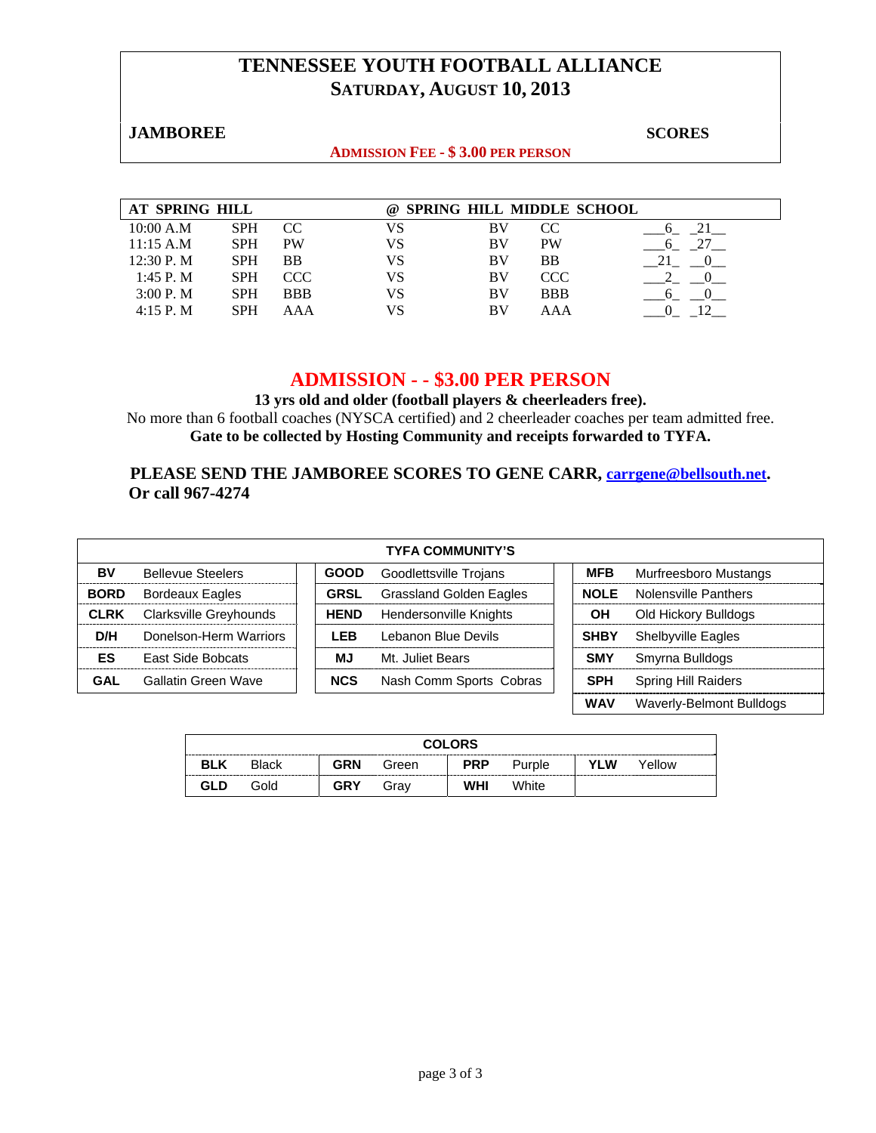# **TENNESSEE YOUTH FOOTBALL ALLIANCE SATURDAY, AUGUST 10, 2013**

#### **JAMBOREE** SCORES SCORES

#### **ADMISSION FEE - \$ 3.00 PER PERSON**

| AT SPRING HILL |            |            | $\omega$ | <b>SPRING HILL MIDDLE SCHOOL</b> |            |  |
|----------------|------------|------------|----------|----------------------------------|------------|--|
| 10:00 A.M      | <b>SPH</b> | CC         | VS       | BV                               | CC.        |  |
| 11:15 A.M      | <b>SPH</b> | <b>PW</b>  | VS       | BV                               | <b>PW</b>  |  |
| 12:30 P.M      | <b>SPH</b> | <b>BB</b>  | VS       | BV                               | BB         |  |
| $1:45$ P. M    | <b>SPH</b> | CCC        | VS       | BV                               | CCC.       |  |
| 3:00 P. M      | <b>SPH</b> | <b>BBB</b> | VS       | BV                               | <b>BBB</b> |  |
| 4:15 P. M      | <b>SPH</b> | AΑA        | VS       | BV                               | AAA        |  |

#### **ADMISSION - - \$3.00 PER PERSON**

**13 yrs old and older (football players & cheerleaders free).**  No more than 6 football coaches (NYSCA certified) and 2 cheerleader coaches per team admitted free. **Gate to be collected by Hosting Community and receipts forwarded to TYFA.**

#### **PLEASE SEND THE JAMBOREE SCORES TO GENE CARR, carrgene@bellsouth.net. Or call 967-4274**

| <b>TYFA COMMUNITY'S</b> |                          |  |             |                                |  |             |                            |
|-------------------------|--------------------------|--|-------------|--------------------------------|--|-------------|----------------------------|
| BV                      | <b>Bellevue Steelers</b> |  | <b>GOOD</b> | Goodlettsville Trojans         |  | <b>MFB</b>  | Murfreesboro Mustangs      |
| <b>BORD</b>             | <b>Bordeaux Eagles</b>   |  | <b>GRSL</b> | <b>Grassland Golden Eagles</b> |  | <b>NOLE</b> | Nolensville Panthers       |
| <b>CLRK</b>             | Clarksville Greyhounds   |  | <b>HEND</b> | Hendersonville Knights         |  | OН          | Old Hickory Bulldogs       |
| D/H                     | Donelson-Herm Warriors   |  | LEB         | Lebanon Blue Devils            |  | <b>SHBY</b> | <b>Shelbyville Eagles</b>  |
| ES                      | <b>East Side Bobcats</b> |  | ΜJ          | Mt. Juliet Bears               |  | <b>SMY</b>  | Smyrna Bulldogs            |
| GAL                     | Gallatin Green Wave      |  | <b>NCS</b>  | Nash Comm Sports Cobras        |  | <b>SPH</b>  | <b>Spring Hill Raiders</b> |
|                         |                          |  |             |                                |  | <b>WAV</b>  | Waverly-Belmont Bulldogs   |

|            | <b>COLORS</b> |            |       |            |        |     |        |  |
|------------|---------------|------------|-------|------------|--------|-----|--------|--|
| <b>BLK</b> | <b>Black</b>  | <b>GRN</b> | Green | <b>PRP</b> | Purple | YLW | Yellow |  |
| GLD        | Gold          | <b>GRY</b> | Grav  | <b>WHI</b> | White  |     |        |  |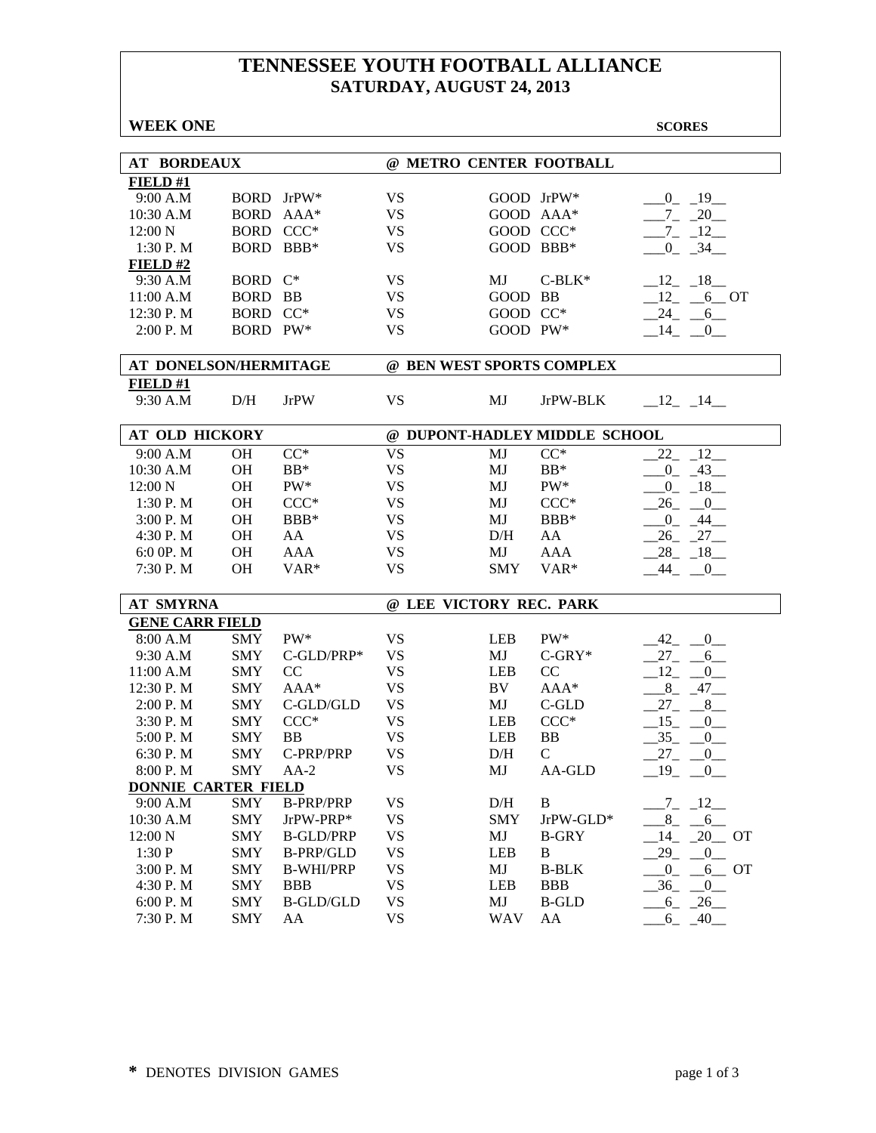# **TENNESSEE YOUTH FOOTBALL ALLIANCE SATURDAY, AUGUST 24, 2013**

| <b>WEEK ONE</b>            |             |                  |                           |            |                               | <b>SCORES</b>            |
|----------------------------|-------------|------------------|---------------------------|------------|-------------------------------|--------------------------|
|                            |             |                  |                           |            |                               |                          |
| <b>AT BORDEAUX</b>         |             |                  | @ METRO CENTER FOOTBALL   |            |                               |                          |
| FIELD#1                    |             |                  |                           |            |                               |                          |
| 9:00 A.M                   |             | BORD JrPW*       | <b>VS</b>                 |            | GOOD JrPW*                    | $0 - 19$                 |
| 10:30 A.M                  | <b>BORD</b> | $AAA*$           | <b>VS</b>                 |            | GOOD AAA*                     | $-7 - 20$                |
| 12:00 N                    | <b>BORD</b> | $CCC*$           | <b>VS</b>                 |            | GOOD CCC*                     | $-7 - 12$                |
| 1:30 P.M                   | BORD BBB*   |                  | <b>VS</b>                 | GOOD BBB*  |                               | $0 - 34$                 |
| $FIED$ #2                  |             |                  |                           |            |                               |                          |
| 9:30 A.M                   | <b>BORD</b> | $C^*$            | <b>VS</b>                 | MJ         | $C-BLK^*$                     | $-12 - 18$               |
| 11:00 A.M                  | <b>BORD</b> | <b>BB</b>        | <b>VS</b>                 | GOOD BB    |                               | $12 - 6$ OT              |
| 12:30 P.M                  | <b>BORD</b> | $CC^*$           | <b>VS</b>                 | GOOD CC*   |                               | $-24 - 6$                |
| 2:00 P.M                   | BORD PW*    |                  | <b>VS</b>                 | GOOD PW*   |                               | $14 -$<br>$\mathbf{0}$   |
| AT DONELSON/HERMITAGE      |             |                  | @ BEN WEST SPORTS COMPLEX |            |                               |                          |
| FIELD#1                    |             |                  |                           |            |                               |                          |
| 9:30 A.M                   | D/H         | <b>JrPW</b>      | <b>VS</b>                 | MJ         | JrPW-BLK                      | $-12 - 14$               |
|                            |             |                  |                           |            |                               |                          |
| <b>AT OLD HICKORY</b>      |             |                  |                           |            | @ DUPONT-HADLEY MIDDLE SCHOOL |                          |
| 9:00 A.M                   | <b>OH</b>   | $CC^*$           | <b>VS</b>                 | MJ         | $CC^*$                        | 22<br>$\sqrt{-12}$       |
| 10:30 A.M                  | OН          | $BB*$            | <b>VS</b>                 | MJ         | $BB*$                         | $-0$ $-43$               |
| 12:00 N                    | <b>OH</b>   | PW*              | <b>VS</b>                 | MJ         | PW*                           | $-0$ $-18$ $-$           |
| 1:30 P.M                   | <b>OH</b>   | $CCC*$           | <b>VS</b>                 | MJ         | $CCC*$                        | $-26$ $-0$               |
| 3:00 P.M                   | <b>OH</b>   | BBB*             | <b>VS</b>                 | MJ         | BBB*                          | $0_{-}$<br>$-44$         |
| 4:30 P.M                   | <b>OH</b>   | AA               | <b>VS</b>                 | D/H        | AA                            | 26<br>$-27$              |
| 6:0 0P. M                  | <b>OH</b>   | <b>AAA</b>       | <b>VS</b>                 | MJ         | <b>AAA</b>                    | 28<br>$-18$              |
| 7:30 P.M                   | <b>OH</b>   | VAR <sup>*</sup> | <b>VS</b>                 | <b>SMY</b> | VAR <sup>*</sup>              | 44<br>$\overline{0}$     |
| <b>AT SMYRNA</b>           |             |                  | @ LEE VICTORY REC. PARK   |            |                               |                          |
| <b>GENE CARR FIELD</b>     |             |                  |                           |            |                               |                          |
| 8:00 A.M                   | <b>SMY</b>  | PW*              | <b>VS</b>                 | <b>LEB</b> | $PW^*$                        | $-42$<br>$-0$            |
| 9:30 A.M                   | <b>SMY</b>  | C-GLD/PRP*       | <b>VS</b>                 | MJ         | $C-GRY*$                      | $27_{-}$<br>6            |
| 11:00 A.M                  | <b>SMY</b>  | CC               | <b>VS</b>                 | <b>LEB</b> | CC                            | 12<br>$\overline{0}$     |
| 12:30 P.M                  | <b>SMY</b>  | $AAA*$           | <b>VS</b>                 | BV         | AAA*                          | 8<br>$-47$               |
| 2:00 P. M                  | <b>SMY</b>  | C-GLD/GLD        | <b>VS</b>                 | MJ         | C-GLD                         | $27_{-}$<br>8            |
| 3:30 P.M                   | <b>SMY</b>  | $CCC*$           | <b>VS</b>                 | <b>LEB</b> | $CCC*$                        | 15<br>$\overline{0}$     |
| 5:00 P.M                   | <b>SMY</b>  | <b>BB</b>        | <b>VS</b>                 | <b>LEB</b> | <b>BB</b>                     | 35<br>$\mathbf{0}$       |
| 6:30 P.M                   | <b>SMY</b>  | C-PRP/PRP        | <b>VS</b>                 | D/H        | $\mathcal{C}$                 | 27<br>$_{0}^{0}$         |
| 8:00 P.M                   | SMY         | $AA-2$           | VS                        | MJ         | AA-GLD                        | $-19$ $-0$               |
| <b>DONNIE CARTER FIELD</b> |             |                  |                           |            |                               |                          |
| 9:00 A.M                   | <b>SMY</b>  | <b>B-PRP/PRP</b> | <b>VS</b>                 | D/H        | $\bf{B}$                      | $-7 - 12$                |
| 10:30 A.M                  | <b>SMY</b>  | JrPW-PRP*        | <b>VS</b>                 | <b>SMY</b> | JrPW-GLD*                     | $-8$ <sub>-</sub> $-6$   |
| 12:00 N                    | <b>SMY</b>  | <b>B-GLD/PRP</b> | <b>VS</b>                 | MJ         | <b>B-GRY</b>                  | $-14$ $-20$ OT           |
| 1:30P                      | <b>SMY</b>  | <b>B-PRP/GLD</b> | <b>VS</b>                 | <b>LEB</b> | B                             | 29<br>$0$ <sub>—</sub>   |
| 3:00 P.M                   | <b>SMY</b>  | <b>B-WHI/PRP</b> | <b>VS</b>                 | MJ         | <b>B-BLK</b>                  | $\overline{0}$<br>$6$ OT |
| 4:30 P.M                   | <b>SMY</b>  | <b>BBB</b>       | <b>VS</b>                 | LEB        | <b>BBB</b>                    | $-36$<br>$-0$            |
| 6:00 P.M                   | <b>SMY</b>  | <b>B-GLD/GLD</b> | <b>VS</b>                 | MJ         | <b>B-GLD</b>                  | $-6 - 26$                |
| 7:30 P.M                   | <b>SMY</b>  | AA               | <b>VS</b>                 | <b>WAV</b> | AA                            | $-6 - 40$                |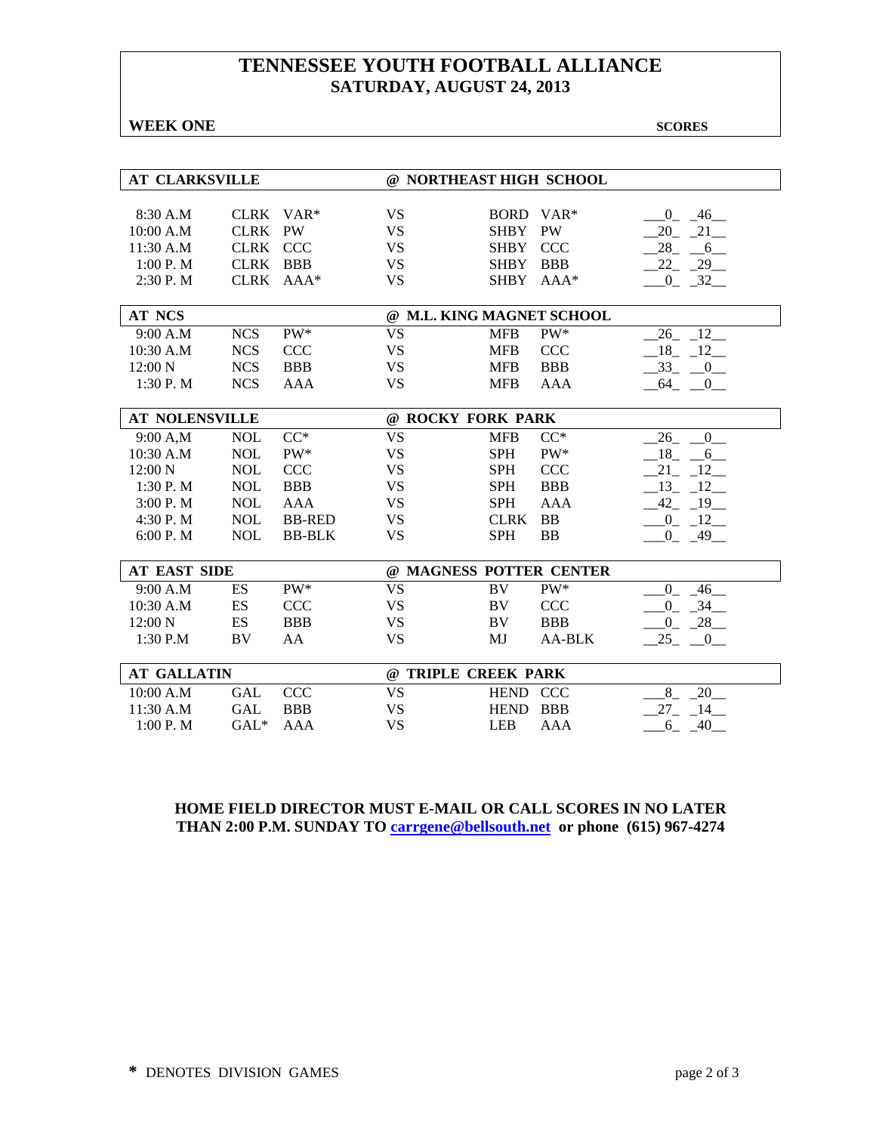# **TENNESSEE YOUTH FOOTBALL ALLIANCE SATURDAY, AUGUST 24, 2013**

**WEEK ONE** SCORES

| <b>AT CLARKSVILLE</b>                                                            |                                                                                                |                                                                                           |                                                                                         | @ NORTHEAST HIGH SCHOOL                                                                         |                                                                                   |                                                                                                                |
|----------------------------------------------------------------------------------|------------------------------------------------------------------------------------------------|-------------------------------------------------------------------------------------------|-----------------------------------------------------------------------------------------|-------------------------------------------------------------------------------------------------|-----------------------------------------------------------------------------------|----------------------------------------------------------------------------------------------------------------|
| 8:30 A.M<br>10:00 A.M<br>11:30 A.M<br>1:00 P. M<br>2:30 P.M                      | <b>CLRK</b><br><b>CLRK</b><br><b>CLRK</b><br><b>CLRK</b><br><b>CLRK</b>                        | VAR <sup>*</sup><br><b>PW</b><br><b>CCC</b><br><b>BBB</b><br>$AAA*$                       | <b>VS</b><br><b>VS</b><br><b>VS</b><br><b>VS</b><br><b>VS</b>                           | BORD VAR*<br><b>SHBY</b><br><b>SHBY</b><br><b>SHBY</b><br><b>SHBY</b>                           | <b>PW</b><br><b>CCC</b><br><b>BBB</b><br>AAA*                                     | 46<br>$\Omega$<br>21<br>20<br>28<br>6<br>22<br>29<br>$-32$<br>$0_{-}$                                          |
| <b>AT NCS</b>                                                                    |                                                                                                |                                                                                           |                                                                                         | @ M.L. KING MAGNET SCHOOL                                                                       |                                                                                   |                                                                                                                |
| 9:00 A.M<br>10:30 A.M<br>12:00 N<br>1:30 P.M                                     | <b>NCS</b><br><b>NCS</b><br><b>NCS</b><br><b>NCS</b>                                           | PW*<br><b>CCC</b><br><b>BBB</b><br><b>AAA</b>                                             | <b>VS</b><br><b>VS</b><br><b>VS</b><br><b>VS</b>                                        | <b>MFB</b><br><b>MFB</b><br><b>MFB</b><br><b>MFB</b>                                            | PW*<br><b>CCC</b><br><b>BBB</b><br><b>AAA</b>                                     | 12<br>26<br>12<br>18<br>33<br>$\overline{0}$<br>64<br>$\overline{0}$                                           |
| <b>AT NOLENSVILLE</b>                                                            |                                                                                                |                                                                                           |                                                                                         | @ ROCKY FORK PARK                                                                               |                                                                                   |                                                                                                                |
| 9:00 A,M<br>10:30 A.M<br>12:00 N<br>1:30 P.M<br>3:00P. M<br>4:30 P.M<br>6:00 P.M | <b>NOL</b><br><b>NOL</b><br><b>NOL</b><br><b>NOL</b><br><b>NOL</b><br><b>NOL</b><br><b>NOL</b> | $CC^*$<br>PW*<br><b>CCC</b><br><b>BBB</b><br><b>AAA</b><br><b>BB-RED</b><br><b>BB-BLK</b> | <b>VS</b><br><b>VS</b><br><b>VS</b><br><b>VS</b><br><b>VS</b><br><b>VS</b><br><b>VS</b> | <b>MFB</b><br><b>SPH</b><br><b>SPH</b><br><b>SPH</b><br><b>SPH</b><br><b>CLRK</b><br><b>SPH</b> | $CC^*$<br>PW*<br><b>CCC</b><br><b>BBB</b><br><b>AAA</b><br><b>BB</b><br><b>BB</b> | 26<br>$\mathbf{0}$<br>18<br>6<br>21<br>12<br>13<br>12<br>42<br>19<br>-12<br>$\overline{0}$<br>$-49$<br>$0_{-}$ |
| <b>AT EAST SIDE</b>                                                              |                                                                                                |                                                                                           |                                                                                         | @ MAGNESS POTTER CENTER                                                                         |                                                                                   |                                                                                                                |
| 9:00 A.M<br>$10:30$ A.M<br>12:00 N<br>$1:30$ P.M                                 | ES<br>ES<br>ES<br>BV                                                                           | PW*<br><b>CCC</b><br><b>BBB</b><br>AA                                                     | <b>VS</b><br><b>VS</b><br><b>VS</b><br><b>VS</b>                                        | <b>BV</b><br><b>BV</b><br>BV<br>MJ                                                              | PW*<br><b>CCC</b><br><b>BBB</b><br><b>AA-BLK</b>                                  | $\overline{0}$<br>46<br>34<br>$\overline{0}$<br>$\overline{0}$<br>28<br>25<br>$\overline{0}$                   |
| <b>AT GALLATIN</b>                                                               |                                                                                                |                                                                                           |                                                                                         | @ TRIPLE CREEK PARK                                                                             |                                                                                   |                                                                                                                |
| 10:00 A.M<br>11:30 A.M<br>1:00 P. M                                              | <b>GAL</b><br><b>GAL</b><br>$GAL*$                                                             | <b>CCC</b><br><b>BBB</b><br><b>AAA</b>                                                    | <b>VS</b><br><b>VS</b><br><b>VS</b>                                                     | <b>HEND</b><br><b>HEND</b><br><b>LEB</b>                                                        | <b>CCC</b><br><b>BBB</b><br>AAA                                                   | 8<br>20<br>27<br>14<br>40<br>6                                                                                 |

#### **HOME FIELD DIRECTOR MUST E-MAIL OR CALL SCORES IN NO LATER THAN 2:00 P.M. SUNDAY TO carrgene@bellsouth.net or phone (615) 967-4274**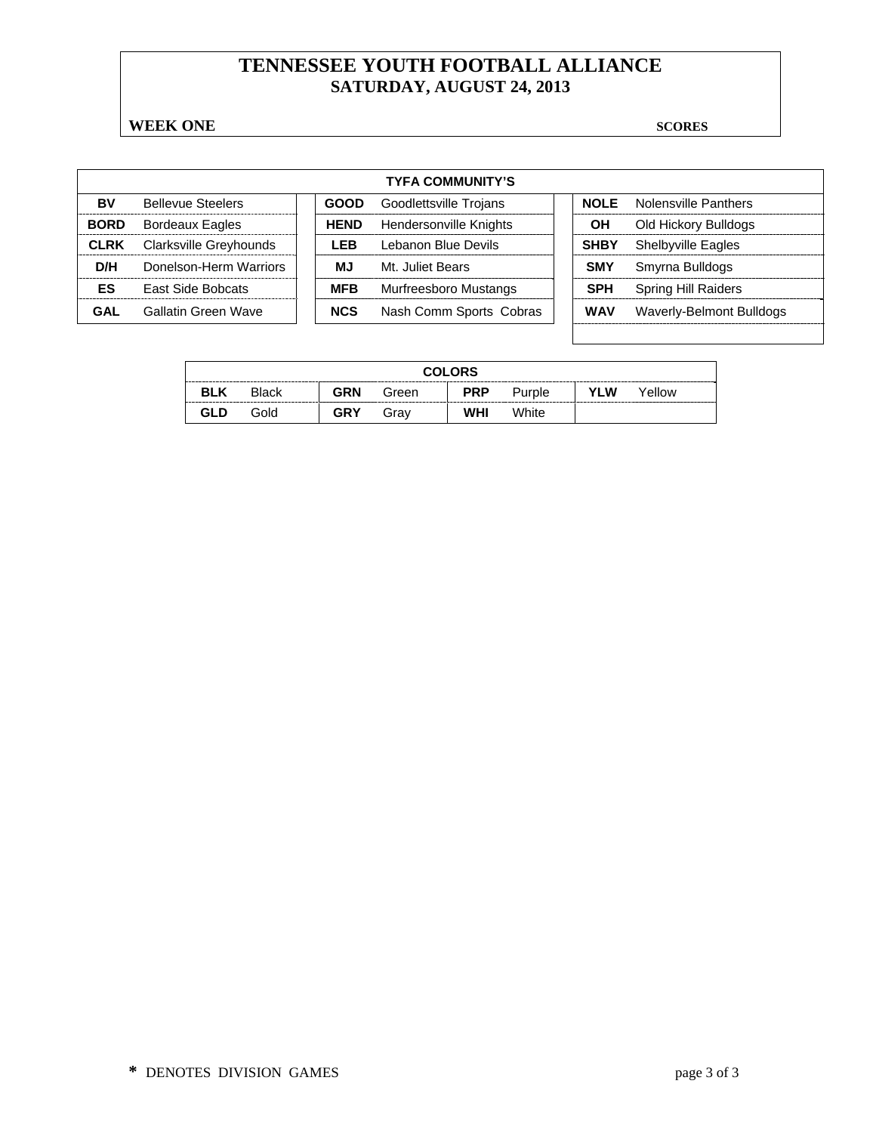# **TENNESSEE YOUTH FOOTBALL ALLIANCE SATURDAY, AUGUST 24, 2013**

#### **WEEK ONE** SCORES

 $\mathsf{r}$ 

| <b>TYFA COMMUNITY'S</b> |                               |  |             |                         |  |             |                            |  |  |
|-------------------------|-------------------------------|--|-------------|-------------------------|--|-------------|----------------------------|--|--|
| BV                      | <b>Bellevue Steelers</b>      |  | <b>GOOD</b> | Goodlettsville Trojans  |  | <b>NOLE</b> | Nolensville Panthers       |  |  |
| <b>BORD</b>             | <b>Bordeaux Eagles</b>        |  | <b>HEND</b> | Hendersonville Knights  |  | OН          | Old Hickory Bulldogs       |  |  |
| <b>CLRK</b>             | <b>Clarksville Greyhounds</b> |  | LEB         | Lebanon Blue Devils     |  | <b>SHBY</b> | <b>Shelbyville Eagles</b>  |  |  |
| D/H                     | Donelson-Herm Warriors        |  | МJ          | Mt. Juliet Bears        |  | <b>SMY</b>  | Smyrna Bulldogs            |  |  |
| ES                      | <b>East Side Bobcats</b>      |  | <b>MFB</b>  | Murfreesboro Mustangs   |  | <b>SPH</b>  | <b>Spring Hill Raiders</b> |  |  |
| GAL                     | Gallatin Green Wave           |  | <b>NCS</b>  | Nash Comm Sports Cobras |  | <b>WAV</b>  | Waverly-Belmont Bulldogs   |  |  |

|            | <b>COLORS</b> |     |       |            |        |     |        |  |  |  |  |
|------------|---------------|-----|-------|------------|--------|-----|--------|--|--|--|--|
| <b>BLK</b> | <b>Black</b>  | GRN | Green | <b>PRP</b> | Purple | YLW | Yellow |  |  |  |  |
| <b>GLD</b> | Gold          | GRY | Grav  | WHI        | White  |     |        |  |  |  |  |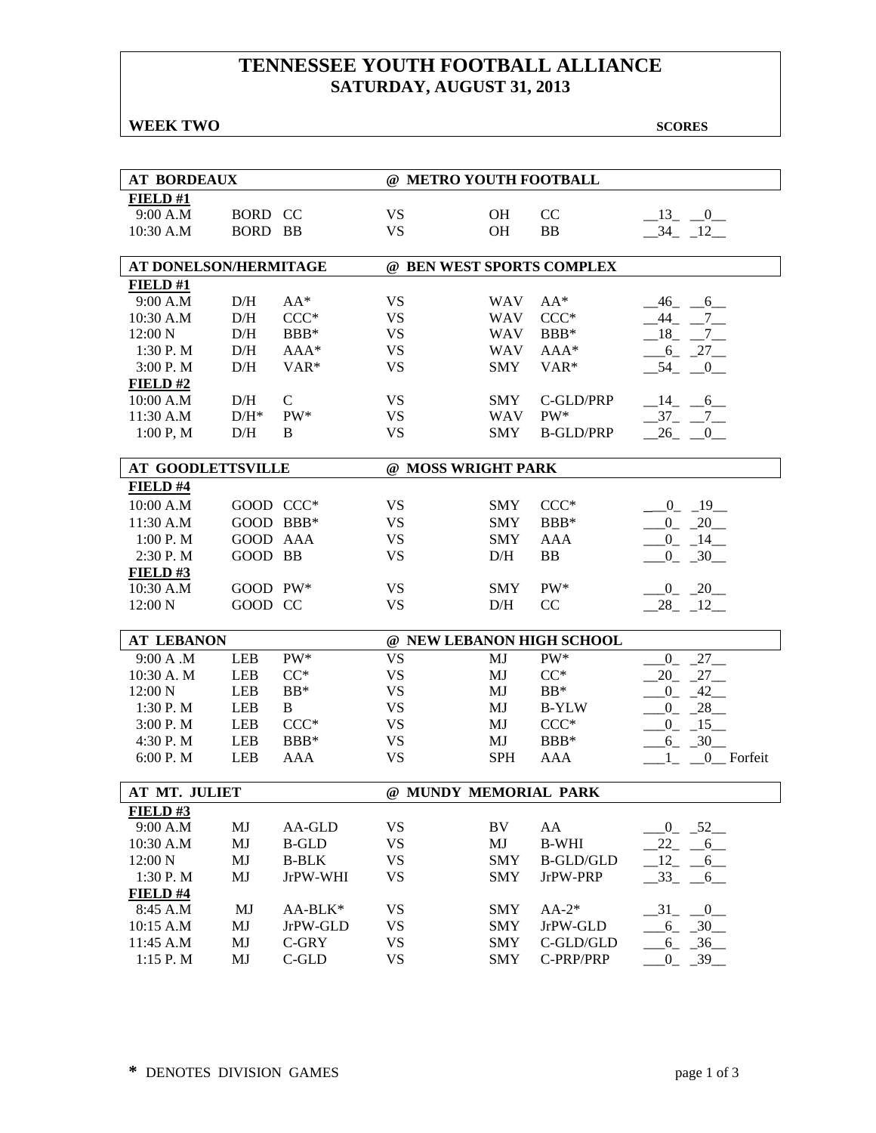# **TENNESSEE YOUTH FOOTBALL ALLIANCE SATURDAY, AUGUST 31, 2013**

#### **WEEK TWO SCORES**

| <b>AT BORDEAUX</b>       |                    |                  | @ METRO YOUTH FOOTBALL |                           |                           |                                  |  |  |  |  |  |
|--------------------------|--------------------|------------------|------------------------|---------------------------|---------------------------|----------------------------------|--|--|--|--|--|
| FIELD#1                  |                    |                  |                        |                           |                           |                                  |  |  |  |  |  |
|                          |                    |                  |                        |                           |                           |                                  |  |  |  |  |  |
| 9:00 A.M                 | BORD CC            |                  | <b>VS</b>              | OH                        | CC                        | $-13$ $-0$                       |  |  |  |  |  |
| 10:30 A.M                | BORD BB            |                  | <b>VS</b>              | <b>OH</b>                 | <b>BB</b>                 | $-34 - 12$                       |  |  |  |  |  |
| AT DONELSON/HERMITAGE    |                    |                  |                        | @ BEN WEST SPORTS COMPLEX |                           |                                  |  |  |  |  |  |
| FIELD#1                  |                    |                  |                        |                           |                           |                                  |  |  |  |  |  |
| 9:00 A.M                 | D/H                | $AA^*$           | <b>VS</b>              | <b>WAV</b>                | $AA^*$                    | $-46 - 6$                        |  |  |  |  |  |
| 10:30 A.M                | D/H                | $CCC*$           | <b>VS</b>              | <b>WAV</b>                | $CCC*$                    | 44 7                             |  |  |  |  |  |
| 12:00 N                  | D/H                | BBB*             | <b>VS</b>              | <b>WAV</b>                | BBB*                      | $-18$ <sub>-</sub> $-7$          |  |  |  |  |  |
| 1:30 P.M                 | D/H                | $AAA*$           | <b>VS</b>              | <b>WAV</b>                | AAA*                      | $6 - 27$                         |  |  |  |  |  |
| 3:00 P.M                 | D/H                | VAR <sup>*</sup> | <b>VS</b>              | <b>SMY</b>                | VAR <sup>*</sup>          | $-54$ $-0$                       |  |  |  |  |  |
| FIELD#2                  |                    |                  |                        |                           |                           |                                  |  |  |  |  |  |
| 10:00 A.M                | D/H                | $\mathsf{C}$     | <b>VS</b>              | <b>SMY</b>                | C-GLD/PRP                 | $-14$ $-6$                       |  |  |  |  |  |
| 11:30 A.M                | $\mathrm{D/H^{*}}$ | PW*              | <b>VS</b>              | <b>WAV</b>                | $PW^*$                    | $-37 - -7$                       |  |  |  |  |  |
| 1:00 P, M                | D/H                | B                | <b>VS</b>              | <b>SMY</b>                | <b>B-GLD/PRP</b>          | $26$ <sub>-</sub><br>0           |  |  |  |  |  |
|                          |                    |                  |                        |                           |                           |                                  |  |  |  |  |  |
| <b>AT GOODLETTSVILLE</b> |                    |                  |                        | @ MOSS WRIGHT PARK        |                           |                                  |  |  |  |  |  |
| FIELD #4                 |                    |                  |                        |                           |                           |                                  |  |  |  |  |  |
| 10:00 A.M                | GOOD CCC*          |                  | <b>VS</b>              | <b>SMY</b>                | $CCC*$                    | $0 - 19$                         |  |  |  |  |  |
| 11:30 A.M                | GOOD BBB*          |                  | <b>VS</b>              | <b>SMY</b>                | BBB*                      | $-0$ $-20$                       |  |  |  |  |  |
| 1:00 P.M                 | GOOD AAA           |                  | <b>VS</b>              | <b>SMY</b>                | <b>AAA</b>                | $-0$ $-14$                       |  |  |  |  |  |
|                          |                    |                  |                        |                           |                           |                                  |  |  |  |  |  |
| 2:30 P.M                 | GOOD BB            |                  | <b>VS</b>              | D/H                       | <b>BB</b>                 | $-0$ $-30$                       |  |  |  |  |  |
| FIELD# $3$               |                    |                  |                        |                           |                           |                                  |  |  |  |  |  |
| 10:30 A.M                | GOOD PW*           |                  | <b>VS</b>              | <b>SMY</b>                | $PW^*$                    | $-0$ $-20$                       |  |  |  |  |  |
| 12:00 N                  | GOOD CC            |                  | <b>VS</b>              | D/H                       | CC                        | $28 - 12$                        |  |  |  |  |  |
| <b>AT LEBANON</b>        |                    |                  |                        |                           | @ NEW LEBANON HIGH SCHOOL |                                  |  |  |  |  |  |
| 9:00 A .M                | <b>LEB</b>         | PW*              | <b>VS</b>              | MJ                        | $PW^*$                    | $-27$<br>$0_{-}$                 |  |  |  |  |  |
| 10:30 A. M               | <b>LEB</b>         | $CC^*$           | <b>VS</b>              | MJ                        | $CC^*$                    | $20 - 27$                        |  |  |  |  |  |
| 12:00 N                  | <b>LEB</b>         | $BB*$            | <b>VS</b>              | MJ                        | $BB*$                     | $-42$<br>$_{0}$                  |  |  |  |  |  |
| 1:30 P.M                 | <b>LEB</b>         | $\, {\bf B}$     | <b>VS</b>              | MJ                        | <b>B-YLW</b>              | $-28$<br>$0_{-}$                 |  |  |  |  |  |
| 3:00 P.M                 | <b>LEB</b>         | $CCC*$           | <b>VS</b>              | MJ                        | $CCC*$                    | $-15$<br>$0_{-}$                 |  |  |  |  |  |
| 4:30 P.M                 | <b>LEB</b>         | BBB*             | <b>VS</b>              | MJ                        | BBB*                      | $-30$<br>$6_{-}$                 |  |  |  |  |  |
| 6:00 P.M                 | <b>LEB</b>         | <b>AAA</b>       | <b>VS</b>              | <b>SPH</b>                | <b>AAA</b>                | 0 Forfeit                        |  |  |  |  |  |
|                          |                    |                  |                        |                           |                           |                                  |  |  |  |  |  |
| AT MT. JULIET            |                    |                  |                        | @ MUNDY MEMORIAL PARK     |                           |                                  |  |  |  |  |  |
| FIELD#3                  |                    |                  |                        |                           |                           |                                  |  |  |  |  |  |
| 9:00 A.M                 | MJ                 | AA-GLD           | <b>VS</b>              | BV                        | AA                        | $0 - 52$                         |  |  |  |  |  |
| 10:30 A.M                | MJ                 | <b>B-GLD</b>     | <b>VS</b>              | MJ                        | <b>B-WHI</b>              | 22<br>6                          |  |  |  |  |  |
| 12:00 N                  | MJ                 | <b>B-BLK</b>     | <b>VS</b>              | <b>SMY</b>                | <b>B-GLD/GLD</b>          | 12<br>6                          |  |  |  |  |  |
| 1:30 P.M                 | MJ                 | JrPW-WHI         | <b>VS</b>              | <b>SMY</b>                | JrPW-PRP                  | $33_{-}$<br>$-6$                 |  |  |  |  |  |
| FIELD #4                 |                    |                  |                        |                           |                           |                                  |  |  |  |  |  |
| 8:45 A.M                 | MJ                 | AA-BLK*          | <b>VS</b>              | <b>SMY</b>                | $AA-2*$                   | $\overline{\mathbf{0}}$<br>$-31$ |  |  |  |  |  |
| 10:15 A.M                | MJ                 | JrPW-GLD         | <b>VS</b>              | <b>SMY</b>                | JrPW-GLD                  | $-6 - 30$                        |  |  |  |  |  |
| 11:45 A.M                | MJ                 | $C$ -GRY         | <b>VS</b>              | <b>SMY</b>                | C-GLD/GLD                 | $-36$<br>$6 -$                   |  |  |  |  |  |
| 1:15 P.M                 | MJ                 | $C$ -GLD         | <b>VS</b>              | <b>SMY</b>                | C-PRP/PRP                 | $-39$<br>$\overline{0}$          |  |  |  |  |  |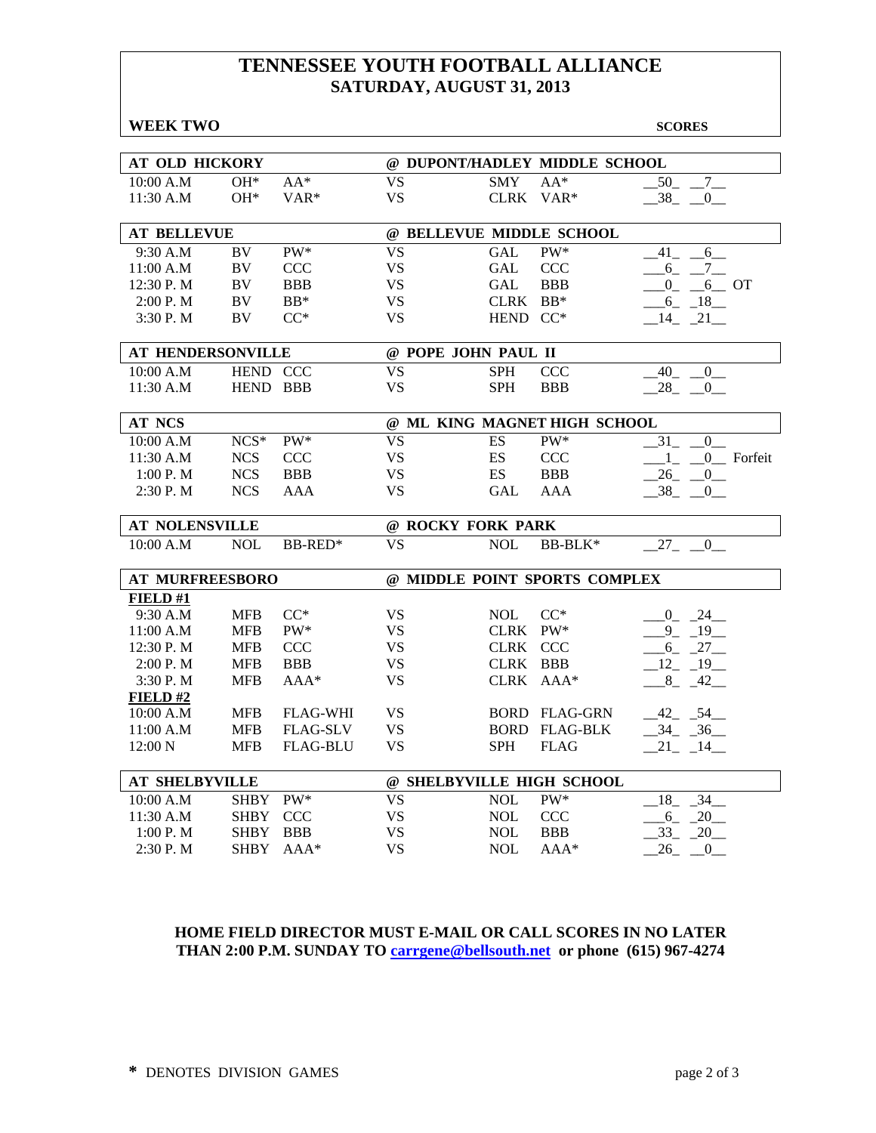# **TENNESSEE YOUTH FOOTBALL ALLIANCE SATURDAY, AUGUST 31, 2013**

| <b>WEEK TWO</b>        |             |                 |                               |                          |                               | <b>SCORES</b>                           |  |
|------------------------|-------------|-----------------|-------------------------------|--------------------------|-------------------------------|-----------------------------------------|--|
|                        |             |                 |                               |                          |                               |                                         |  |
| AT OLD HICKORY         |             |                 |                               |                          | @ DUPONT/HADLEY MIDDLE SCHOOL |                                         |  |
| 10:00 A.M              | $OH*$       | $AA*$           | <b>VS</b>                     | <b>SMY</b>               | $AA*$                         | 50<br>$7\overline{ }$                   |  |
| 11:30 A.M              | OH*         | $VAR*$          | <b>VS</b>                     | CLRK                     | $VAR*$                        | 38<br>$\mathbf{0}$                      |  |
| <b>AT BELLEVUE</b>     |             |                 |                               | @ BELLEVUE MIDDLE SCHOOL |                               |                                         |  |
| 9:30 A.M               | <b>BV</b>   | $PW^*$          | $\overline{\mathrm{VS}}$      | <b>GAL</b>               | $PW^*$                        | 41<br>6                                 |  |
| 11:00 A.M              | BV          | <b>CCC</b>      | <b>VS</b>                     | <b>GAL</b>               | <b>CCC</b>                    | 6<br>$-7$                               |  |
| 12:30 P.M              | BV          | <b>BBB</b>      | <b>VS</b>                     | <b>GAL</b>               | <b>BBB</b>                    | $\mathbf{0}$<br>6 OT                    |  |
| 2:00 P.M               | BV          | $BB*$           | <b>VS</b>                     | CLRK BB*                 |                               | $-6 - 18$                               |  |
| 3:30 P.M               | BV          | $CC^*$          | <b>VS</b>                     | HEND CC*                 |                               | $-14$ $-21$                             |  |
|                        |             |                 |                               |                          |                               |                                         |  |
| AT HENDERSONVILLE      |             |                 |                               | @ POPE JOHN PAUL II      |                               |                                         |  |
| 10:00 A.M              | HEND CCC    |                 | <b>VS</b>                     | <b>SPH</b>               | <b>CCC</b>                    | 40<br>$\mathbf{0}$                      |  |
| 11:30 A.M              | HEND BBB    |                 | <b>VS</b>                     | <b>SPH</b>               | <b>BBB</b>                    | $28 - 0$                                |  |
| <b>AT NCS</b>          |             |                 |                               |                          | @ ML KING MAGNET HIGH SCHOOL  |                                         |  |
| 10:00 A.M              | $NCS*$      | PW*             | <b>VS</b>                     | ES                       | PW*                           | $\overline{0}$<br>31                    |  |
| 11:30 A.M              | <b>NCS</b>  | <b>CCC</b>      | <b>VS</b>                     | ES                       | <b>CCC</b>                    | $1_{-}$ $0_{-}$ Forfeit                 |  |
| 1:00 P. M              | <b>NCS</b>  | <b>BBB</b>      | <b>VS</b>                     | ES                       | <b>BBB</b>                    | $26$ <sub>-</sub> $-$<br>$\overline{0}$ |  |
| 2:30 P.M               | <b>NCS</b>  | AAA             | VS                            | GAL                      | AAA                           | 38<br>0                                 |  |
|                        |             |                 |                               |                          |                               |                                         |  |
| <b>AT NOLENSVILLE</b>  |             |                 |                               | @ ROCKY FORK PARK        |                               |                                         |  |
| 10:00 A.M              | <b>NOL</b>  | BB-RED*         | <b>VS</b>                     | <b>NOL</b>               | BB-BLK*                       | $27_{-}$<br>$\mathbf{0}$                |  |
| <b>AT MURFREESBORO</b> |             |                 | @ MIDDLE POINT SPORTS COMPLEX |                          |                               |                                         |  |
| FIELD #1               |             |                 |                               |                          |                               |                                         |  |
| 9:30 A.M               | <b>MFB</b>  | $CC^*$          | <b>VS</b>                     | <b>NOL</b>               | $CC^*$                        | $-0$ $-24$                              |  |
| 11:00 A.M              | <b>MFB</b>  | PW*             | <b>VS</b>                     | CLRK PW*                 |                               | 19<br>9                                 |  |
| 12:30 P.M              | <b>MFB</b>  | <b>CCC</b>      | <b>VS</b>                     | CLRK CCC                 |                               | $6 - 27$                                |  |
| 2:00 P.M               | <b>MFB</b>  | <b>BBB</b>      | <b>VS</b>                     | CLRK BBB                 |                               | $12 - 19$                               |  |
| 3:30 P.M               | <b>MFB</b>  | $AAA*$          | <b>VS</b>                     | <b>CLRK</b>              | $AAA*$                        | $8_{-}$<br>42                           |  |
| FIELD#2                |             |                 |                               |                          |                               |                                         |  |
| 10:00 A.M              | <b>MFB</b>  | <b>FLAG-WHI</b> | <b>VS</b>                     |                          | <b>BORD FLAG-GRN</b>          | $-42$ $-54$                             |  |
| 11:00 A.M              | <b>MFB</b>  | <b>FLAG-SLV</b> | <b>VS</b>                     |                          | <b>BORD FLAG-BLK</b>          | $-34 - 36$                              |  |
| 12:00 N                | <b>MFB</b>  | <b>FLAG-BLU</b> | <b>VS</b>                     | <b>SPH</b>               | <b>FLAG</b>                   | $21 - 14$                               |  |
|                        |             |                 |                               |                          |                               |                                         |  |
| <b>AT SHELBYVILLE</b>  |             |                 |                               |                          | @ SHELBYVILLE HIGH SCHOOL     |                                         |  |
| 10:00 A.M              | <b>SHBY</b> | $PW^*$          | <b>VS</b>                     | <b>NOL</b>               | PW*                           | 34<br>18                                |  |
| 11:30 A.M              | <b>SHBY</b> | <b>CCC</b>      | <b>VS</b>                     | <b>NOL</b>               | <b>CCC</b>                    | 20<br>$6_{-}$                           |  |
| 1:00 P.M               | <b>SHBY</b> | <b>BBB</b>      | <b>VS</b>                     | <b>NOL</b>               | <b>BBB</b>                    | $33_{-}$<br>$-20$                       |  |
| 2:30 P.M               | <b>SHBY</b> | $AAA*$          | <b>VS</b>                     | <b>NOL</b>               | AAA*                          | 26<br>$\boldsymbol{0}$                  |  |

#### **HOME FIELD DIRECTOR MUST E-MAIL OR CALL SCORES IN NO LATER THAN 2:00 P.M. SUNDAY TO carrgene@bellsouth.net or phone (615) 967-4274**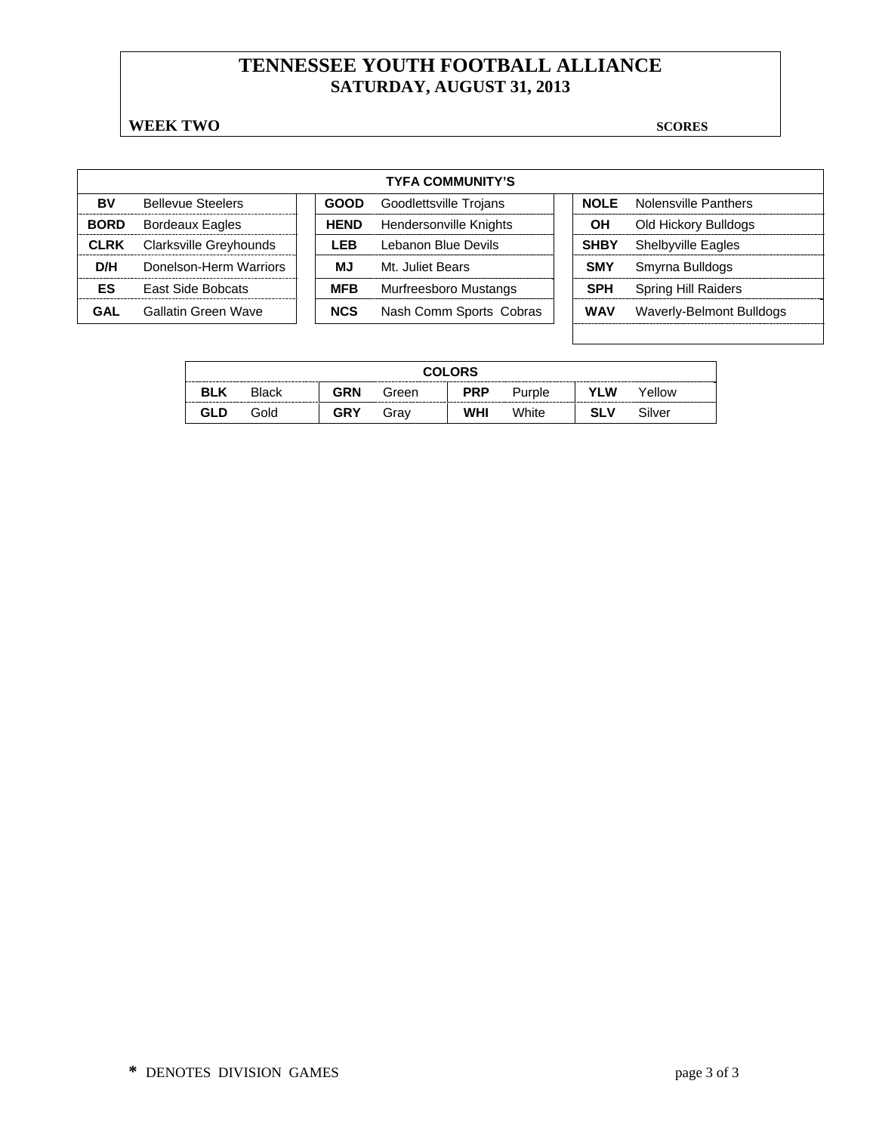# **TENNESSEE YOUTH FOOTBALL ALLIANCE SATURDAY, AUGUST 31, 2013**

#### **WEEK TWO SCORES**

| <b>TYFA COMMUNITY'S</b> |                          |  |             |                         |  |             |                            |  |  |
|-------------------------|--------------------------|--|-------------|-------------------------|--|-------------|----------------------------|--|--|
| BV                      | <b>Bellevue Steelers</b> |  | <b>GOOD</b> | Goodlettsville Trojans  |  | <b>NOLE</b> | Nolensville Panthers       |  |  |
| <b>BORD</b>             | <b>Bordeaux Eagles</b>   |  | <b>HEND</b> | Hendersonville Knights  |  | OН          | Old Hickory Bulldogs       |  |  |
| <b>CLRK</b>             | Clarksville Greyhounds   |  | LEB         | Lebanon Blue Devils     |  | <b>SHBY</b> | <b>Shelbyville Eagles</b>  |  |  |
| D/H                     | Donelson-Herm Warriors   |  | MJ          | Mt. Juliet Bears        |  | <b>SMY</b>  | Smyrna Bulldogs            |  |  |
| ES                      | <b>East Side Bobcats</b> |  | <b>MFB</b>  | Murfreesboro Mustangs   |  | <b>SPH</b>  | <b>Spring Hill Raiders</b> |  |  |
| GAL                     | Gallatin Green Wave      |  | <b>NCS</b>  | Nash Comm Sports Cobras |  | <b>WAV</b>  | Waverly-Belmont Bulldogs   |  |  |

| <b>COLORS</b> |              |            |       |            |        |            |        |  |  |
|---------------|--------------|------------|-------|------------|--------|------------|--------|--|--|
| <b>BLK</b>    | <b>Black</b> | <b>GRN</b> | Green | <b>PRP</b> | Purple | <b>YLW</b> | Yellow |  |  |
| GLD           | Gold         | <b>GRY</b> | Grav  | <b>WHI</b> | White  | <b>SLV</b> | Silver |  |  |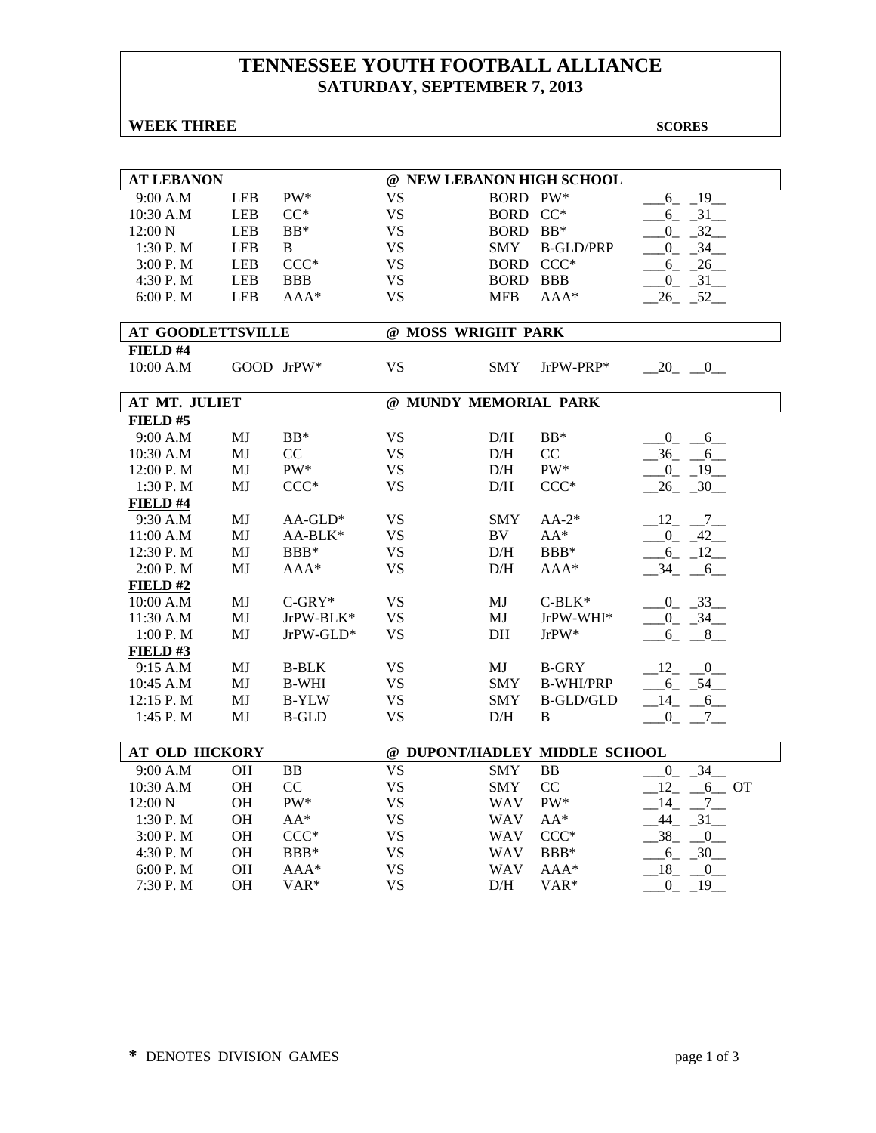# **TENNESSEE YOUTH FOOTBALL ALLIANCE SATURDAY, SEPTEMBER 7, 2013**

#### **WEEK THREE** SCORES

| <b>AT LEBANON</b>        |            |                  |           |                       | @ NEW LEBANON HIGH SCHOOL     |                                       |
|--------------------------|------------|------------------|-----------|-----------------------|-------------------------------|---------------------------------------|
| 9:00 A.M                 | <b>LEB</b> | $PW^*$           | <b>VS</b> | BORD PW*              |                               | $-19$<br>$6_{-}$                      |
| 10:30 A.M                | <b>LEB</b> | $CC^*$           | <b>VS</b> | BORD CC*              |                               | $6 - 31$                              |
| 12:00 N                  | <b>LEB</b> | $BB*$            | <b>VS</b> | BORD BB*              |                               | $0\quad 32$                           |
| 1:30P. M                 | <b>LEB</b> | B                | <b>VS</b> | <b>SMY</b>            | <b>B-GLD/PRP</b>              | $0 - 34$                              |
| 3:00 P.M                 | <b>LEB</b> | $CCC*$           | <b>VS</b> | BORD CCC*             |                               | $-6 - 26$                             |
| 4:30 P.M                 | <b>LEB</b> | <b>BBB</b>       | <b>VS</b> | BORD BBB              |                               | $0 - 31$                              |
| 6:00 P.M                 | <b>LEB</b> | $AAA*$           | <b>VS</b> | <b>MFB</b>            | $AAA*$                        | $26 - 52$                             |
|                          |            |                  |           |                       |                               |                                       |
| <b>AT GOODLETTSVILLE</b> |            |                  |           | @ MOSS WRIGHT PARK    |                               |                                       |
| FIELD #4                 |            |                  |           |                       |                               |                                       |
| 10:00 A.M                |            | GOOD JrPW*       | <b>VS</b> | SMY                   | JrPW-PRP*                     | $-20$ $-0$                            |
|                          |            |                  |           |                       |                               |                                       |
| AT MT. JULIET            |            |                  |           | @ MUNDY MEMORIAL PARK |                               |                                       |
| FIELD#5                  |            |                  |           |                       |                               |                                       |
| 9:00 A.M                 | MJ         | $BB*$            | <b>VS</b> | D/H                   | $BB*$                         | $-0 - 6$                              |
| 10:30 A.M                | MJ         | CC               | <b>VS</b> | D/H                   | CC                            | $-36$ $-6$                            |
| 12:00 P.M                | MJ         | PW*              | <b>VS</b> | D/H                   | PW*                           | $-0$ $-19$                            |
| 1:30 P.M                 | MJ         | $CCC*$           | <b>VS</b> | D/H                   | $CCC*$                        | $26 - 30$                             |
| <b>FIELD</b> #4          |            |                  |           |                       |                               |                                       |
| 9:30 A.M                 | MJ         | $AA$ -GLD*       | VS        | SMY                   | $AA-2*$                       | $-12$ , $-7$                          |
| 11:00 A.M                | MJ         | AA-BLK*          | <b>VS</b> | <b>BV</b>             | $AA^*$                        | $-0$ $-42$                            |
| 12:30 P.M                | MJ         | BBB*             | <b>VS</b> | D/H                   | BBB*                          | $-6$ $-12$                            |
| 2:00 P.M                 | MJ         | $\mathbf{AAA}^*$ | <b>VS</b> | D/H                   | $AAA*$                        | $-34 - 6$                             |
| FIELD#2                  |            |                  |           |                       |                               |                                       |
| 10:00 A.M                | MJ         | $C-GRY*$         | <b>VS</b> | MJ                    | $C-BLK*$                      | $-0$ $-33$                            |
| 11:30 A.M                | MJ         | JrPW-BLK*        | <b>VS</b> | MJ                    | JrPW-WHI*                     | $-0$ $-34$                            |
| 1:00 P.M                 | MJ         | $JrPW-GLD*$      | <b>VS</b> | DH                    | JrPW*                         | $6 - 8$                               |
| FIELD#3                  |            |                  |           |                       |                               |                                       |
| 9:15 A.M                 | MJ         | <b>B-BLK</b>     | VS.       | MJ                    | <b>B-GRY</b>                  | $12 \qquad 0$                         |
| 10:45 A.M                | MJ         | <b>B-WHI</b>     | <b>VS</b> | <b>SMY</b>            | <b>B-WHI/PRP</b>              | $-6 - 54$                             |
| 12:15 P.M                | MJ         | <b>B-YLW</b>     | <b>VS</b> | SMY                   | <b>B-GLD/GLD</b>              | $-14$ $-6$                            |
| 1:45 P.M                 | MJ         | <b>B-GLD</b>     | <b>VS</b> | D/H                   | B                             | 0<br>$7\phantom{0}$                   |
| <b>AT OLD HICKORY</b>    |            |                  |           |                       | @ DUPONT/HADLEY MIDDLE SCHOOL |                                       |
| 9:00 A.M                 | <b>OH</b>  | <b>BB</b>        | <b>VS</b> | <b>SMY</b>            | <b>BB</b>                     | $\overline{\phantom{0}34}$<br>$0_{-}$ |
| 10:30 A.M                | <b>OH</b>  | CC               | <b>VS</b> | SMY                   | CC                            | 12<br>$-6$ OT                         |
| 12:00 N                  | <b>OH</b>  | PW*              | <b>VS</b> | <b>WAV</b>            | PW*                           | $-14$ $-7$ $-$                        |
| 1:30 P.M                 | <b>OH</b>  | $AA^*$           | <b>VS</b> | WAV                   | $AA^*$                        | $44_{-}$<br>$-31$                     |
|                          | <b>OH</b>  | $CCC*$           | <b>VS</b> |                       | $CCC*$                        | 38 0                                  |
| 3:00P. M                 |            |                  |           | <b>WAV</b>            |                               |                                       |
| 4:30 P.M                 | OH         | BBB*             | <b>VS</b> | <b>WAV</b>            | BBB*                          | $6 - 30$                              |
| 6:00 P.M                 | <b>OH</b>  | $AAA*$           | <b>VS</b> | <b>WAV</b>            | $AAA*$                        | 18<br>$\overline{0}$                  |
| 7:30 P.M                 | <b>OH</b>  | VAR <sup>*</sup> | <b>VS</b> | D/H                   | VAR*                          | $-0$ $-19$                            |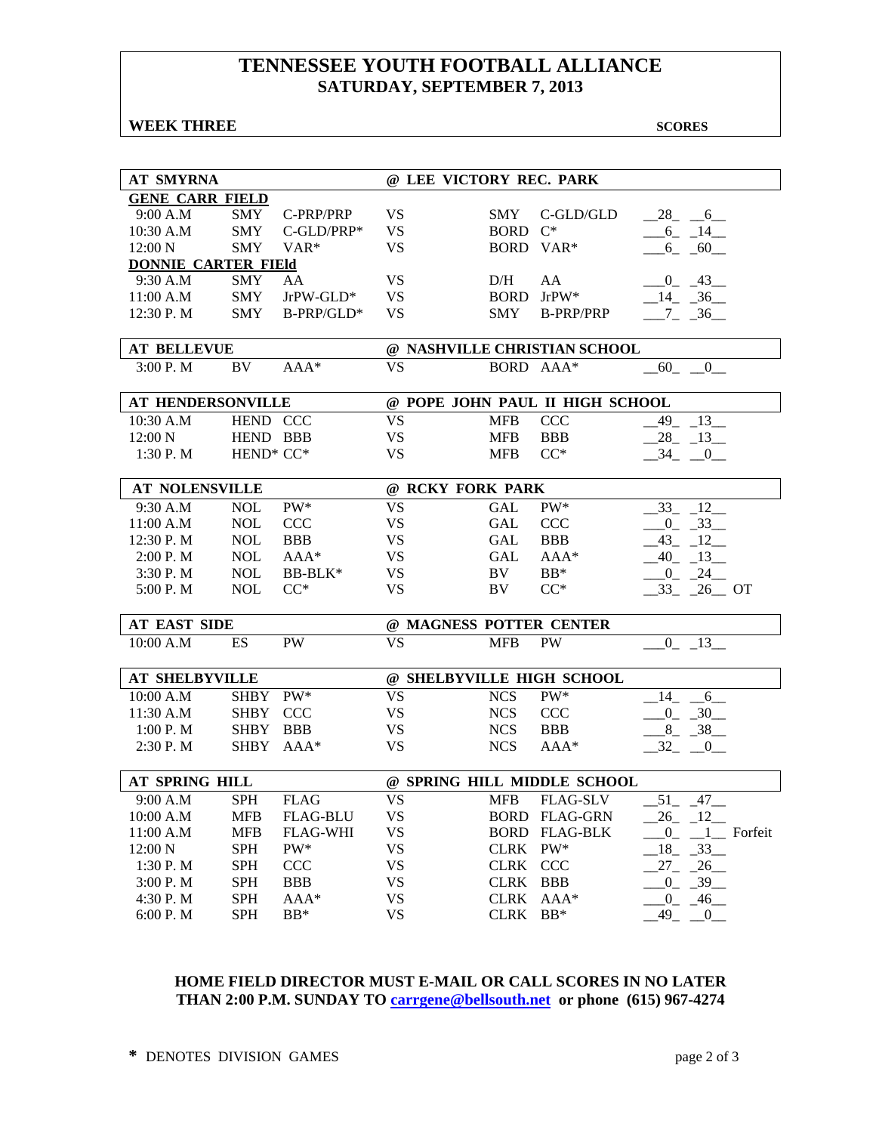## **TENNESSEE YOUTH FOOTBALL ALLIANCE SATURDAY, SEPTEMBER 7, 2013**

#### **WEEK THREE** SCORES

| <b>AT SMYRNA</b>           |             |                 | @ LEE VICTORY REC. PARK |             |                                 |                                                                                |
|----------------------------|-------------|-----------------|-------------------------|-------------|---------------------------------|--------------------------------------------------------------------------------|
| <b>GENE CARR FIELD</b>     |             |                 |                         |             |                                 |                                                                                |
| 9:00 A.M                   | SMY         | C-PRP/PRP       | <b>VS</b>               | <b>SMY</b>  | C-GLD/GLD                       | $-28$ <sub>-</sub> $-6$                                                        |
| 10:30 A.M                  | <b>SMY</b>  | $C$ -GLD/PRP*   | <b>VS</b>               | BORD C*     |                                 | $-6 - 14$                                                                      |
| 12:00 N                    | <b>SMY</b>  | VAR*            | <b>VS</b>               |             | BORD VAR*                       | $-6 - 60$                                                                      |
| <b>DONNIE CARTER FIEld</b> |             |                 |                         |             |                                 |                                                                                |
| 9:30 A.M                   | SMY         | AA              | <b>VS</b>               | D/H         | AA                              | $-0$ $-43$                                                                     |
| 11:00 A.M                  | <b>SMY</b>  | $JrPW-GLD*$     | <b>VS</b>               |             | BORD JrPW*                      | $-14$ $-36$                                                                    |
| 12:30 P.M                  | <b>SMY</b>  | B-PRP/GLD*      | <b>VS</b>               | <b>SMY</b>  | <b>B-PRP/PRP</b>                | $-7 - 36$                                                                      |
|                            |             |                 |                         |             |                                 |                                                                                |
| <b>AT BELLEVUE</b>         |             |                 |                         |             | @ NASHVILLE CHRISTIAN SCHOOL    |                                                                                |
| 3:00 P.M                   | BV          | $AAA*$          | <b>VS</b>               |             | BORD AAA*                       | 60<br>$\overline{0}$                                                           |
|                            |             |                 |                         |             |                                 |                                                                                |
| <b>AT HENDERSONVILLE</b>   |             |                 |                         |             | @ POPE JOHN PAUL II HIGH SCHOOL |                                                                                |
| 10:30 A.M                  | HEND CCC    |                 | <b>VS</b>               | <b>MFB</b>  | <b>CCC</b>                      | $-49$ $-13$                                                                    |
| 12:00 N                    | HEND BBB    |                 | <b>VS</b>               | <b>MFB</b>  | <b>BBB</b>                      | $-28$ <sub>-13</sub>                                                           |
| $1:30$ P. M                | HEND* CC*   |                 | <b>VS</b>               | <b>MFB</b>  | $CC^*$                          | $-34$ $-0$                                                                     |
|                            |             |                 |                         |             |                                 |                                                                                |
| <b>AT NOLENSVILLE</b>      |             |                 | @ RCKY FORK PARK        |             |                                 |                                                                                |
| 9:30 A.M                   | <b>NOL</b>  | PW*             | <b>VS</b>               | GAL         | PW*                             | -12<br>33                                                                      |
| 11:00 A.M                  | <b>NOL</b>  | <b>CCC</b>      | <b>VS</b>               | GAL         | <b>CCC</b>                      | $-0$ $-33$                                                                     |
| 12:30 P.M                  | <b>NOL</b>  | <b>BBB</b>      | <b>VS</b>               | <b>GAL</b>  | <b>BBB</b>                      | $-43$ $-12$                                                                    |
| 2:00 P. M                  | <b>NOL</b>  | $AAA*$          | <b>VS</b>               | GAL         | $AAA*$                          | $-40$ $-13$                                                                    |
| 3:30 P.M                   | <b>NOL</b>  | BB-BLK*         | <b>VS</b>               | BV          | $BB*$                           | $-0$ $-24$                                                                     |
| 5:00 P.M                   | <b>NOL</b>  | $CC^*$          | <b>VS</b>               | BV          | $CC^*$                          | $33 - 26$ OT                                                                   |
|                            |             |                 |                         |             |                                 |                                                                                |
| <b>AT EAST SIDE</b>        |             |                 | @ MAGNESS POTTER CENTER |             |                                 |                                                                                |
| 10:00 A.M                  | <b>ES</b>   | <b>PW</b>       | <b>VS</b>               | <b>MFB</b>  | PW                              | $-0$ $-13$                                                                     |
|                            |             |                 |                         |             |                                 |                                                                                |
| <b>AT SHELBYVILLE</b>      |             |                 |                         |             | @ SHELBYVILLE HIGH SCHOOL       |                                                                                |
| 10:00 A.M                  | SHBY PW*    |                 | <b>VS</b>               | <b>NCS</b>  | PW*                             | $-14$<br>6                                                                     |
| 11:30 A.M                  | <b>SHBY</b> | <b>CCC</b>      | <b>VS</b>               | <b>NCS</b>  | <b>CCC</b>                      | $-0$ $-30$                                                                     |
| 1:00 P. M                  | SHBY BBB    |                 | <b>VS</b>               | <b>NCS</b>  | <b>BBB</b>                      | $8 - 38$                                                                       |
| 2:30 P. M                  |             | SHBY AAA*       | <b>VS</b>               | <b>NCS</b>  | $AAA*$                          | $-32$ $-0$                                                                     |
|                            |             |                 |                         |             |                                 |                                                                                |
| <b>AT SPRING HILL</b>      |             |                 |                         |             | @ SPRING HILL MIDDLE SCHOOL     |                                                                                |
| 9:00 A.M                   | <b>SPH</b>  | <b>FLAG</b>     | <b>VS</b>               | <b>MFB</b>  | <b>FLAG-SLV</b>                 | $-51 - -47$                                                                    |
| 10:00 A.M                  | MFB         | <b>FLAG-BLU</b> | <b>VS</b>               |             | <b>BORD FLAG-GRN</b>            | $-26$ $-12$                                                                    |
| 11:00 A.M                  | <b>MFB</b>  | <b>FLAG-WHI</b> | <b>VS</b>               |             | <b>BORD FLAG-BLK</b>            | $\underline{\hspace{1cm}} 0$ <sub>-</sub> $\underline{\hspace{1cm}} 1$ Forfeit |
| 12:00 N                    | <b>SPH</b>  | PW*             | <b>VS</b>               | CLRK PW*    |                                 | $\_18$ <sub>-</sub> $\_33$ <sub>--</sub>                                       |
| 1:30 P.M                   | <b>SPH</b>  | <b>CCC</b>      | <b>VS</b>               | CLRK CCC    |                                 | $27 - 26$                                                                      |
| 3:00 P.M                   | <b>SPH</b>  | <b>BBB</b>      | <b>VS</b>               | <b>CLRK</b> | BBB                             | $-0$ $-39$                                                                     |
| 4:30 P.M                   | <b>SPH</b>  | $AAA*$          | <b>VS</b>               |             | CLRK AAA*                       | $-0$ $-46$                                                                     |
| 6:00 P.M                   | <b>SPH</b>  | $BB*$           | <b>VS</b>               | CLRK BB*    |                                 | $-49$ $-0$                                                                     |

#### **HOME FIELD DIRECTOR MUST E-MAIL OR CALL SCORES IN NO LATER THAN 2:00 P.M. SUNDAY TO carrgene@bellsouth.net or phone (615) 967-4274**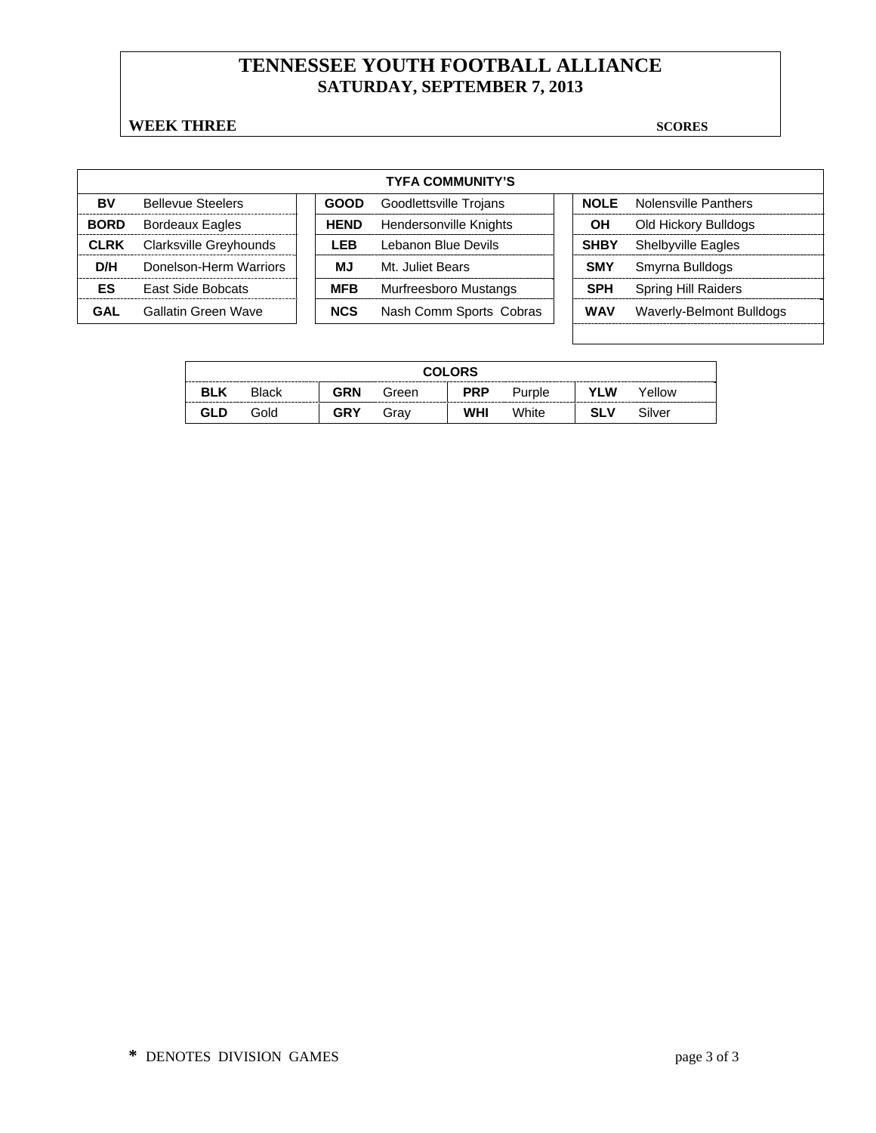# **TENNESSEE YOUTH FOOTBALL ALLIANCE SATURDAY, SEPTEMBER 7, 2013**

#### **WEEK THREE** SCORES

| <b>TYFA COMMUNITY'S</b> |                          |  |             |                         |  |             |                            |  |  |
|-------------------------|--------------------------|--|-------------|-------------------------|--|-------------|----------------------------|--|--|
| BV                      | <b>Bellevue Steelers</b> |  | <b>GOOD</b> | Goodlettsville Trojans  |  | <b>NOLE</b> | Nolensville Panthers       |  |  |
| <b>BORD</b>             | <b>Bordeaux Eagles</b>   |  | <b>HEND</b> | Hendersonville Knights  |  | OН          | Old Hickory Bulldogs       |  |  |
| <b>CLRK</b>             | Clarksville Greyhounds   |  | LEB         | Lebanon Blue Devils     |  | <b>SHBY</b> | <b>Shelbyville Eagles</b>  |  |  |
| D/H                     | Donelson-Herm Warriors   |  | МJ          | Mt. Juliet Bears        |  | <b>SMY</b>  | Smyrna Bulldogs            |  |  |
| ES                      | <b>East Side Bobcats</b> |  | <b>MFB</b>  | Murfreesboro Mustangs   |  | <b>SPH</b>  | <b>Spring Hill Raiders</b> |  |  |
| GAL                     | Gallatin Green Wave      |  | <b>NCS</b>  | Nash Comm Sports Cobras |  | <b>WAV</b>  | Waverly-Belmont Bulldogs   |  |  |

| <b>COLORS</b> |              |     |       |            |        |            |        |  |  |
|---------------|--------------|-----|-------|------------|--------|------------|--------|--|--|
| <b>BLK</b>    | <b>Black</b> | GRN | Green | <b>PRP</b> | Purple | <b>YLW</b> | Yellow |  |  |
| <b>GLD</b>    | Gold         | GRY | Grav  | <b>WHI</b> | White  | <b>SLV</b> | Silver |  |  |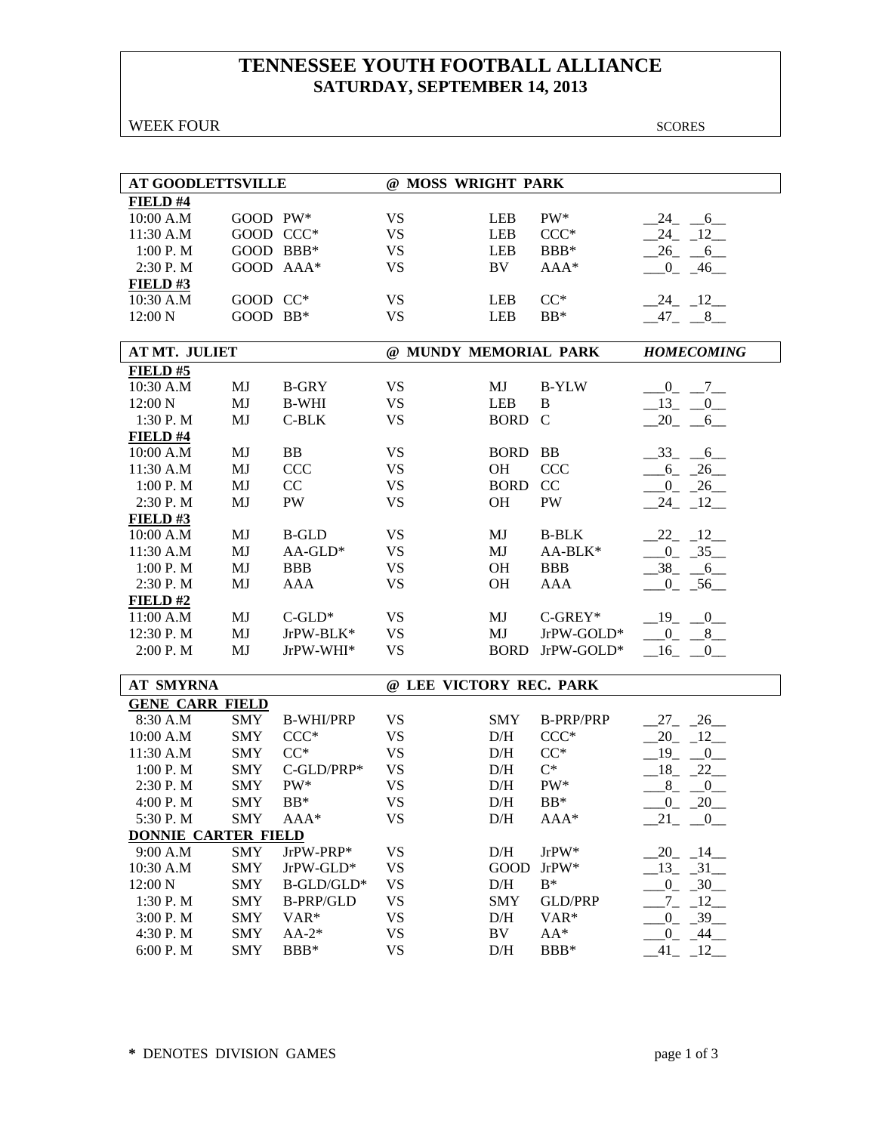# **TENNESSEE YOUTH FOOTBALL ALLIANCE SATURDAY, SEPTEMBER 14, 2013**

#### WEEK FOUR SCORES

| <b>AT GOODLETTSVILLE</b>   |            |                  | @ MOSS WRIGHT PARK      |             |                  |                          |  |  |
|----------------------------|------------|------------------|-------------------------|-------------|------------------|--------------------------|--|--|
| FIELD #4                   |            |                  |                         |             |                  |                          |  |  |
| 10:00 A.M                  | GOOD PW*   |                  | <b>VS</b>               | <b>LEB</b>  | PW*              | 24 6                     |  |  |
| 11:30 A.M                  | GOOD CCC*  |                  | <b>VS</b>               | <b>LEB</b>  | $CCC*$           | $-24$ $-12$              |  |  |
| 1:00 P.M                   | GOOD BBB*  |                  | <b>VS</b>               | <b>LEB</b>  | BBB*             | $-26$ $-6$               |  |  |
| 2:30 P.M                   | GOOD AAA*  |                  | <b>VS</b>               | BV          | AAA*             | $-0$ $-46$               |  |  |
| <b>FIELD#3</b>             |            |                  |                         |             |                  |                          |  |  |
| 10:30 A.M                  | GOOD CC*   |                  | <b>VS</b>               | <b>LEB</b>  | $CC^*$           | $-24$ $-12$              |  |  |
| 12:00 N                    | GOOD BB*   |                  | <b>VS</b>               | <b>LEB</b>  | $BB*$            | $-47 - 8$                |  |  |
|                            |            |                  |                         |             |                  |                          |  |  |
| AT MT. JULIET              |            |                  | @ MUNDY MEMORIAL PARK   |             |                  | <b>HOMECOMING</b>        |  |  |
| FIELD#5                    |            |                  |                         |             |                  |                          |  |  |
| 10:30 A.M                  | MJ         | <b>B-GRY</b>     | <b>VS</b>               | MJ          | <b>B-YLW</b>     | $-0$ $-7$                |  |  |
| 12:00 N                    | MJ         | <b>B-WHI</b>     | <b>VS</b>               | <b>LEB</b>  | $\, {\bf B}$     | $-13 - 0$                |  |  |
| 1:30 P.M                   | MJ         | $C-BLK$          | <b>VS</b>               | <b>BORD</b> | $\mathcal{C}$    | $-20 - 6$                |  |  |
| FIELD #4                   |            |                  |                         |             |                  |                          |  |  |
| 10:00 A.M                  | MJ         | BB               | <b>VS</b>               | <b>BORD</b> | <b>BB</b>        | $-33$<br>$6\overline{6}$ |  |  |
| 11:30 A.M                  | MJ         | <b>CCC</b>       | <b>VS</b>               | OH          | <b>CCC</b>       | $6 - 26$                 |  |  |
| 1:00 P.M                   | MJ         | CC               | <b>VS</b>               | <b>BORD</b> | CC               | $0\qquad 26$             |  |  |
| 2:30 P.M                   | MJ         | <b>PW</b>        | <b>VS</b>               | OH          | PW               | $-24$ $-12$              |  |  |
| $FIED$ #3                  |            |                  |                         |             |                  |                          |  |  |
| 10:00 A.M                  | MJ         | <b>B-GLD</b>     | <b>VS</b>               | MJ          | <b>B-BLK</b>     | $-22 - 12$               |  |  |
| 11:30 A.M                  | MJ         | $AA$ -GLD*       | <b>VS</b>               | MJ          | AA-BLK*          | $-0$ $-35$               |  |  |
| 1:00 P.M                   | MJ         | <b>BBB</b>       | <b>VS</b>               | OH          | <b>BBB</b>       | $-38$ $-6$               |  |  |
| 2:30 P.M                   | MJ         | <b>AAA</b>       | <b>VS</b>               | OH          | <b>AAA</b>       | $-0$ $-56$               |  |  |
| FIELD#2                    |            |                  |                         |             |                  |                          |  |  |
| 11:00 A.M                  | MJ         | $C$ -GLD*        | <b>VS</b>               | MJ          | $C-GREV*$        | 19<br>$-0$               |  |  |
| 12:30 P.M                  | MJ         | JrPW-BLK*        | <b>VS</b>               | MJ          | JrPW-GOLD*       | $\overline{0}$<br>$-8$   |  |  |
| 2:00 P.M                   | MJ         | JrPW-WHI*        | <b>VS</b>               | <b>BORD</b> | JrPW-GOLD*       | $-16$<br>$\overline{0}$  |  |  |
|                            |            |                  |                         |             |                  |                          |  |  |
| <b>AT SMYRNA</b>           |            |                  | @ LEE VICTORY REC. PARK |             |                  |                          |  |  |
| <b>GENE CARR FIELD</b>     |            |                  |                         |             |                  |                          |  |  |
| 8:30 A.M                   | SMY        | <b>B-WHI/PRP</b> | <b>VS</b>               | <b>SMY</b>  | <b>B-PRP/PRP</b> | $27 - 26$                |  |  |
| 10:00 A.M                  | <b>SMY</b> | $CCC*$           | <b>VS</b>               | D/H         | $CCC*$           | 12<br>20                 |  |  |
| 11:30 A.M                  | <b>SMY</b> | $CC^*$           | <b>VS</b>               | D/H         | $CC^*$           | 19<br>0                  |  |  |
| 1:00 P.M                   | <b>SMY</b> | C-GLD/PRP*       | <b>VS</b>               | D/H         | $C^*$            | $18 - 22$                |  |  |
| 2:30 P.M                   | <b>SMY</b> | PW*              | <b>VS</b>               | D/H         | $PW^*$           | $8 - 0$                  |  |  |
| 4:00 P.M                   | <b>SMY</b> | $BB*$            | <b>VS</b>               | D/H         | $BB*$            | $-20$<br>$_{0_-}$        |  |  |
| 5:30 P.M                   | <b>SMY</b> | AAA*             | <b>VS</b>               | $\rm{D/H}$  | AAA*             | 21<br>$-0$               |  |  |
| <b>DONNIE CARTER FIELD</b> |            |                  |                         |             |                  |                          |  |  |
| 9:00 A.M                   | <b>SMY</b> | JrPW-PRP*        | <b>VS</b>               | D/H         | JrPW*            | $-20$ $-14$ $-$          |  |  |
| 10:30 A.M                  | <b>SMY</b> | JrPW-GLD*        | <b>VS</b>               | GOOD        | $JrPW^*$         | $-13$ $-31$              |  |  |
| 12:00 N                    | <b>SMY</b> | B-GLD/GLD*       | <b>VS</b>               | $\rm{D/H}$  | $\mathrm{B}^*$   | $-0$ $-30$               |  |  |
| 1:30 P.M                   | <b>SMY</b> | <b>B-PRP/GLD</b> | <b>VS</b>               | <b>SMY</b>  | <b>GLD/PRP</b>   | $-12$<br>$7_{-}$         |  |  |
| 3:00 P.M                   | <b>SMY</b> | VAR*             | <b>VS</b>               | D/H         | VAR <sup>*</sup> | $0_{-}$<br>$-39$         |  |  |
| 4:30 P.M                   | <b>SMY</b> | $AA-2*$          | <b>VS</b>               | BV          | $AA^*$           | $_{0}^{0}$<br>$-44$      |  |  |
| 6:00 P.M                   | <b>SMY</b> | BBB*             | <b>VS</b>               | D/H         | BBB*             | 41<br>$-12$              |  |  |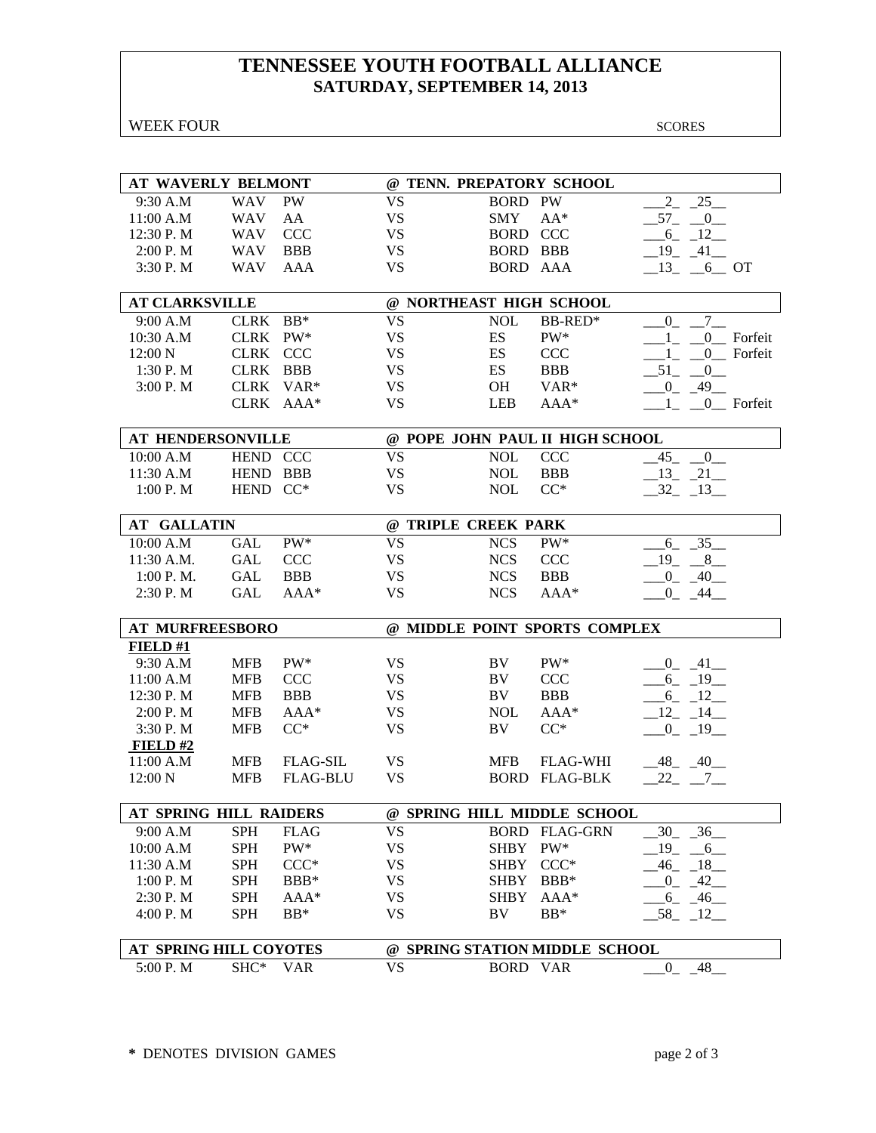# **TENNESSEE YOUTH FOOTBALL ALLIANCE SATURDAY, SEPTEMBER 14, 2013**

| <b>WEEK FOUR</b> | <b>SCORES</b> |
|------------------|---------------|
|------------------|---------------|

| AT WAVERLY BELMONT                 |             |                 |                         |                 | @ TENN. PREPATORY SCHOOL        |                                     |
|------------------------------------|-------------|-----------------|-------------------------|-----------------|---------------------------------|-------------------------------------|
| 9:30 A.M                           | <b>WAV</b>  | PW              | <b>VS</b>               | <b>BORD PW</b>  |                                 | $\overline{2}$<br>$25$ <sub>—</sub> |
| 11:00 A.M                          | <b>WAV</b>  | AA              | <b>VS</b>               | <b>SMY</b>      | $AA^*$                          | $-57$ $-0$ $-$                      |
| 12:30 P.M                          | <b>WAV</b>  | <b>CCC</b>      | <b>VS</b>               | <b>BORD CCC</b> |                                 | $-6 - 12$                           |
| 2:00 P. M                          | <b>WAV</b>  | <b>BBB</b>      | <b>VS</b>               | <b>BORD BBB</b> |                                 | $-19$ $-41$                         |
| 3:30 P.M                           | <b>WAV</b>  | AAA             | <b>VS</b>               | BORD AAA        |                                 | $-13$ $-6$ OT                       |
|                                    |             |                 |                         |                 |                                 |                                     |
| <b>AT CLARKSVILLE</b>              |             |                 | @ NORTHEAST HIGH SCHOOL |                 |                                 |                                     |
| 9:00 A.M                           | CLRK BB*    |                 | <b>VS</b>               | <b>NOL</b>      | <b>BB-RED*</b>                  | $7\overline{ }$<br>$\mathbf{0}$     |
| 10:30 A.M                          | CLRK PW*    |                 | <b>VS</b>               | ES              | PW*                             | $1_{-}$ $0_{-}$ Forfeit             |
| 12:00 N                            | CLRK CCC    |                 | <b>VS</b>               | ES              | CCC                             | $1 0$ Forfeit                       |
| 1:30 P.M                           | CLRK BBB    |                 | <b>VS</b>               | ES              | <b>BBB</b>                      | $-51$ $-0$                          |
| 3:00 P.M                           | <b>CLRK</b> | $VAR*$          | <b>VS</b>               | OH              | VAR*                            | $-0$ $-49$                          |
|                                    |             | CLRK AAA*       | <b>VS</b>               | <b>LEB</b>      | AAA*                            | $1_{-}$ $0_{-}$ Forfeit             |
|                                    |             |                 |                         |                 |                                 |                                     |
| AT HENDERSONVILLE                  |             |                 |                         |                 | @ POPE JOHN PAUL II HIGH SCHOOL |                                     |
| 10:00 A.M                          | HEND CCC    |                 | <b>VS</b>               | <b>NOL</b>      | <b>CCC</b>                      | $-45 - 0$                           |
| 11:30 A.M                          | HEND BBB    |                 | <b>VS</b>               | <b>NOL</b>      | <b>BBB</b>                      | $-13$ $-21$                         |
| 1:00 P. M                          | HEND CC*    |                 | <b>VS</b>               | <b>NOL</b>      | $CC^*$                          | $-32 - 13$                          |
|                                    |             |                 |                         |                 |                                 |                                     |
| <b>AT GALLATIN</b>                 |             |                 | @ TRIPLE CREEK PARK     |                 |                                 |                                     |
| 10:00 A.M                          | <b>GAL</b>  | PW*             | <b>VS</b>               | <b>NCS</b>      | PW*                             | $6 - 35$                            |
| 11:30 A.M.                         | GAL         | <b>CCC</b>      | <b>VS</b>               | <b>NCS</b>      | <b>CCC</b>                      | $-19$ $-8$                          |
| 1:00 P. M.                         | <b>GAL</b>  | <b>BBB</b>      | <b>VS</b>               | <b>NCS</b>      | <b>BBB</b>                      | $-0$ $-40$                          |
| 2:30 P.M                           | <b>GAL</b>  | AAA*            | <b>VS</b>               | <b>NCS</b>      | AAA*                            | $-0$ $-44$ $-$                      |
|                                    |             |                 |                         |                 |                                 |                                     |
|                                    |             |                 |                         |                 |                                 |                                     |
| <b>AT MURFREESBORO</b>             |             |                 |                         |                 | @ MIDDLE POINT SPORTS COMPLEX   |                                     |
| FIELD#1                            |             |                 |                         |                 |                                 |                                     |
| 9:30 A.M                           | <b>MFB</b>  | $PW^*$          | <b>VS</b>               | BV              | $PW^*$                          | $-0$ $-41$ $-$                      |
| 11:00 A.M                          | <b>MFB</b>  | <b>CCC</b>      | <b>VS</b>               | BV              | <b>CCC</b>                      | $-6 - 19$                           |
| 12:30 P.M                          | <b>MFB</b>  | <b>BBB</b>      | <b>VS</b>               | BV              | <b>BBB</b>                      | $-6$ $-12$                          |
| 2:00 P.M                           | <b>MFB</b>  | $AAA*$          | <b>VS</b>               | <b>NOL</b>      | AAA*                            | $-12$ $-14$ $-$                     |
| 3:30 P.M                           | <b>MFB</b>  | $CC^*$          | <b>VS</b>               | BV              | $CC^*$                          | $-0$ $-19$ $-$                      |
| FIELD# $2$                         |             |                 |                         |                 |                                 |                                     |
| 11:00 A.M                          | <b>MFB</b>  | <b>FLAG-SIL</b> | <b>VS</b>               | <b>MFB</b>      | <b>FLAG-WHI</b>                 | $-48$ $-40$                         |
| 12:00 N                            | <b>MFB</b>  | <b>FLAG-BLU</b> | <b>VS</b>               |                 | <b>BORD FLAG-BLK</b>            | $22 - 7$                            |
|                                    |             |                 |                         |                 |                                 |                                     |
| <b>AT SPRING HILL RAIDERS</b>      |             |                 |                         |                 | @ SPRING HILL MIDDLE SCHOOL     |                                     |
| 9:00 A.M                           | SPH         | <b>FLAG</b>     | <b>VS</b>               |                 | <b>BORD FLAG-GRN</b>            | $_{.30}$<br>$-36$                   |
| 10:00 A.M                          | <b>SPH</b>  | $PW^*$          | <b>VS</b>               | SHBY            | $PW^*$                          | 19<br>6                             |
| 11:30 A.M                          | <b>SPH</b>  | $CCC*$          | <b>VS</b>               | SHBY CCC*       |                                 | 46<br>18                            |
| 1:00 P.M                           | <b>SPH</b>  | BBB*            | <b>VS</b>               | <b>SHBY</b>     | $BBB*$                          | $-42$<br>$\overline{0}$             |
| 2:30 P.M                           | <b>SPH</b>  | AAA*            | <b>VS</b>               | <b>SHBY</b>     | AAA*                            | $-6 - 46$                           |
| 4:00 P.M                           | <b>SPH</b>  | $BB*$           | <b>VS</b>               | BV              | $BB*$                           | $-58$ <sub>-12</sub>                |
|                                    |             |                 |                         |                 |                                 |                                     |
| AT SPRING HILL COYOTES<br>5:00 P.M | SHC*        | <b>VAR</b>      | <b>VS</b>               | <b>BORD VAR</b> | @ SPRING STATION MIDDLE SCHOOL  | $0 - 48$                            |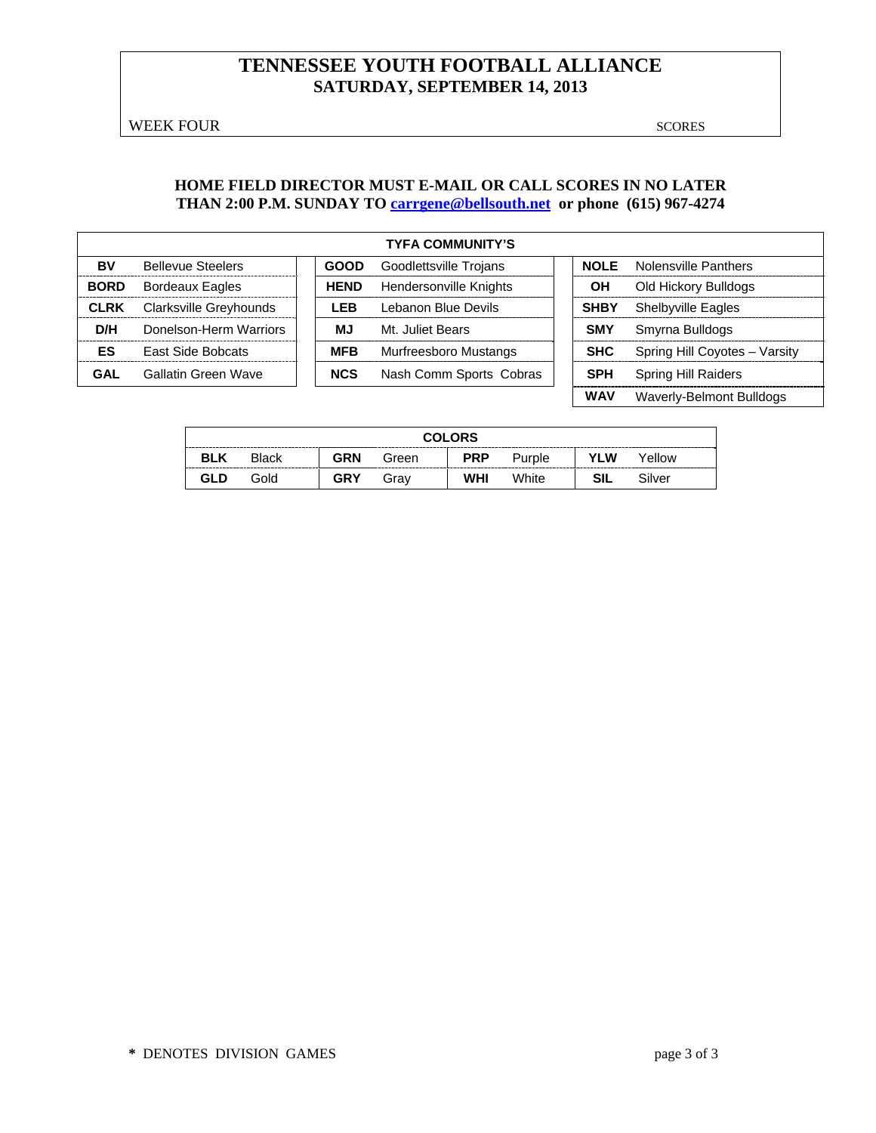# **TENNESSEE YOUTH FOOTBALL ALLIANCE SATURDAY, SEPTEMBER 14, 2013**

WEEK FOUR SCORES

 **WAV** Waverly-Belmont Bulldogs

#### **HOME FIELD DIRECTOR MUST E-MAIL OR CALL SCORES IN NO LATER THAN 2:00 P.M. SUNDAY TO carrgene@bellsouth.net or phone (615) 967-4274**

|             | <b>TYFA COMMUNITY'S</b>  |  |             |                               |  |             |                                  |  |  |  |  |
|-------------|--------------------------|--|-------------|-------------------------------|--|-------------|----------------------------------|--|--|--|--|
| BV          | <b>Bellevue Steelers</b> |  | <b>GOOD</b> | <b>Goodlettsville Trojans</b> |  |             | <b>NOLE</b> Nolensville Panthers |  |  |  |  |
| <b>BORD</b> | <b>Bordeaux Eagles</b>   |  | <b>HEND</b> | Hendersonville Knights        |  | OН          | Old Hickory Bulldogs             |  |  |  |  |
| <b>CLRK</b> | Clarksville Greyhounds   |  | I FB        | Lebanon Blue Devils           |  | <b>SHBY</b> | <b>Shelbyville Eagles</b>        |  |  |  |  |
| D/H         | Donelson-Herm Warriors   |  | МJ          | Mt. Juliet Bears              |  | <b>SMY</b>  | Smyrna Bulldogs                  |  |  |  |  |
| ES          | <b>East Side Bobcats</b> |  | <b>MFB</b>  | Murfreesboro Mustangs         |  | <b>SHC</b>  | Spring Hill Coyotes - Varsity    |  |  |  |  |
| GAL         | Gallatin Green Wave      |  | <b>NCS</b>  | Nash Comm Sports Cobras       |  | <b>SPH</b>  | <b>Spring Hill Raiders</b>       |  |  |  |  |

|            | <b>COLORS</b> |            |       |            |        |            |        |  |  |  |
|------------|---------------|------------|-------|------------|--------|------------|--------|--|--|--|
| <b>BLK</b> | <b>Black</b>  | <b>GRN</b> | Green | <b>PRP</b> | Purple | <b>YLW</b> | Yellow |  |  |  |
| GLD        | Gold          | GRY        | Gray  | WHI        | White  | SIL        | Silver |  |  |  |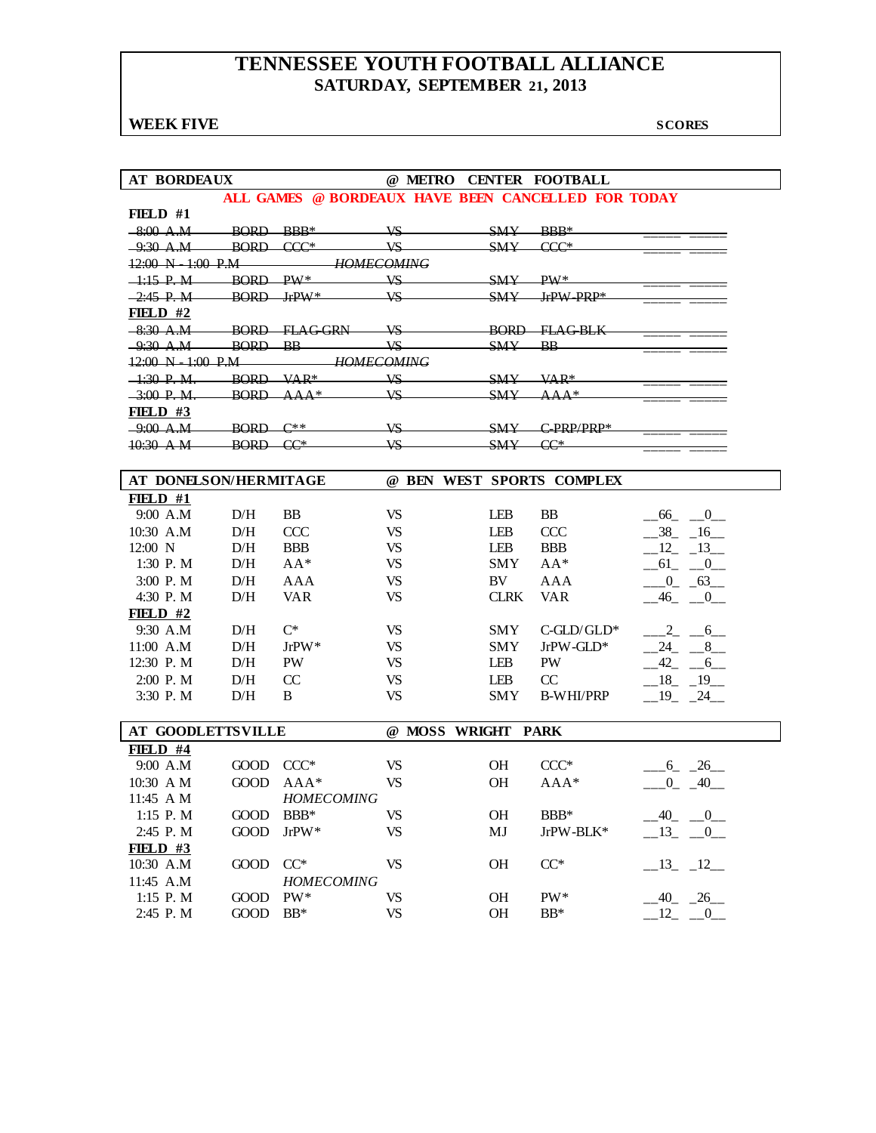# **TENNESSEE YOUTH FOOTBALL ALLIANCE SATURDAY, SEPTEMBER 21, 2013**

## **WEEK FIVE** SCORES

| <b>AT BORDEAUX</b>                   |              |                                                    |                 |                    |              | @ METRO CENTER FOOTBALL   |                      |
|--------------------------------------|--------------|----------------------------------------------------|-----------------|--------------------|--------------|---------------------------|----------------------|
|                                      |              | ALL GAMES @ BORDFAUX HAVE BEEN CANCELLED FOR TODAY |                 |                    |              |                           |                      |
| FIELD $#1$                           |              |                                                    |                 |                    |              |                           |                      |
| $-8:00$ A.M                          | $BORD-BBB*$  |                                                    | $V\!S$          |                    | $SMY = RRR*$ |                           |                      |
| $-9.30 \text{ A.M}$                  |              | BORD CCC*                                          | $\overline{MS}$ |                    | <b>SMY</b>   | $CCC*$                    |                      |
| $12:00 \text{ N}$ $1:00 \text{ P.M}$ |              | <i><b>HOMECOMING</b></i>                           |                 |                    |              |                           |                      |
| $-1:15$ P.M BORD PW*                 |              |                                                    | VS              |                    | $SW$ $PW*$   |                           |                      |
| $-2:45$ P.M                          | $BORD$ JrPW* |                                                    | VS.             |                    |              | $SW = IPW - PRP*$         |                      |
| FIELD $#2$                           |              |                                                    |                 |                    |              |                           |                      |
|                                      |              | -8:30 A.M BORD FLAGGRN VS                          |                 |                    |              | BORD FLAGBLK              |                      |
| $-9:30$ A.M                          | BORD BB      |                                                    | $V\!S$          |                    | $SMY$ BB     |                           |                      |
| $12:00 \text{ N} - 1:00 \text{ P.M}$ |              | <b>HOMECOMING</b>                                  |                 |                    |              |                           |                      |
| $1:30$ P.M. BORD VAR*                |              |                                                    | $V\!S$          |                    | SMY          | $VAP*$                    |                      |
| $-3:00$ P.M.                         |              | $BORD$ $AAA*$                                      | $V\mathcal{S}$  |                    | SMY          | $\Delta \Delta \Delta *$  |                      |
| FIELD $#3$                           |              |                                                    |                 |                    |              |                           |                      |
| $-9:00$ A.M                          | $BORD C**$   |                                                    | $V\!S$          |                    |              | $SW$ C PRP/PRP*           |                      |
| $10:30$ A M                          | $BORD$ $CC*$ |                                                    | VS-             |                    | <b>SMY</b>   | $CC^*$                    |                      |
|                                      |              |                                                    |                 |                    |              |                           |                      |
| AT DONELSON/HERMITAGE                |              |                                                    |                 |                    |              | @ BEN WEST SPORTS COMPLEX |                      |
| $FIBLD$ #1                           |              |                                                    |                 |                    |              |                           |                      |
| 9:00 A.M                             | D/H          | <b>BB</b>                                          | <b>VS</b>       |                    | LEB          | <b>BB</b>                 | $-66$ $-0$           |
| 10:30 A.M                            | D/H          | <b>CCC</b>                                         | <b>VS</b>       |                    | <b>LEB</b>   | <b>CCC</b>                | 38 16                |
| $12:00$ N                            | D/H          | <b>BBB</b>                                         | <b>VS</b>       |                    | <b>LEB</b>   | <b>BBB</b>                | 12 13                |
| 1:30 P.M                             | D/H          | $AA^*$                                             | <b>VS</b>       |                    | SMY          | $AA^*$                    | 61 0                 |
| 3:00 P.M                             | D/H          | <b>AAA</b>                                         | <b>VS</b>       |                    | BV           | <b>AAA</b>                | $-0$ $-63$           |
| 4:30 P.M                             | D/H          | <b>VAR</b>                                         | <b>VS</b>       |                    | <b>CLRK</b>  | <b>VAR</b>                | $-46$ $-0$ $-$       |
| FIELD $#2$                           |              |                                                    |                 |                    |              |                           |                      |
| 9:30 A.M                             | D/H          | $C^*$                                              | <b>VS</b>       |                    | <b>SMY</b>   | $C$ -GLD/GLD*             | $-2 - 6$             |
| $11:00$ A.M                          | D/H          | $JrPW^*$                                           | <b>VS</b>       |                    | SMY          | $JrPW-GLD*$               | $-24$ $-8$           |
| 12:30 P.M                            | D/H          | <b>PW</b>                                          | <b>VS</b>       |                    | LEB          | PW                        | $-42 - -6$           |
| $2:00$ P. M                          | D/H          | CC                                                 | <b>VS</b>       |                    | <b>LEB</b>   | CC                        | $-18$ $-19$ $-$      |
| 3:30 P.M                             | D/H          | B                                                  | <b>VS</b>       |                    | SMY          | B-WHI/PRP                 | $-19$ $-24$          |
|                                      |              |                                                    |                 |                    |              |                           |                      |
| <b>AT GOODLETTSVILLE</b>             |              |                                                    |                 | @ MOSS WRIGHT PARK |              |                           |                      |
| FIELD $#4$                           |              |                                                    |                 |                    |              |                           |                      |
| 9:00 A.M                             | GOOD CCC*    |                                                    | <b>VS</b>       |                    | <b>OH</b>    | $CCC*$                    | $-6 - 26$            |
| $10:30$ A M                          | <b>GOOD</b>  | $AAA*$                                             | <b>VS</b>       |                    | <b>OH</b>    | $AAA*$                    | $-0$ $-40$           |
| 11:45 A M                            |              | <b>HOMECOMING</b>                                  |                 |                    |              |                           |                      |
| 1:15 P.M                             | <b>GOOD</b>  | $BBB*$                                             | <b>VS</b>       |                    | OH           | BBB*                      | $-40$ $-0$           |
| 2:45 P.M                             | <b>GOOD</b>  | JrPW*                                              | <b>VS</b>       |                    | MJ           | JrPW-BLK*                 | $-13$<br>$-0$        |
| FIELD $#3$                           |              |                                                    |                 |                    |              |                           |                      |
| 10:30 A.M                            | <b>GOOD</b>  | $CC^*$                                             | <b>VS</b>       |                    | OH           | $CC^*$                    | $-13$ $-12$          |
| 11:45 A.M                            |              | HOMECOMING                                         |                 |                    |              |                           |                      |
| 1:15 P.M                             | GOOD         | PW*                                                | <b>VS</b>       |                    | OH           | PW*                       | $-40$ $-26$ $-$      |
| 2:45 P.M                             | GOOD         | $BB*$                                              | <b>VS</b>       |                    | OH           | $BB*$                     | 12<br>$\overline{0}$ |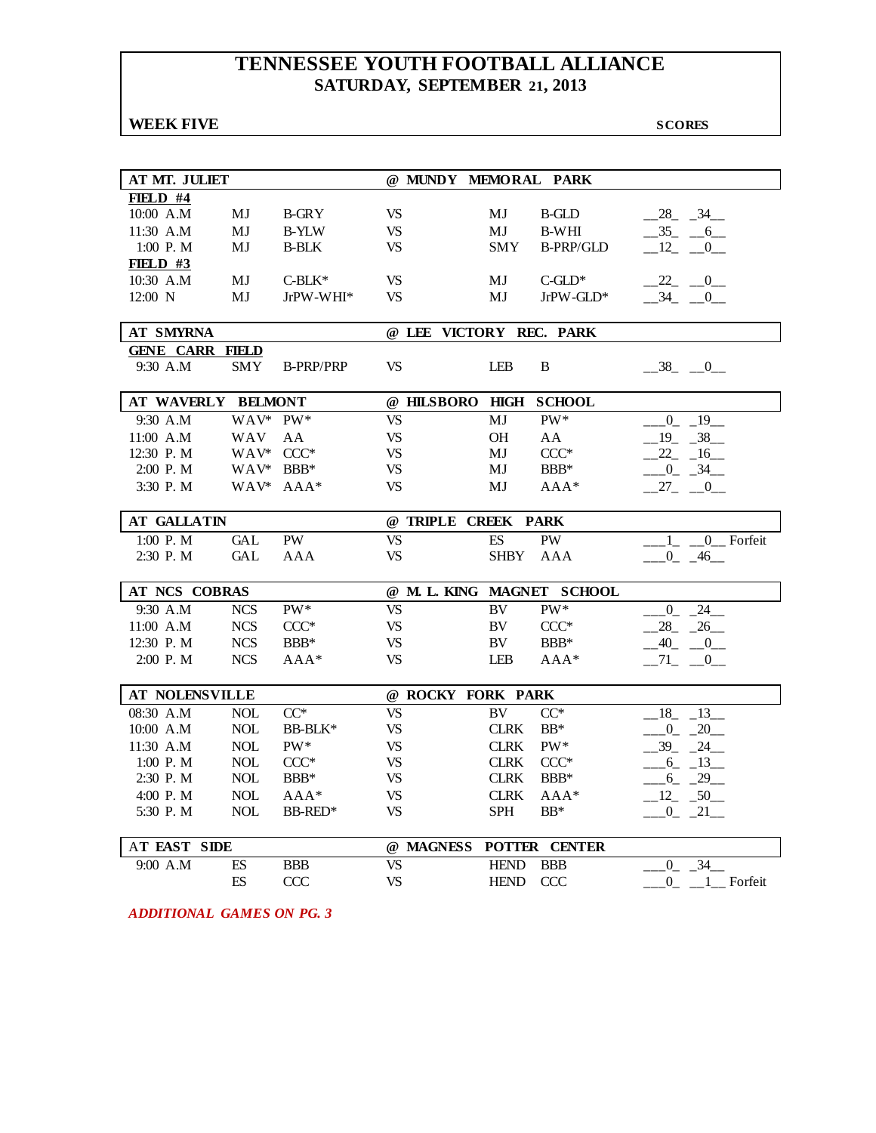# **TENNESSEE YOUTH FOOTBALL ALLIANCE SATURDAY, SEPTEMBER 21, 2013**

| <b>WEEK FIVE</b>        |                          |                  |                        |                         |                          |                            | <b>SCORES</b>                        |
|-------------------------|--------------------------|------------------|------------------------|-------------------------|--------------------------|----------------------------|--------------------------------------|
|                         |                          |                  |                        |                         |                          |                            |                                      |
|                         |                          |                  |                        |                         |                          |                            |                                      |
| AT MT. JULIET           |                          |                  |                        | @ MUNDY MEMORAL PARK    |                          |                            |                                      |
| $FIBLD$ #4<br>10:00 A.M | MJ                       | <b>B-GRY</b>     | <b>VS</b>              |                         | MJ                       | <b>B-GLD</b>               | 28 34                                |
| 11:30 A.M               | MJ                       | <b>B-YLW</b>     | <b>VS</b>              |                         | MJ                       | <b>B-WHI</b>               | $-35 - -6$                           |
| 1:00 P.M                | MJ                       | <b>B-BLK</b>     | <b>VS</b>              |                         | <b>SMY</b>               | <b>B-PRP/GLD</b>           | $-12$ $-0$                           |
| <b>FIELD #3</b>         |                          |                  |                        |                         |                          |                            |                                      |
| 10:30 A.M               | MJ                       | $C-BLK*$         | <b>VS</b>              |                         | MJ                       | $C$ -GLD*                  | $-22$ $-0$                           |
| $12:00$ N               | МJ                       | JrPW-WHI*        | <b>VS</b>              |                         | MJ                       | JrPW-GLD*                  | $-34$ $-0$                           |
|                         |                          |                  |                        |                         |                          |                            |                                      |
| <b>AT SMYRNA</b>        |                          |                  |                        | @ LEE VICTORY REC. PARK |                          |                            |                                      |
| <b>GENE CARR</b>        | <b>FIELD</b>             |                  |                        |                         |                          |                            |                                      |
| 9:30 A.M                | <b>SMY</b>               | <b>B-PRP/PRP</b> | <b>VS</b>              |                         | LEB                      | B                          | $-38$ $-0$                           |
| AT WAVERLY BELMONT      |                          |                  |                        | @ HILSBORO              | HIGH                     | <b>SCHOOL</b>              |                                      |
|                         |                          |                  |                        |                         |                          |                            |                                      |
| 9:30 A.M                | WAV* PW*                 |                  | <b>VS</b>              |                         | MJ                       | PW*                        | $-19$<br>$\overline{0}$              |
| 11:00 A.M               | <b>WAV</b><br>WAV* CCC*  | AA               | <b>VS</b>              |                         | <b>OH</b>                | AA                         | 38<br>$-19$                          |
| 12:30 P.M<br>2:00 P.M   | WAV* BBB*                |                  | <b>VS</b><br><b>VS</b> |                         | MJ<br>MJ                 | $CCC*$<br>BBB*             | $22 - 16$                            |
| 3:30 P.M                |                          |                  | <b>VS</b>              |                         |                          | $AAA*$                     | $-0$ $-34$                           |
|                         |                          | WAV* AAA*        |                        |                         | MJ                       |                            | $-27 - -0$                           |
| <b>AT GALLATIN</b>      |                          |                  |                        | @ TRIPLE CREEK PARK     |                          |                            |                                      |
| 1:00 P.M                | <b>GAL</b>               | PW               | <b>VS</b>              |                         | $\mathop{\hbox{\rm ES}}$ | PW                         | 0 Forfeit<br>$\mathbf{1}$            |
| 2:30 P.M                | <b>GAL</b>               | AAA              | <b>VS</b>              |                         | <b>SHBY</b>              | AAA                        | $-0$ $-46$ $-$                       |
|                         |                          |                  |                        |                         |                          |                            |                                      |
| AT NCS COBRAS           |                          |                  |                        |                         |                          | @ M. L. KING MAGNET SCHOOL |                                      |
| 9:30 A.M                | <b>NCS</b>               | PW*              | <b>VS</b>              |                         | BV                       | PW*                        | $24$ <sub>--</sub><br>$\overline{0}$ |
| 11:00 A.M               | <b>NCS</b>               | $CCC*$           | <b>VS</b>              |                         | BV                       | $CCC*$                     | $-26$<br>28                          |
| 12:30 P.M               | <b>NCS</b>               | BBB*             | <b>VS</b>              |                         | BV                       | BBB*                       | $-40$<br>$\overline{\phantom{0}0}$   |
| 2:00 P.M                | <b>NCS</b>               | $AAA*$           | <b>VS</b>              |                         | LEB                      | $AAA*$                     | $-71$<br>$-0$                        |
| AT NOLENSVILLE          |                          |                  |                        | @ ROCKY FORK PARK       |                          |                            |                                      |
| 08:30 A.M               | <b>NOL</b>               | $CC^*$           | <b>VS</b>              |                         | <b>BV</b>                | $CC^*$                     | 13<br>$-18$                          |
| 10:00 A.M               | <b>NOL</b>               | BB-BLK*          | <b>VS</b>              |                         | <b>CLRK</b>              | $BB*$                      | $-20$<br>$_{0}$                      |
| 11:30 A.M               | <b>NOL</b>               | PW*              | <b>VS</b>              |                         | <b>CLRK</b>              | PW*                        | 39<br>$-24$                          |
| 1:00 P.M                | <b>NOL</b>               | $\mathrm{CCC}^*$ | VS                     |                         | $\rm CLRK$               | $CCC*$                     | $-6 - 13$                            |
| 2:30 P.M                | <b>NOL</b>               | BBB*             | <b>VS</b>              |                         | <b>CLRK</b>              | $BBB*$                     | $-6 - 29$                            |
| 4:00 P.M                | $\rm NOL$                | $AAA*$           | <b>VS</b>              |                         | <b>CLRK</b>              | $AAA*$                     | $-12 - 50$                           |
| 5:30 P.M                | <b>NOL</b>               | BB-RED*          | <b>VS</b>              |                         | <b>SPH</b>               | $BB*$                      | $-0$ $-21$                           |
|                         |                          |                  |                        |                         |                          |                            |                                      |
| AT EAST SIDE            |                          |                  |                        | @ MAGNESS               |                          | POTTER CENTER              |                                      |
| 9:00 A.M                |                          | <b>BBB</b>       | <b>VS</b>              |                         |                          |                            |                                      |
|                         | $\mathop{\hbox{\rm ES}}$ |                  |                        |                         | <b>HEND</b>              | <b>BBB</b>                 | $-34$<br>$\overline{0}$              |

*ADDITIONAL GAMES ON PG. 3*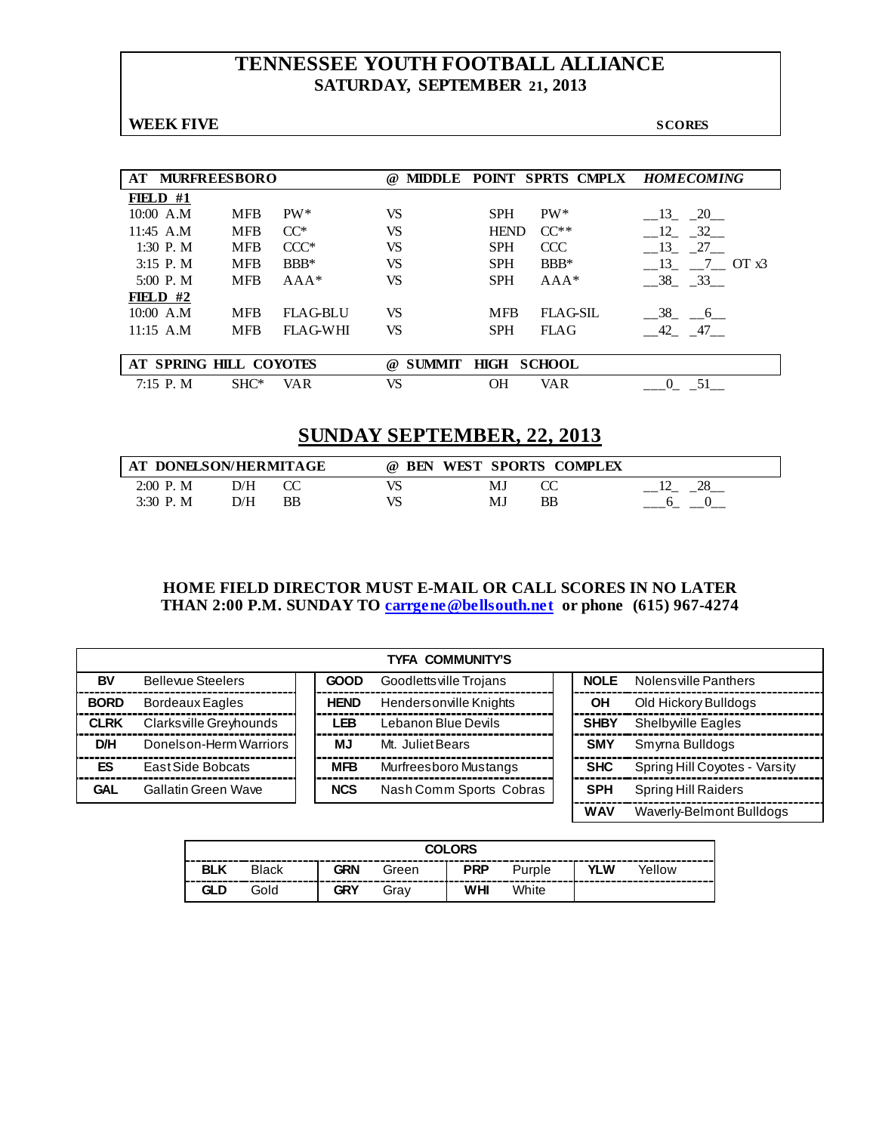# **TENNESSEE YOUTH FOOTBALL ALLIANCE SATURDAY, SEPTEMBER 21, 2013**

**WEEK FIVE** SCORES

| AT.        | <b>MURFREESBORO</b>    |            |                 | <b>MIDDLE</b><br>$\omega$ |             |               | <b>POINT SPRTS CMPLX HOMECOMING</b> |
|------------|------------------------|------------|-----------------|---------------------------|-------------|---------------|-------------------------------------|
| FIELD $#1$ |                        |            |                 |                           |             |               |                                     |
|            | 10:00 A.M              | <b>MFB</b> | $PW^*$          | <b>VS</b>                 | <b>SPH</b>  | $PW^*$        | 13<br>20                            |
|            | $11:45$ A.M            | <b>MFB</b> | $CC^*$          | VS                        | <b>HEND</b> | $CC**$        | 12<br>$-32$                         |
|            | 1:30 P. M              | <b>MFB</b> | $CCC*$          | VS                        | <b>SPH</b>  | CCC           | 13<br>27                            |
|            | $3:15$ P.M             | <b>MFB</b> | $BBB*$          | VS                        | <b>SPH</b>  | $BBB*$        | 13<br>$7 \quad \text{OT } x3$       |
|            | $5:00$ P.M             | <b>MFB</b> | $AAA*$          | VS                        | <b>SPH</b>  | $AAA*$        | 38 33                               |
| FIELD $#2$ |                        |            |                 |                           |             |               |                                     |
|            | 10:00 A.M              | <b>MFB</b> | <b>FLAG-BLU</b> | VS                        | <b>MFB</b>  | FLAG-SIL      | $-38$ $-6$                          |
|            | $11:15$ A.M            | <b>MFB</b> | FLAG-WHI        | VS.                       | <b>SPH</b>  | <b>FLAG</b>   | 42 47                               |
|            |                        |            |                 |                           |             |               |                                     |
|            | AT SPRING HILL COYOTES |            |                 | <b>SUMMIT</b><br>$\omega$ | <b>HIGH</b> | <b>SCHOOL</b> |                                     |
|            | 7:15 P. M              | $SHC^*$    | VAR             | VS                        | OН          | <b>VAR</b>    |                                     |

# **SUNDAY SEPTEMBER, 22, 2013**

| AT DONELSON/HERMITAGE |     |    | <b>BEN</b><br>$\omega$ | WEST SPORTS COMPLEX |    |  |
|-----------------------|-----|----|------------------------|---------------------|----|--|
| $2:00$ P.M            | D/H |    | VS                     | MJ                  |    |  |
| 3:30 P.M              | D/H | BB | VS                     | MJ                  | ΒB |  |

#### **HOME FIELD DIRECTOR MUST E-MAIL OR CALL SCORES IN NO LATER THAN 2:00 P.M. SUNDAY TO [carrgene@bellsouth.net](mailto:carrgene@bellsouth.net) or phone (615) 967-4274**

|             | TYFA COMMUNITY'S         |  |             |                         |  |             |                               |  |  |  |  |
|-------------|--------------------------|--|-------------|-------------------------|--|-------------|-------------------------------|--|--|--|--|
| BV          | <b>Bellevue Steelers</b> |  | <b>GOOD</b> | Goodletts ville Trojans |  | <b>NOLE</b> | Nolens ville Panthers         |  |  |  |  |
| <b>BORD</b> | <b>Bordeaux Eagles</b>   |  | <b>HEND</b> | Hendersonville Knights  |  | ΟH          | Old Hickory Bulldogs          |  |  |  |  |
| <b>CLRK</b> | Clarksville Greyhounds   |  | LEB         | Lebanon Blue Devils     |  | <b>SHBY</b> | Shelbwille Eagles             |  |  |  |  |
| D/H         | Donelson-Herm Warriors   |  | MJ.         | Mt. Juliet Bears        |  | <b>SMY</b>  | Smyrna Bulldogs               |  |  |  |  |
| <b>ES</b>   | East Side Bobcats        |  | <b>MFB</b>  | Murfreesboro Mustangs   |  | <b>SHC</b>  | Spring Hill Coyotes - Varsity |  |  |  |  |
| <b>GAL</b>  | Gallatin Green Wave      |  | <b>NCS</b>  | Nash Comm Sports Cobras |  | <b>SPH</b>  | Spring Hill Raiders           |  |  |  |  |
|             |                          |  |             |                         |  | <b>WAV</b>  | Waverly-Belmont Bulldogs      |  |  |  |  |

| <b>COLORS</b> |              |            |       |            |        |            |        |  |  |
|---------------|--------------|------------|-------|------------|--------|------------|--------|--|--|
| <b>BLK</b>    | <b>Black</b> | <b>GRN</b> | Green | <b>PRP</b> | Purple | <b>YLW</b> | Yellow |  |  |
| GLD           | Gold         | GRY        | Grav  | WHI        | White  |            |        |  |  |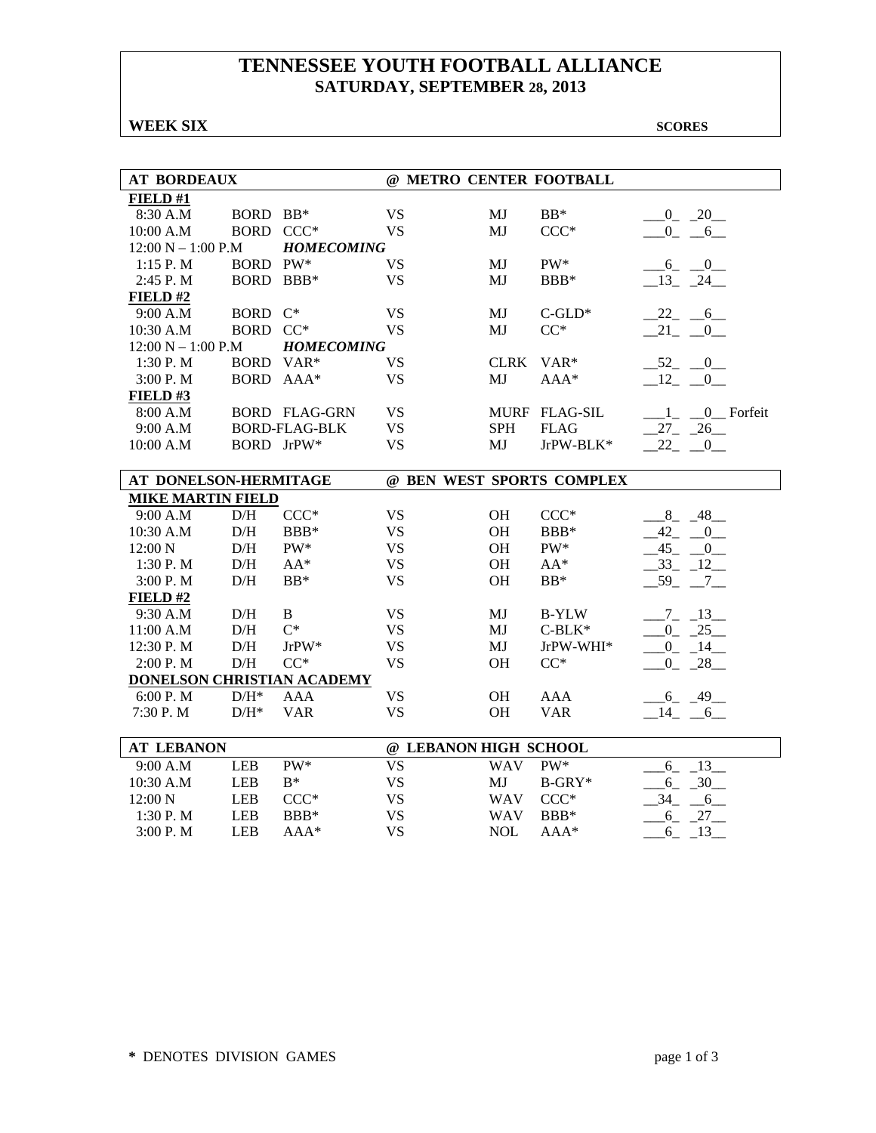# **TENNESSEE YOUTH FOOTBALL ALLIANCE SATURDAY, SEPTEMBER 28, 2013**

**WEEK SIX** SCORES

| <b>AT BORDEAUX</b>         |            |                      | @ METRO CENTER FOOTBALL |             |                           |                           |
|----------------------------|------------|----------------------|-------------------------|-------------|---------------------------|---------------------------|
| FIELD#1                    |            |                      |                         |             |                           |                           |
| 8:30 A.M                   | BORD BB*   |                      | <b>VS</b>               | MJ          | $BB*$                     | $0 - 20$                  |
| 10:00 A.M                  | BORD CCC*  |                      | <b>VS</b>               | MJ          | $CCC*$                    | $-0$ $-6$                 |
| $12:00 N - 1:00 P.M$       |            | <b>HOMECOMING</b>    |                         |             |                           |                           |
| 1:15 P. M                  | BORD PW*   |                      | <b>VS</b>               | MJ          | $PW^*$                    | $-6 - 0$                  |
| 2:45 P.M                   | BORD BBB*  |                      | <b>VS</b>               | MJ          | BBB*                      | $-13$ $-24$               |
| FIELD#2                    |            |                      |                         |             |                           |                           |
| 9:00 A.M                   | BORD C*    |                      | <b>VS</b>               | MJ          | $C$ -GLD*                 | $-22 - -6$                |
| 10:30 A.M                  | BORD CC*   |                      | <b>VS</b>               | MJ          | $CC^*$                    | $-21$ $-0$                |
| $12:00 N - 1:00 P.M$       |            | <b>HOMECOMING</b>    |                         |             |                           |                           |
| 1:30 P.M                   | BORD VAR*  |                      | <b>VS</b>               | <b>CLRK</b> | $VAR*$                    | $-52$ $-0$                |
| 3:00 P.M                   | BORD AAA*  |                      | <b>VS</b>               | MJ          | AAA*                      | $-12$ $-$<br>$\mathbf{0}$ |
| FIELD#3                    |            |                      |                         |             |                           |                           |
| 8:00 A.M                   |            | <b>BORD FLAG-GRN</b> | <b>VS</b>               |             | MURF FLAG-SIL             | 1 0 Forfeit               |
| 9:00 A.M                   |            | <b>BORD-FLAG-BLK</b> | <b>VS</b>               | <b>SPH</b>  | <b>FLAG</b>               | $27 - 26$                 |
| 10:00 A.M                  |            | BORD JrPW*           | <b>VS</b>               | MJ          | JrPW-BLK*                 | $22 - 0$                  |
|                            |            |                      |                         |             |                           |                           |
| AT DONELSON-HERMITAGE      |            |                      |                         |             | @ BEN WEST SPORTS COMPLEX |                           |
| <b>MIKE MARTIN FIELD</b>   |            |                      |                         |             |                           |                           |
| 9:00 A.M                   | D/H        | $CCC*$               | <b>VS</b>               | OH          | $CCC*$                    | $8 - 48$                  |
| 10:30 A.M                  | $\rm{D/H}$ | $BBB*$               | <b>VS</b>               | OH          | BBB*                      | $-42 - 0$                 |
| 12:00 N                    | D/H        | $PW^*$               | <b>VS</b>               | <b>OH</b>   | PW*                       | $-45 - 0$                 |
| 1:30 P.M                   | D/H        | $AA^*$               | <b>VS</b>               | <b>OH</b>   | $AA^*$                    | $-33$ $-12$               |
| 3:00 P.M                   | D/H        | $BB*$                | <b>VS</b>               | <b>OH</b>   | $BB*$                     | $59 - 7$                  |
| FIELD#2                    |            |                      |                         |             |                           |                           |
| 9:30 A.M                   | D/H        | $\, {\bf B}$         | <b>VS</b>               | MJ          | B-YLW                     | $-7 - 13$                 |
| 11:00 A.M                  | D/H        | $C^*$                | <b>VS</b>               | MJ          | $C-BLK*$                  | $-0$ $-25$                |
| 12:30 P.M                  | $\rm{D/H}$ | $JrPW^*$             | <b>VS</b>               | MJ          | $JrPW-WHI*$               | $-0$ $-14$                |
| 2:00 P.M                   | D/H        | $CC^*$               | <b>VS</b>               | <b>OH</b>   | $CC^*$                    | $0 - 28$                  |
| DONELSON CHRISTIAN ACADEMY |            |                      |                         |             |                           |                           |
| 6:00 P.M                   | $D/H^*$    | <b>AAA</b>           | <b>VS</b>               | OH          | <b>AAA</b>                | $-6 - 49$                 |
| 7:30 P.M                   | $D/H^*$    | <b>VAR</b>           | <b>VS</b>               | OH          | <b>VAR</b>                | $-14$ $-6$                |
|                            |            |                      |                         |             |                           |                           |
| <b>AT LEBANON</b>          |            |                      | @ LEBANON HIGH SCHOOL   |             |                           |                           |
| 9:00 A.M                   | <b>LEB</b> | $PW^*$               | <b>VS</b>               | <b>WAV</b>  | PW*                       | $6 - 13$                  |
| 10:30 A.M                  | <b>LEB</b> | $R^*$                | <b>VS</b>               | MJ          | $B-GRY*$                  | $-6 - 30$                 |
| 12:00 N                    | <b>LEB</b> | $CCC*$               | <b>VS</b>               | <b>WAV</b>  | $CCC*$                    | $-34 - 6$                 |
| 1:30 P.M                   | <b>LEB</b> | BBB*                 | <b>VS</b>               | <b>WAV</b>  | BBB*                      | $-6 - 27$                 |
| 3:00 P.M                   | <b>LEB</b> | $AAA*$               | <b>VS</b>               | <b>NOL</b>  | $AAA*$                    | 13<br>6                   |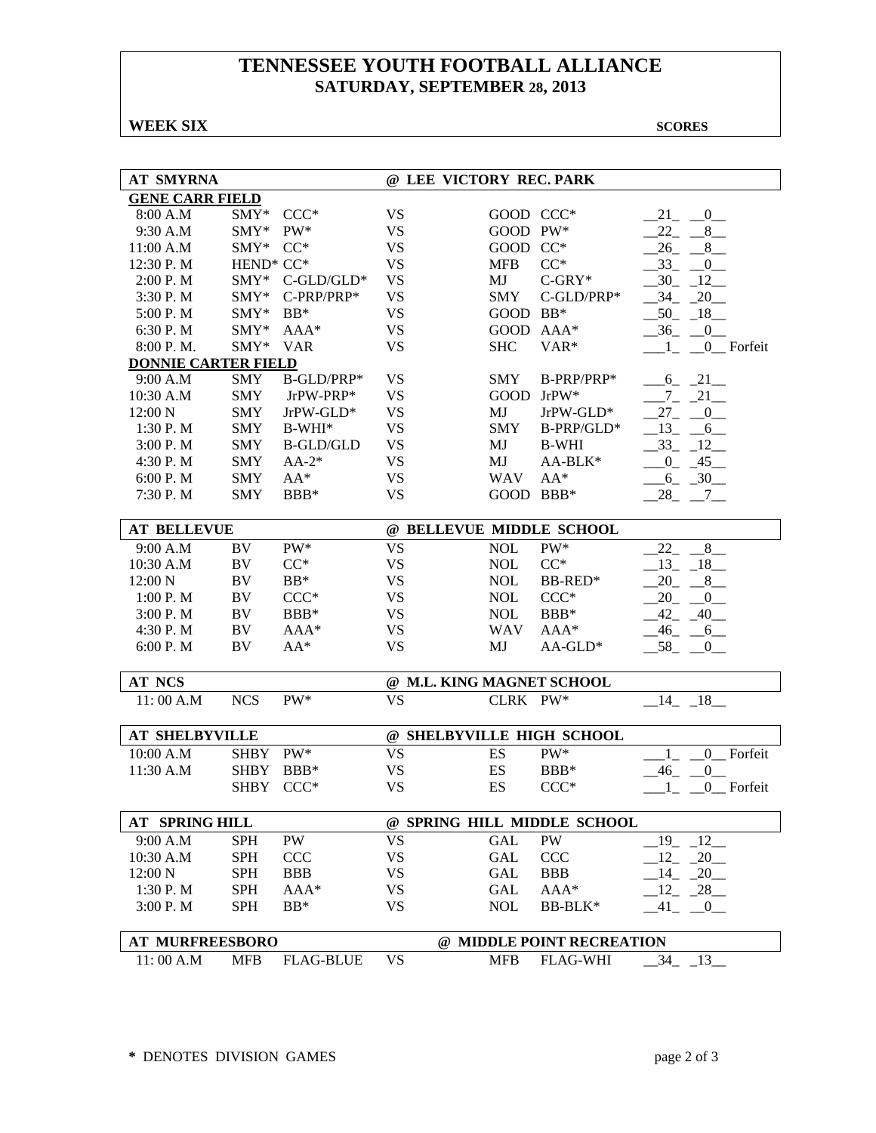# **TENNESSEE YOUTH FOOTBALL ALLIANCE SATURDAY, SEPTEMBER 28, 2013**

#### **WEEK SIX** SCORES

| <b>AT SMYRNA</b>           |                                   |                  | @ LEE VICTORY REC. PARK   |                      |                             |                                |  |  |
|----------------------------|-----------------------------------|------------------|---------------------------|----------------------|-----------------------------|--------------------------------|--|--|
| <b>GENE CARR FIELD</b>     |                                   |                  |                           |                      |                             |                                |  |  |
| 8:00 A.M                   | $\text{SMY}^*$                    | $CCC*$           | <b>VS</b>                 | GOOD CCC*            |                             | 21 0                           |  |  |
| 9:30 A.M                   | $SMY*$                            | $PW^*$           | <b>VS</b>                 | GOOD PW*             |                             | $22 - 8$                       |  |  |
| 11:00 A.M                  | $\text{SMY}^*$                    | $CC^*$           | <b>VS</b>                 | GOOD                 | $CC^*$                      | $-26 - 8$                      |  |  |
| 12:30 P.M                  | HEND <sup>*</sup> CC <sup>*</sup> |                  | <b>VS</b>                 | <b>MFB</b>           | $CC^*$                      | $-33$ $-0$                     |  |  |
| 2:00 P.M                   |                                   | SMY* C-GLD/GLD*  | <b>VS</b>                 | MJ                   | $C-GRY*$                    | $-30 - 12$                     |  |  |
| 3:30 P.M                   | $SMY*$                            | C-PRP/PRP*       | <b>VS</b>                 | <b>SMY</b>           | C-GLD/PRP*                  | $-34$ $-20$                    |  |  |
| 5:00 P.M                   | SMY*                              | $BB*$            | <b>VS</b>                 | GOOD BB*             |                             | $-50 - 18$                     |  |  |
| 6:30 P.M                   | SMY*                              | AAA*             | <b>VS</b>                 |                      | GOOD AAA*                   | $-36$<br>$\equiv$ <sup>0</sup> |  |  |
| 8:00 P.M.                  | SMY*                              | <b>VAR</b>       | <b>VS</b>                 | <b>SHC</b>           | VAR*                        | 0_Forfeit                      |  |  |
| <b>DONNIE CARTER FIELD</b> |                                   |                  |                           |                      |                             |                                |  |  |
| 9:00 A.M                   | <b>SMY</b>                        | B-GLD/PRP*       | VS                        | <b>SMY</b>           | B-PRP/PRP*                  | $-6 - 21$                      |  |  |
| 10:30 A.M                  | <b>SMY</b>                        | JrPW-PRP*        | <b>VS</b>                 |                      | GOOD JrPW*                  | $7 - 21$                       |  |  |
| 12:00 N                    | <b>SMY</b>                        | JrPW-GLD*        | <b>VS</b>                 | MJ                   | JrPW-GLD*                   | $27_{-}$<br>$\overline{0}$     |  |  |
| 1:30 P.M                   | <b>SMY</b>                        | $B-WHI*$         | <b>VS</b>                 | <b>SMY</b>           | B-PRP/GLD*                  | $13 - 6$                       |  |  |
| 3:00 P.M                   | <b>SMY</b>                        | <b>B-GLD/GLD</b> | <b>VS</b>                 | MJ                   | <b>B-WHI</b>                | $-33 - 12$                     |  |  |
| 4:30 P.M                   | <b>SMY</b>                        | $AA-2*$          | <b>VS</b>                 | MJ                   | AA-BLK*                     | $-0$ $-45$                     |  |  |
|                            |                                   |                  |                           |                      |                             |                                |  |  |
| 6:00 P.M                   | <b>SMY</b>                        | $AA^*$           | <b>VS</b>                 | <b>WAV</b>           | $AA^*$                      | $-6 - 30$                      |  |  |
| 7:30 P.M                   | <b>SMY</b>                        | BBB*             | <b>VS</b>                 | GOOD BBB*            |                             | $28 - 7$                       |  |  |
| <b>AT BELLEVUE</b>         |                                   |                  | @ BELLEVUE MIDDLE SCHOOL  |                      |                             |                                |  |  |
| 9:00 A.M                   | BV                                | PW*              | <b>VS</b>                 | <b>NOL</b>           | PW*                         | 8<br>22                        |  |  |
| 10:30 A.M                  | BV                                | $CC^*$           | <b>VS</b>                 | <b>NOL</b>           | $CC^*$                      | $-13$ $-18$                    |  |  |
| 12:00 N                    | BV                                | $BB*$            | <b>VS</b>                 | <b>NOL</b>           | BB-RED*                     | $20 - 8$                       |  |  |
| 1:00 P. M                  | BV                                | $CCC*$           | <b>VS</b>                 | <b>NOL</b>           | $CCC*$                      | 20<br>$-0$                     |  |  |
| 3:00 P.M                   | BV                                | BBB*             | <b>VS</b>                 | <b>NOL</b>           | BBB*                        | $-42$<br>$-40$                 |  |  |
| 4:30 P.M                   | BV                                | AAA*             | <b>VS</b>                 | <b>WAV</b>           | AAA*                        | $-46$<br>$-6$                  |  |  |
| 6:00 P.M                   | BV                                | $AA^*$           | <b>VS</b>                 | MJ                   | $AA-GLD*$                   | $-58$<br>$\Box$ <sup>0</sup>   |  |  |
|                            |                                   |                  |                           |                      |                             |                                |  |  |
| <b>AT NCS</b>              |                                   |                  | @ M.L. KING MAGNET SCHOOL |                      |                             |                                |  |  |
| 11:00 A.M                  | <b>NCS</b>                        | PW*              | <b>VS</b>                 | CLRK PW*             |                             | $-14$ $-18$                    |  |  |
| <b>AT SHELBYVILLE</b>      |                                   |                  |                           |                      | @ SHELBYVILLE HIGH SCHOOL   |                                |  |  |
| 10:00 A.M                  | <b>SHBY</b>                       | PW*              | <b>VS</b>                 | ES                   | PW*                         | $\overline{0}$<br>Forfeit      |  |  |
| 11:30 A.M                  | <b>SHBY</b>                       | BBB*             | <b>VS</b>                 | ES                   | $BBB*$                      | $\mathbf{0}$<br>$-46$          |  |  |
|                            | <b>SHBY</b>                       | $CCC*$           | <b>VS</b>                 | ES                   | $CCC*$                      | 0 Forfeit<br>$\Box$ 1          |  |  |
|                            |                                   |                  |                           |                      |                             |                                |  |  |
| <b>AT SPRING HILL</b>      |                                   |                  |                           |                      | @ SPRING HILL MIDDLE SCHOOL |                                |  |  |
| 9:00 A.M                   | <b>SPH</b>                        | PW               | <b>VS</b>                 | <b>GAL</b>           | PW                          | 12<br>19                       |  |  |
| 10:30 A.M                  | <b>SPH</b>                        | <b>CCC</b>       | <b>VS</b>                 | $\operatorname{GAL}$ | <b>CCC</b>                  | $12 - 20$                      |  |  |
| 12:00 N                    | <b>SPH</b>                        | <b>BBB</b>       | VS                        | GAL                  | <b>BBB</b>                  | $-14$ $-20$                    |  |  |
| 1:30 P.M                   | <b>SPH</b>                        | $AAA*$           | VS                        | GAL                  | $AAA*$                      | $-12$ $-28$                    |  |  |
| 3:00 P.M                   | <b>SPH</b>                        | $BB*$            | <b>VS</b>                 | <b>NOL</b>           | BB-BLK*                     | $-41$<br>$-0$                  |  |  |
|                            |                                   |                  |                           |                      |                             |                                |  |  |
| <b>AT MURFREESBORO</b>     |                                   |                  |                           |                      | @ MIDDLE POINT RECREATION   |                                |  |  |
| 11:00 A.M                  | <b>MFB</b>                        | <b>FLAG-BLUE</b> | <b>VS</b>                 | <b>MFB</b>           | <b>FLAG-WHI</b>             | $-34$ $-13$                    |  |  |
|                            |                                   |                  |                           |                      |                             |                                |  |  |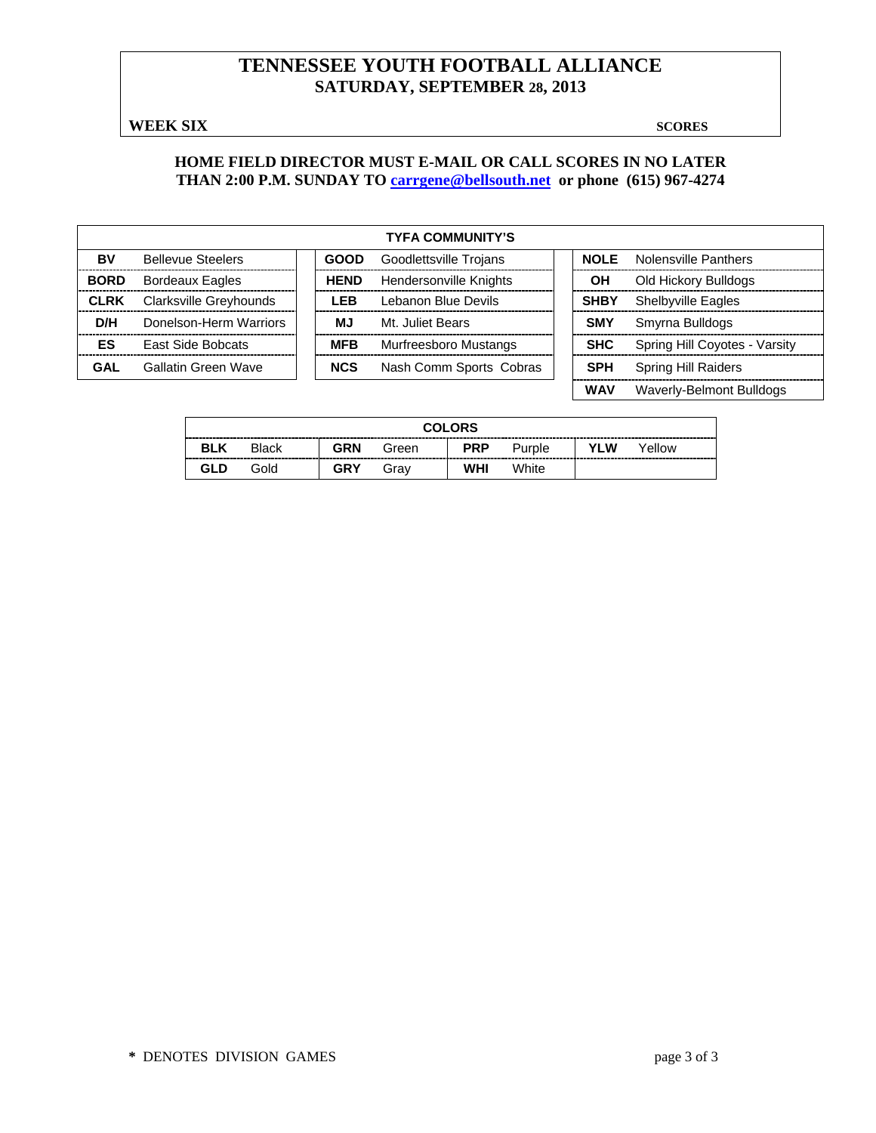# **TENNESSEE YOUTH FOOTBALL ALLIANCE SATURDAY, SEPTEMBER 28, 2013**

**WEEK SIX** SCORES

#### **HOME FIELD DIRECTOR MUST E-MAIL OR CALL SCORES IN NO LATER THAN 2:00 P.M. SUNDAY TO [carrgene@bellsouth.net](mailto:carrgene@bellsouth.net) or phone (615) 967-4274**

| <b>TYFA COMMUNITY'S</b> |                          |  |             |                         |  |             |                               |  |  |  |  |
|-------------------------|--------------------------|--|-------------|-------------------------|--|-------------|-------------------------------|--|--|--|--|
| BV                      | <b>Bellevue Steelers</b> |  | <b>GOOD</b> | Goodlettsville Trojans  |  | <b>NOLE</b> | Nolensville Panthers          |  |  |  |  |
| <b>BORD</b>             | <b>Bordeaux Eagles</b>   |  | <b>HEND</b> | Hendersonville Knights  |  | OН          | Old Hickory Bulldogs          |  |  |  |  |
| <b>CLRK</b>             | Clarksville Greyhounds   |  | <b>LEB</b>  | Lebanon Blue Devils     |  | <b>SHBY</b> | <b>Shelbyville Eagles</b>     |  |  |  |  |
| D/H                     | Donelson-Herm Warriors   |  | МJ          | Mt. Juliet Bears        |  | <b>SMY</b>  | Smyrna Bulldogs               |  |  |  |  |
| ES                      | <b>East Side Bobcats</b> |  | <b>MFB</b>  | Murfreesboro Mustangs   |  | <b>SHC</b>  | Spring Hill Coyotes - Varsity |  |  |  |  |
| GAL                     | Gallatin Green Wave      |  | <b>NCS</b>  | Nash Comm Sports Cobras |  | <b>SPH</b>  | <b>Spring Hill Raiders</b>    |  |  |  |  |
|                         |                          |  |             |                         |  | WAV         | Waverly-Belmont Bulldogs      |  |  |  |  |

| <b>COLORS</b> |       |            |       |            |        |     |        |  |  |  |  |
|---------------|-------|------------|-------|------------|--------|-----|--------|--|--|--|--|
| <b>BLK</b>    | Black | <b>GRN</b> | Green | <b>PRP</b> | Purple | YLW | Yellow |  |  |  |  |
| GLD           | Gold  | GRY        | Grav  | WHI        | White  |     |        |  |  |  |  |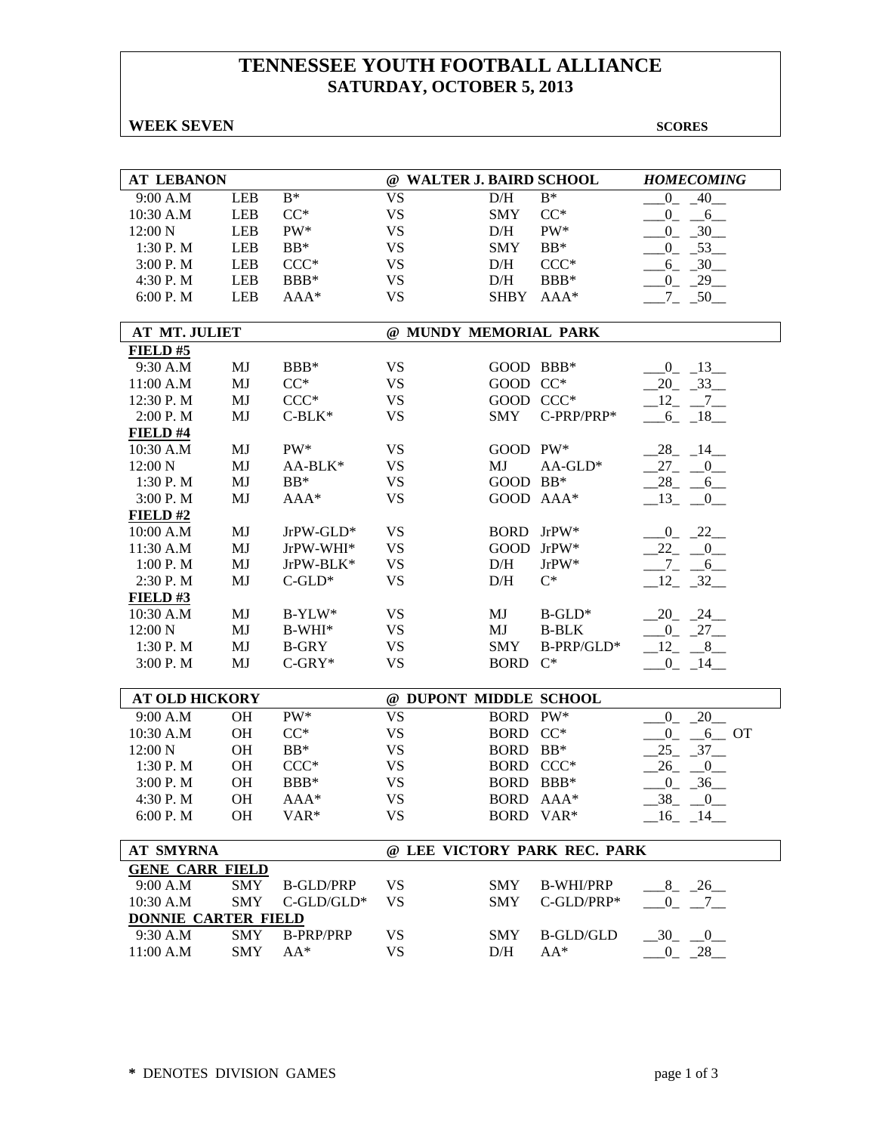# **TENNESSEE YOUTH FOOTBALL ALLIANCE SATURDAY, OCTOBER 5, 2013**

#### **WEEK SEVEN** SCORES

| <b>AT LEBANON</b>          |            |                                       | @ WALTER J. BAIRD SCHOOL |             |                              | <b>HOMECOMING</b>         |
|----------------------------|------------|---------------------------------------|--------------------------|-------------|------------------------------|---------------------------|
| 9:00 A.M                   | <b>LEB</b> | $\mathbf{B}^*$                        | <b>VS</b>                | D/H         | $B^*$                        | $\overline{0}$<br>40      |
| 10:30 A.M                  | <b>LEB</b> | $CC^*$                                | <b>VS</b>                | <b>SMY</b>  | $CC^*$                       | $0_{-}$<br>6              |
| 12:00 N                    | <b>LEB</b> | PW*                                   | <b>VS</b>                | D/H         | PW*                          | $-30$<br>$^{0}$           |
| 1:30 P.M                   | <b>LEB</b> | $BB*$                                 | <b>VS</b>                | SMY         | $BB*$                        | $-0$ $-53$                |
| 3:00 P.M                   | <b>LEB</b> | $CCC*$                                | <b>VS</b>                | D/H         | $CCC*$                       | $-6 - 30$                 |
| 4:30 P.M                   | <b>LEB</b> | BBB*                                  | <b>VS</b>                | D/H         | BBB*                         | $-0$ $-29$                |
| 6:00 P.M                   | <b>LEB</b> | AAA*                                  | <b>VS</b>                | SHBY        | AAA*                         | $-7 - 50$                 |
|                            |            |                                       |                          |             |                              |                           |
| AT MT. JULIET              |            |                                       | @ MUNDY MEMORIAL PARK    |             |                              |                           |
| FIELD #5                   |            |                                       |                          |             |                              |                           |
| 9:30 A.M                   | MJ         | BBB*                                  | <b>VS</b>                | GOOD BBB*   |                              | $-0$ $-13$                |
| 11:00 A.M                  | MJ         | $CC^*$                                | <b>VS</b>                | GOOD CC*    |                              | $-20 - 33$                |
| 12:30 P.M                  | MJ         | $CCC*$                                | <b>VS</b>                | GOOD CCC*   |                              | $-12$ $-7$ $-$            |
| 2:00 P.M                   | MJ         | $C-BLK*$                              | <b>VS</b>                | <b>SMY</b>  | C-PRP/PRP*                   | $-6 - 18$                 |
| FIELD #4                   |            |                                       |                          |             |                              |                           |
| 10:30 A.M                  | MJ         | PW*                                   | <b>VS</b>                | GOOD PW*    |                              | $-28$ <sub>-14</sub>      |
| 12:00 N                    | MJ         | AA-BLK*                               | <b>VS</b>                | MJ          | $AA$ -GLD*                   | $27_{-}$<br>$-0$          |
| 1:30 P.M                   | MJ         | $BB*$                                 | <b>VS</b>                | GOOD BB*    |                              | 28<br>6                   |
| 3:00 P.M                   | MJ         | AAA*                                  | <b>VS</b>                |             | GOOD AAA*                    | 13<br>$\overline{0}$      |
| FIELD#2                    |            |                                       |                          |             |                              |                           |
| 10:00 A.M                  | MJ         | JrPW-GLD*                             | <b>VS</b>                | <b>BORD</b> | $JrPW^*$                     | $-0$ $-22$ $-$            |
| 11:30 A.M                  | MJ         | JrPW-WHI*                             | <b>VS</b>                |             | GOOD JrPW*                   | $-22$ $-0$                |
| 1:00 P.M                   | MJ         | $\mathrm{JrPW}\text{-}\mathrm{BLK}^*$ | <b>VS</b>                | D/H         | JrPW*                        | $-7 - 6$                  |
| 2:30 P.M                   | MJ         | $C$ -GLD*                             | <b>VS</b>                | D/H         | $\mathrm{C}^*$               | $12 - 32$                 |
| FIELD#3                    |            |                                       |                          |             |                              |                           |
| 10:30 A.M                  | MJ         | $B-YLW^*$                             | <b>VS</b>                | MJ          | $B$ -GLD*                    | $20 - 24$                 |
| 12:00 N                    | <b>MJ</b>  | $B-WHI*$                              | <b>VS</b>                | MJ          | <b>B-BLK</b>                 | $-0$ $-27$ $-$            |
| 1:30 P.M                   | MJ         | <b>B-GRY</b>                          | <b>VS</b>                | <b>SMY</b>  | B-PRP/GLD*                   | $-12 - 8$                 |
| 3:00 P.M                   | <b>MJ</b>  | $C-GRY*$                              | <b>VS</b>                | <b>BORD</b> | $C^*$                        | $-0$ $-14$ $-$            |
|                            |            |                                       |                          |             |                              |                           |
| <b>AT OLD HICKORY</b>      |            |                                       | @ DUPONT MIDDLE SCHOOL   |             |                              |                           |
| 9:00 A.M                   | <b>OH</b>  | PW*                                   | <b>VS</b>                | <b>BORD</b> | $PW^*$                       | $0_{-}$<br>$-20$          |
| 10:30 A.M                  | <b>OH</b>  | $CC^*$                                | <b>VS</b>                | <b>BORD</b> | $CC^*$                       | $^{0}$<br>$6$ OT          |
| 12:00 N                    | <b>OH</b>  | $BB*$                                 | <b>VS</b>                | BORD BB*    |                              | $-37$<br>25               |
| 1:30 P.M                   | <b>OH</b>  | $CCC*$                                | <b>VS</b>                | BORD CCC*   |                              | 26<br>$\boldsymbol{0}$    |
| 3:00 P.M                   | <b>OH</b>  | $BBB*$                                | <b>VS</b>                | BORD BBB*   |                              | 36<br>$\overline{0}$      |
| 4:30 P.M                   | <b>OH</b>  | AAA*                                  | <b>VS</b>                |             | BORD AAA*                    | 38<br>$\boldsymbol{0}$    |
| 6:00 P. M                  | <b>OH</b>  | VAR <sup>*</sup>                      | <b>VS</b>                |             | BORD VAR*                    | $\boxed{16}$ $\boxed{14}$ |
|                            |            |                                       |                          |             |                              |                           |
| <b>AT SMYRNA</b>           |            |                                       |                          |             | @ LEE VICTORY PARK REC. PARK |                           |
| <b>GENE CARR FIELD</b>     |            |                                       |                          |             |                              |                           |
| 9:00 A.M                   | <b>SMY</b> | <b>B-GLD/PRP</b>                      | <b>VS</b>                | <b>SMY</b>  | <b>B-WHI/PRP</b>             | $-8$ $-26$                |
| 10:30 A.M                  | <b>SMY</b> | $C$ -GLD/GLD*                         | <b>VS</b>                | <b>SMY</b>  | C-GLD/PRP*                   | $0_{-}$<br>$\overline{7}$ |
| <b>DONNIE CARTER FIELD</b> |            |                                       |                          |             |                              |                           |
| 9:30 A.M                   | <b>SMY</b> | <b>B-PRP/PRP</b>                      | <b>VS</b>                | <b>SMY</b>  | <b>B-GLD/GLD</b>             | $-30$<br>$\overline{0}$   |
| 11:00 A.M                  | <b>SMY</b> | $AA^*$                                | <b>VS</b>                | D/H         | $AA^*$                       | $-0$ $-28$                |
|                            |            |                                       |                          |             |                              |                           |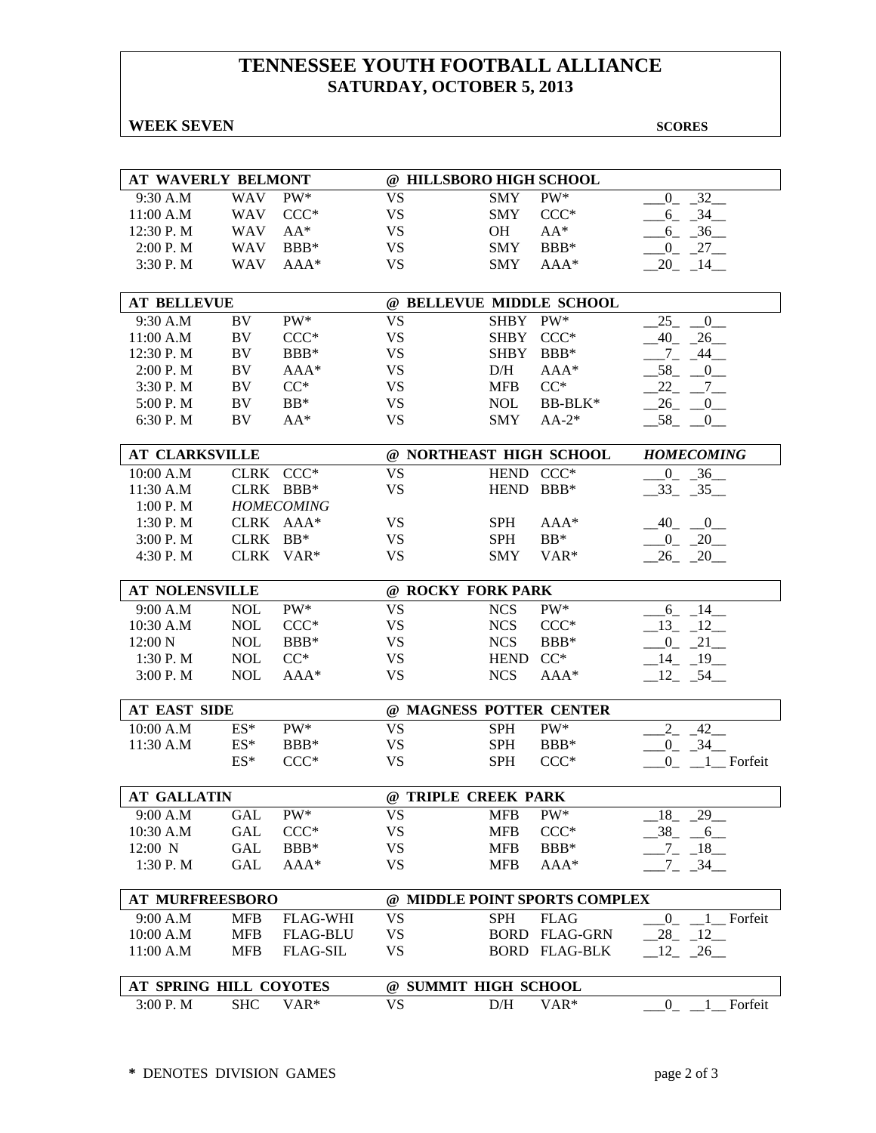# **TENNESSEE YOUTH FOOTBALL ALLIANCE SATURDAY, OCTOBER 5, 2013**

#### **WEEK SEVEN** SCORES

| AT WAVERLY BELMONT     |            |                   | @ HILLSBORO HIGH SCHOOL |                               |                      |                                   |  |  |
|------------------------|------------|-------------------|-------------------------|-------------------------------|----------------------|-----------------------------------|--|--|
| 9:30 A.M               | <b>WAV</b> | $PW^*$            | <b>VS</b>               | <b>SMY</b>                    | PW*                  | $\overline{32}$<br>$\overline{0}$ |  |  |
| 11:00 A.M              | <b>WAV</b> | $CCC*$            | <b>VS</b>               | <b>SMY</b>                    | $CCC*$               | $-34$<br>$-6$                     |  |  |
| 12:30 P.M              | <b>WAV</b> | $AA^*$            | <b>VS</b>               | OH                            | $AA^*$               | $-6 - 36$                         |  |  |
| 2:00 P.M               | <b>WAV</b> | BBB*              | <b>VS</b>               | <b>SMY</b>                    | BBB*                 | $-0$ $-27$ $-$                    |  |  |
| 3:30 P.M               | <b>WAV</b> | AAA*              | <b>VS</b>               | <b>SMY</b>                    | AAA*                 | $20 - 14$                         |  |  |
|                        |            |                   |                         |                               |                      |                                   |  |  |
| <b>AT BELLEVUE</b>     |            |                   |                         | @ BELLEVUE MIDDLE SCHOOL      |                      |                                   |  |  |
| 9:30 A.M               | BV         | PW*               | <b>VS</b>               | <b>SHBY</b>                   | PW*                  | 25<br>0                           |  |  |
| 11:00 A.M              | BV         | $CCC*$            | <b>VS</b>               | SHBY                          | $CCC*$               | $-40$<br>26                       |  |  |
| 12:30 P.M              | BV         | BBB*              | <b>VS</b>               | <b>SHBY</b>                   | $BBB*$               | 44<br>$7_{-}$                     |  |  |
| 2:00 P.M               | BV         | $AAA*$            | <b>VS</b>               | D/H                           | $AAA*$               | 58<br>$\overline{0}$              |  |  |
| 3:30 P.M               | BV         | $CC^*$            | <b>VS</b>               | <b>MFB</b>                    | $\mathrm{CC}^*$      | 22<br>$7\overline{ }$             |  |  |
| 5:00 P.M               | BV         | $BB*$             | <b>VS</b>               | <b>NOL</b>                    | BB-BLK*              | 26<br>$_{0-}$                     |  |  |
| 6:30 P.M               | BV         | $AA^*$            | <b>VS</b>               | <b>SMY</b>                    | $AA-2*$              | 58<br>$\overline{0}$              |  |  |
|                        |            |                   |                         |                               |                      |                                   |  |  |
| AT CLARKSVILLE         |            |                   |                         | @ NORTHEAST HIGH SCHOOL       |                      | <b>HOMECOMING</b>                 |  |  |
| 10:00 A.M              |            | CLRK CCC*         | <b>VS</b>               | HEND CCC*                     |                      | $36$ <sub>—</sub><br>$\mathbf{0}$ |  |  |
| 11:30 A.M              |            | CLRK BBB*         | <b>VS</b>               | HEND BBB*                     |                      | $-33 - 35$                        |  |  |
| 1:00 P.M               |            | <b>HOMECOMING</b> |                         |                               |                      |                                   |  |  |
| 1:30 P.M               |            | CLRK AAA*         | <b>VS</b>               | <b>SPH</b>                    | $AAA*$               | $-40$ $-0$                        |  |  |
| 3:00 P.M               | CLRK BB*   |                   | <b>VS</b>               | <b>SPH</b>                    | $BB*$                | $-0$ $-20$                        |  |  |
| 4:30 P.M               |            | CLRK VAR*         | <b>VS</b>               | <b>SMY</b>                    | VAR <sup>*</sup>     | $26 - 20$                         |  |  |
|                        |            |                   |                         |                               |                      |                                   |  |  |
| <b>AT NOLENSVILLE</b>  |            |                   |                         | @ ROCKY FORK PARK             |                      |                                   |  |  |
| 9:00 A.M               | <b>NOL</b> | PW*               | <b>VS</b>               | <b>NCS</b>                    | PW*                  | $6 - 14$                          |  |  |
| 10:30 A.M              | <b>NOL</b> | $CCC*$            | <b>VS</b>               | <b>NCS</b>                    | $CCC*$               | $-13 - 12$                        |  |  |
| 12:00 N                | <b>NOL</b> | BBB*              | <b>VS</b>               | <b>NCS</b>                    | BBB*                 | $-0$ $-21$ $-$                    |  |  |
| 1:30 P.M               | <b>NOL</b> | $CC^*$            | <b>VS</b>               | <b>HEND</b>                   | $CC^*$               | $-14$ $-19$ $-$                   |  |  |
| 3:00 P.M               | <b>NOL</b> | AAA*              | <b>VS</b>               | <b>NCS</b>                    | AAA*                 | $-12$ $-54$                       |  |  |
| <b>AT EAST SIDE</b>    |            |                   |                         | @ MAGNESS POTTER CENTER       |                      |                                   |  |  |
| 10:00 A.M              | $ES^*$     | PW*               | <b>VS</b>               | <b>SPH</b>                    | PW*                  | 42<br>$2_{-}$                     |  |  |
| 11:30 A.M              | $ES*$      | BBB*              | <b>VS</b>               | <b>SPH</b>                    | BBB*                 | $-0$ $-34$ $-$                    |  |  |
|                        | $ES^*$     | $CCC*$            | <b>VS</b>               | <b>SPH</b>                    | $CCC*$               | $0 - 1$ Forfeit                   |  |  |
|                        |            |                   |                         |                               |                      |                                   |  |  |
| <b>AT GALLATIN</b>     |            |                   |                         | @ TRIPLE CREEK PARK           |                      |                                   |  |  |
| 9:00 A.M               | <b>GAL</b> | $PW^*$            | VS                      | <b>MFB</b>                    | $PW^*$               | $-29$<br>18                       |  |  |
| 10:30 A.M              | <b>GAL</b> | $CCC*$            | <b>VS</b>               | <b>MFB</b>                    | $CCC*$               | 38<br>6 <sup>6</sup>              |  |  |
| $12:00$ N              | <b>GAL</b> | BBB*              | <b>VS</b>               | <b>MFB</b>                    | BBB*                 | $-7$ $-18$ $-$                    |  |  |
| 1:30 P.M               | GAL        | AAA*              | <b>VS</b>               | <b>MFB</b>                    | AAA*                 | $7 - 34$                          |  |  |
|                        |            |                   |                         |                               |                      |                                   |  |  |
| <b>AT MURFREESBORO</b> |            |                   |                         | @ MIDDLE POINT SPORTS COMPLEX |                      |                                   |  |  |
| 9:00 A.M               | <b>MFB</b> | <b>FLAG-WHI</b>   | <b>VS</b>               | <b>SPH</b>                    | <b>FLAG</b>          | Forfeit<br>$\overline{0}$<br>1    |  |  |
| 10:00 A.M              | <b>MFB</b> | <b>FLAG-BLU</b>   | <b>VS</b>               | <b>BORD</b>                   | <b>FLAG-GRN</b>      | 28<br>$-12$                       |  |  |
| 11:00 A.M              | <b>MFB</b> | <b>FLAG-SIL</b>   | <b>VS</b>               |                               | <b>BORD FLAG-BLK</b> | $-12 - 26$                        |  |  |
|                        |            |                   |                         |                               |                      |                                   |  |  |
| AT SPRING HILL COYOTES |            |                   |                         | @ SUMMIT HIGH SCHOOL          |                      |                                   |  |  |
| 3:00 P.M               | <b>SHC</b> | VAR*              | <b>VS</b>               | D/H                           | VAR*                 | Forfeit<br>$_{0}$                 |  |  |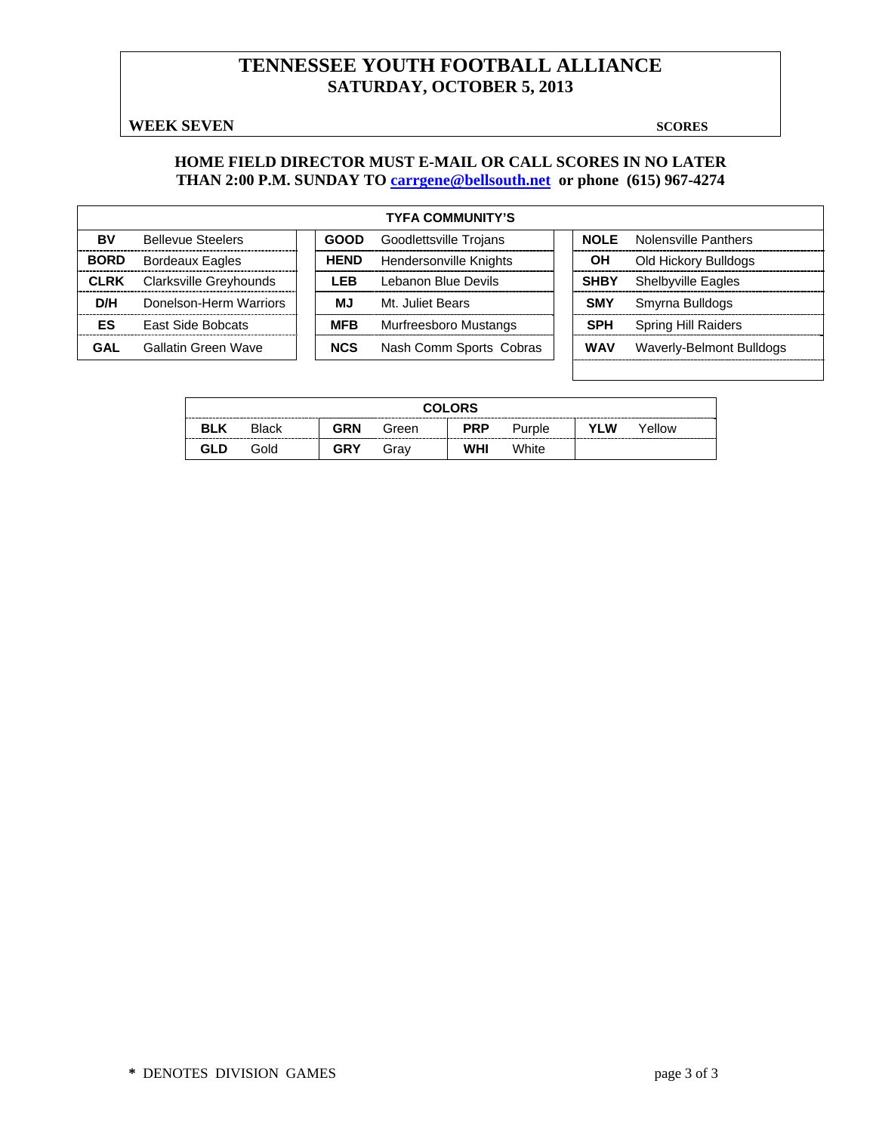# **TENNESSEE YOUTH FOOTBALL ALLIANCE SATURDAY, OCTOBER 5, 2013**

#### **WEEK SEVEN** SCORES

#### **HOME FIELD DIRECTOR MUST E-MAIL OR CALL SCORES IN NO LATER THAN 2:00 P.M. SUNDAY TO carrgene@bellsouth.net or phone (615) 967-4274**

| <b>TYFA COMMUNITY'S</b> |                               |  |             |                               |  |             |                           |  |  |
|-------------------------|-------------------------------|--|-------------|-------------------------------|--|-------------|---------------------------|--|--|
| BV                      | <b>Bellevue Steelers</b>      |  | <b>GOOD</b> | Goodlettsville Trojans        |  | NOL F       | Nolensville Panthers      |  |  |
| <b>BORD</b>             | <b>Bordeaux Eagles</b>        |  | <b>HEND</b> | <b>Hendersonville Knights</b> |  | OН          | Old Hickory Bulldogs      |  |  |
| <b>CLRK</b>             | <b>Clarksville Greyhounds</b> |  | LEB         | Lebanon Blue Devils           |  | <b>SHBY</b> | <b>Shelbyville Eagles</b> |  |  |
| D/H                     | Donelson-Herm Warriors        |  | ΜJ          | Mt. Juliet Bears              |  | <b>SMY</b>  | Smyrna Bulldogs           |  |  |
| ES                      | <b>East Side Bobcats</b>      |  | <b>MFB</b>  | Murfreesboro Mustangs         |  | <b>SPH</b>  | Spring Hill Raiders       |  |  |
| GAL                     | Gallatin Green Wave           |  | <b>NCS</b>  | Nash Comm Sports Cobras       |  | <b>WAV</b>  | Waverly-Belmont Bulldogs  |  |  |

|            | <b>COLORS</b> |            |       |            |        |     |        |  |  |  |  |  |
|------------|---------------|------------|-------|------------|--------|-----|--------|--|--|--|--|--|
| <b>BLK</b> | <b>Black</b>  | <b>GRN</b> | Green | <b>PRP</b> | Purple | YLW | Yellow |  |  |  |  |  |
| GLD        | Gold          | <b>GRY</b> | Grav  | WHI        | White  |     |        |  |  |  |  |  |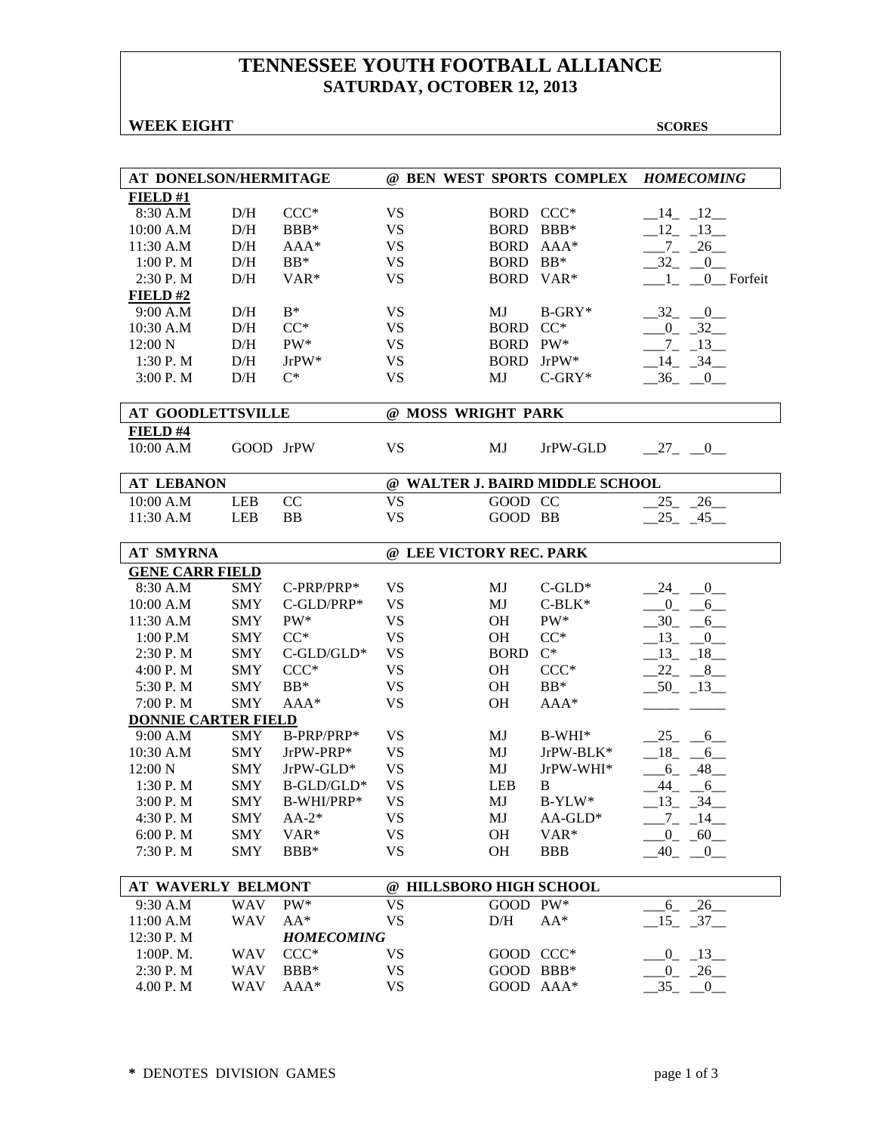# **TENNESSEE YOUTH FOOTBALL ALLIANCE SATURDAY, OCTOBER 12, 2013**

#### **WEEK EIGHT SCORES**

| AT DONELSON/HERMITAGE      |            |                   |                         |                    | @ BEN WEST SPORTS COMPLEX       | <b>HOMECOMING</b>                 |  |  |  |
|----------------------------|------------|-------------------|-------------------------|--------------------|---------------------------------|-----------------------------------|--|--|--|
| FIELD#1                    |            |                   |                         |                    |                                 |                                   |  |  |  |
| 8:30 A.M                   | D/H        | $CCC*$            | <b>VS</b>               | BORD CCC*          |                                 | $-14$ $-12$                       |  |  |  |
| 10:00 A.M                  | D/H        | BBB*              | <b>VS</b>               | BORD BBB*          |                                 | $12 - 13$                         |  |  |  |
| 11:30 A.M                  | D/H        | $AAA*$            | <b>VS</b>               |                    | BORD AAA*                       | $-7 - 26$                         |  |  |  |
| 1:00 P. M                  | D/H        | $BB*$             | <b>VS</b>               | BORD BB*           |                                 | $-32 - 0$                         |  |  |  |
| 2:30 P.M                   | D/H        | VAR*              | <b>VS</b>               | BORD VAR*          |                                 | 0 Forfeit<br>$1 -$                |  |  |  |
| FIELD#2                    |            |                   |                         |                    |                                 |                                   |  |  |  |
| 9:00 A.M                   | D/H        | $\mathrm{B}^*$    | <b>VS</b>               | MJ                 | $B-GRY*$                        | $-32 - 0$                         |  |  |  |
| 10:30 A.M                  | D/H        | $CC^*$            | <b>VS</b>               | <b>BORD</b>        | $CC^*$                          | $-0$ $-32$                        |  |  |  |
| 12:00 N                    | D/H        | PW*               | <b>VS</b>               | BORD PW*           |                                 | $7 - 13$                          |  |  |  |
| 1:30 P.M                   | D/H        | $JrPW*$           | <b>VS</b>               | <b>BORD</b>        | $JrPW^*$                        | $-14$ $-34$                       |  |  |  |
| 3:00 P.M                   | D/H        | $C^*$             | <b>VS</b>               | MJ                 | $C-GRY*$                        | $-36$<br>$\overline{\phantom{0}}$ |  |  |  |
|                            |            |                   |                         |                    |                                 |                                   |  |  |  |
| <b>AT GOODLETTSVILLE</b>   |            |                   |                         | @ MOSS WRIGHT PARK |                                 |                                   |  |  |  |
| FIELD#4                    |            |                   |                         |                    |                                 |                                   |  |  |  |
| 10:00 A.M                  | GOOD JrPW  |                   | <b>VS</b>               | MJ                 | JrPW-GLD                        | $-27$ $-0$                        |  |  |  |
|                            |            |                   |                         |                    |                                 |                                   |  |  |  |
| <b>AT LEBANON</b>          |            |                   |                         |                    | @ WALTER J. BAIRD MIDDLE SCHOOL |                                   |  |  |  |
| 10:00 A.M                  | <b>LEB</b> | CC                | <b>VS</b>               | GOOD CC            |                                 | $25 - 26$                         |  |  |  |
| 11:30 A.M                  | <b>LEB</b> | <b>BB</b>         | <b>VS</b>               | GOOD BB            |                                 | $25 - 45$                         |  |  |  |
|                            |            |                   |                         |                    |                                 |                                   |  |  |  |
| <b>AT SMYRNA</b>           |            |                   | @ LEE VICTORY REC. PARK |                    |                                 |                                   |  |  |  |
| <b>GENE CARR FIELD</b>     |            |                   |                         |                    |                                 |                                   |  |  |  |
| 8:30 A.M                   | <b>SMY</b> | C-PRP/PRP*        | <b>VS</b>               | MJ                 | $C$ -GLD*                       | $-24$ $-0$                        |  |  |  |
| 10:00 A.M                  | <b>SMY</b> | C-GLD/PRP*        | <b>VS</b>               | MJ                 | $C-BLK*$                        | $-0$ $-6$                         |  |  |  |
| 11:30 A.M                  | <b>SMY</b> | PW*               | <b>VS</b>               | <b>OH</b>          | PW*                             | $-30 - 6$                         |  |  |  |
| 1:00 P.M                   | <b>SMY</b> | $CC^*$            | <b>VS</b>               | OH                 | $CC^*$                          | $-13$ $-0$                        |  |  |  |
| 2:30 P. M                  | <b>SMY</b> | $C$ -GLD/GLD*     | <b>VS</b>               | <b>BORD</b>        | $C^*$                           | $-13 - 18$                        |  |  |  |
| 4:00 P.M                   | <b>SMY</b> | $CCC*$            | <b>VS</b>               | OH                 | $CCC*$                          | $22 - 8$                          |  |  |  |
| 5:30 P.M                   | <b>SMY</b> | $BB*$             | <b>VS</b>               | <b>OH</b>          | $BB*$                           | $-50$ $-13$                       |  |  |  |
| 7:00 P.M                   | <b>SMY</b> | $AAA*$            | <b>VS</b>               | OH                 | $AAA*$                          |                                   |  |  |  |
| <b>DONNIE CARTER FIELD</b> |            |                   |                         |                    |                                 |                                   |  |  |  |
| 9:00 A.M                   | <b>SMY</b> | B-PRP/PRP*        | <b>VS</b>               | MJ                 | $B-WHI*$                        | $25 - 6$                          |  |  |  |
| 10:30 A.M                  | <b>SMY</b> | JrPW-PRP*         | <b>VS</b>               | MJ                 | JrPW-BLK*                       | $18 - 6$                          |  |  |  |
| 12:00 N                    | <b>SMY</b> | $JrPW-GLD*$       | <b>VS</b>               | MJ                 | JrPW-WHI*                       | $-6 - 48$                         |  |  |  |
| 1:30P. M                   | <b>SMY</b> | B-GLD/GLD*        | <b>VS</b>               | <b>LEB</b>         | B                               | $-44$ $-6$                        |  |  |  |
| 3:00 P.M                   | <b>SMY</b> | B-WHI/PRP*        | <b>VS</b>               | MJ                 | $B-YLW^*$                       | $-13$ $-34$                       |  |  |  |
| 4:30 P.M                   | SMY        | $AA-2*$           | VS                      | MJ                 | $AA-GLD*$                       | _7_ _14__                         |  |  |  |
| 6:00 P.M                   | <b>SMY</b> | VAR*              | VS                      | OH                 | VAR*                            | $-0$ $-60$                        |  |  |  |
| 7:30 P.M                   | <b>SMY</b> | BBB*              | <b>VS</b>               | OН                 | <b>BBB</b>                      | $-40$ $-0$                        |  |  |  |
|                            |            |                   |                         |                    |                                 |                                   |  |  |  |
| <b>AT WAVERLY BELMONT</b>  |            |                   | @ HILLSBORO HIGH SCHOOL |                    |                                 |                                   |  |  |  |
| 9:30 A.M                   | <b>WAV</b> | PW*               | <b>VS</b>               | <b>GOOD</b>        | $PW^*$                          | $6 - 26$                          |  |  |  |
| 11:00 A.M                  | <b>WAV</b> | $AA^*$            | <b>VS</b>               | D/H                | $AA^*$                          | $-15 - 37$                        |  |  |  |
| 12:30 P.M                  |            | <b>HOMECOMING</b> |                         |                    |                                 |                                   |  |  |  |
| 1:00P. M.                  | <b>WAV</b> | $CCC*$            | VS                      | GOOD CCC*          |                                 | $-0$ $-13$                        |  |  |  |
| 2:30 P.M                   | <b>WAV</b> | BBB*              | VS                      | GOOD BBB*          |                                 | $-26$<br>$0_{-}$                  |  |  |  |
| 4.00 P.M                   | <b>WAV</b> | $AAA*$            | <b>VS</b>               |                    | GOOD AAA*                       | 35<br>$\overline{0}$              |  |  |  |
|                            |            |                   |                         |                    |                                 |                                   |  |  |  |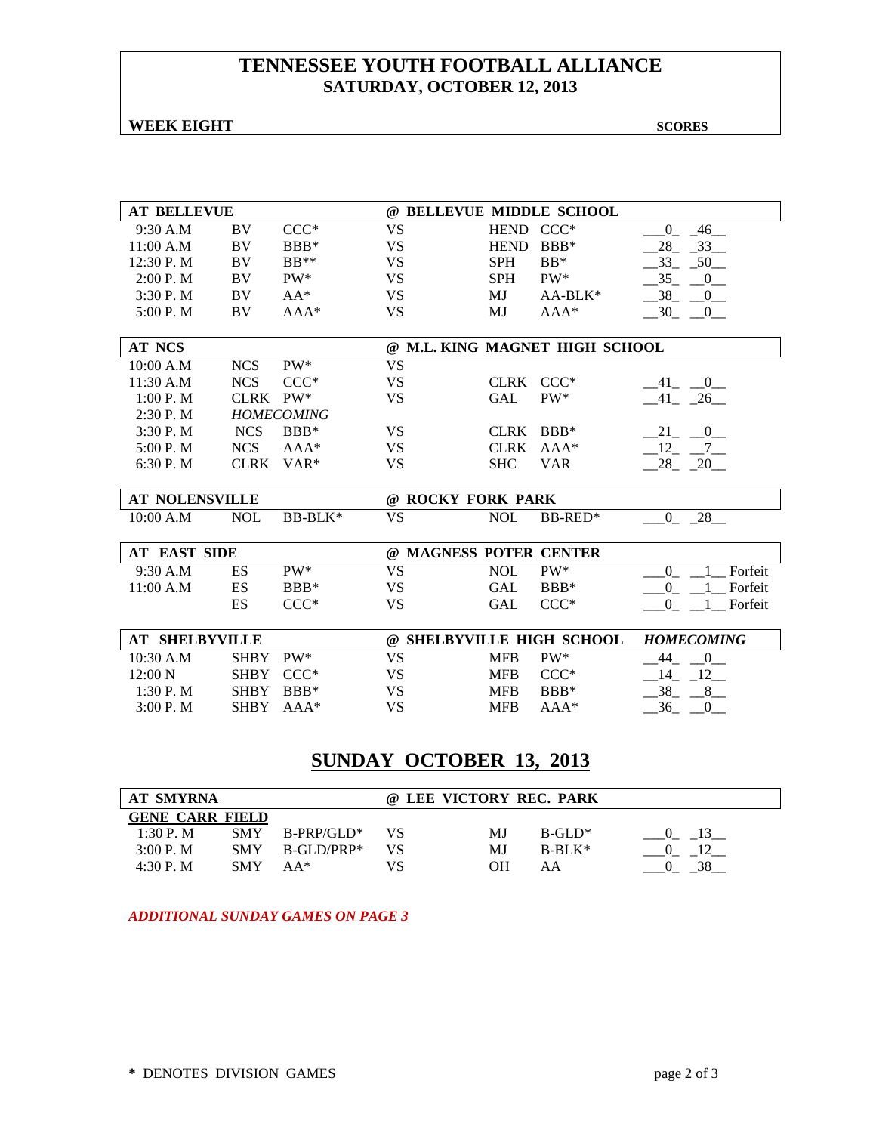## **TENNESSEE YOUTH FOOTBALL ALLIANCE SATURDAY, OCTOBER 12, 2013**

**WEEK EIGHT SCORES** 

| <b>AT BELLEVUE</b>    |             |                   |                        |             | @ BELLEVUE MIDDLE SCHOOL       |                                        |
|-----------------------|-------------|-------------------|------------------------|-------------|--------------------------------|----------------------------------------|
| 9:30 A.M              | <b>BV</b>   | $CCC*$            | <b>VS</b>              | <b>HEND</b> | $CCC*$                         | $\mathbf{0}$<br>46                     |
| 11:00 A.M             | BV          | BBB*              | <b>VS</b>              | <b>HEND</b> | $BBB*$                         | $28 - 33$                              |
| 12:30 P.M             | BV          | $BB**$            | <b>VS</b>              | <b>SPH</b>  | $BB*$                          | $-33$<br>$-50$                         |
| 2:00 P. M             | <b>BV</b>   | $PW^*$            | <b>VS</b>              | <b>SPH</b>  | $PW^*$                         | 35<br>$\begin{array}{c} 0 \end{array}$ |
| 3:30P. M              | <b>BV</b>   | $AA^*$            | <b>VS</b>              | MJ          | $AA-BLK*$                      | 38 0                                   |
| 5:00 P.M              | BV          | $AAA*$            | <b>VS</b>              | MJ          | $AAA*$                         | $-30$ $-0$                             |
|                       |             |                   |                        |             |                                |                                        |
| <b>AT NCS</b>         |             |                   |                        |             | @ M.L. KING MAGNET HIGH SCHOOL |                                        |
| 10:00 A.M             | <b>NCS</b>  | PW*               | <b>VS</b>              |             |                                |                                        |
| 11:30 A.M             | <b>NCS</b>  | $CCC*$            | <b>VS</b>              | CLRK CCC*   |                                | $-41$ $-0$                             |
| 1:00 P. M             | CLRK PW*    |                   | <b>VS</b>              | <b>GAL</b>  | PW*                            | $-41$ $-26$                            |
| 2:30P. M              |             | <b>HOMECOMING</b> |                        |             |                                |                                        |
| 3:30 P.M              | <b>NCS</b>  | BBB*              | <b>VS</b>              | <b>CLRK</b> | $BBB*$                         | $-21$ $-0$                             |
| 5:00 P.M              | <b>NCS</b>  | $AAA*$            | <b>VS</b>              | <b>CLRK</b> | $AAA*$                         | $-12 - -7$                             |
| 6:30 P. M             | CLRK        | $VAR*$            | <b>VS</b>              | <b>SHC</b>  | <b>VAR</b>                     | $28 - 20$                              |
|                       |             |                   |                        |             |                                |                                        |
| <b>AT NOLENSVILLE</b> |             |                   | @ ROCKY FORK PARK      |             |                                |                                        |
| 10:00 A.M             | <b>NOL</b>  | BB-BLK*           | <b>VS</b>              | <b>NOL</b>  | BB-RED*                        | $0 - 28$                               |
| <b>AT EAST SIDE</b>   |             |                   | @ MAGNESS POTER CENTER |             |                                |                                        |
| 9:30 A.M              | ES          | $PW^*$            | <b>VS</b>              | <b>NOL</b>  | PW*                            | $\Omega$<br>Forfeit                    |
| 11:00 A.M             | ES          | BBB*              | <b>VS</b>              | <b>GAL</b>  | $BBB*$                         | $\overline{0}$<br>Forfeit              |
|                       | ES          | $CCC*$            | <b>VS</b>              | <b>GAL</b>  | $CCC*$                         | $\overline{0}$<br>Forfeit              |
|                       |             |                   |                        |             |                                |                                        |
| <b>AT SHELBYVILLE</b> |             |                   |                        |             | @ SHELBYVILLE HIGH SCHOOL      | <b>HOMECOMING</b>                      |
| $10:30$ A.M           | <b>SHBY</b> | $PW^*$            | <b>VS</b>              | <b>MFB</b>  | PW*                            | 44<br>$\overline{0}$                   |
| $12:00\text{ N}$      | <b>SHBY</b> | $CCC*$            | <b>VS</b>              | <b>MFB</b>  | $CCC*$                         | $-14$ $-12$                            |
| 1:30 P. M             | <b>SHBY</b> | $BBB*$            | <b>VS</b>              | <b>MFB</b>  | $BBB*$                         | 38<br>8 <sup>8</sup>                   |
| 3:00P. M              | <b>SHBY</b> | $AAA*$            | <b>VS</b>              | <b>MFB</b>  | AAA*                           | 36<br>$\overline{0}$                   |
|                       |             |                   |                        |             |                                |                                        |

# **SUNDAY OCTOBER 13, 2013**

| AT SMYRNA |                        |              |    | @ LEE VICTORY REC. PARK |            |  |  |  |  |
|-----------|------------------------|--------------|----|-------------------------|------------|--|--|--|--|
|           | <b>GENE CARR FIELD</b> |              |    |                         |            |  |  |  |  |
| 1:30 P.M. | <b>SMY</b>             | $B-PP/GLD^*$ | VS | МJ                      | $B-GL^*$   |  |  |  |  |
| 3:00 P. M | <b>SMY</b>             | B-GLD/PRP*   | VS | МJ                      | $B-RI.K^*$ |  |  |  |  |
| $4:30P$ M | <b>SMY</b>             | $AA*$        | VS | OН                      | ΑA         |  |  |  |  |

*ADDITIONAL SUNDAY GAMES ON PAGE 3*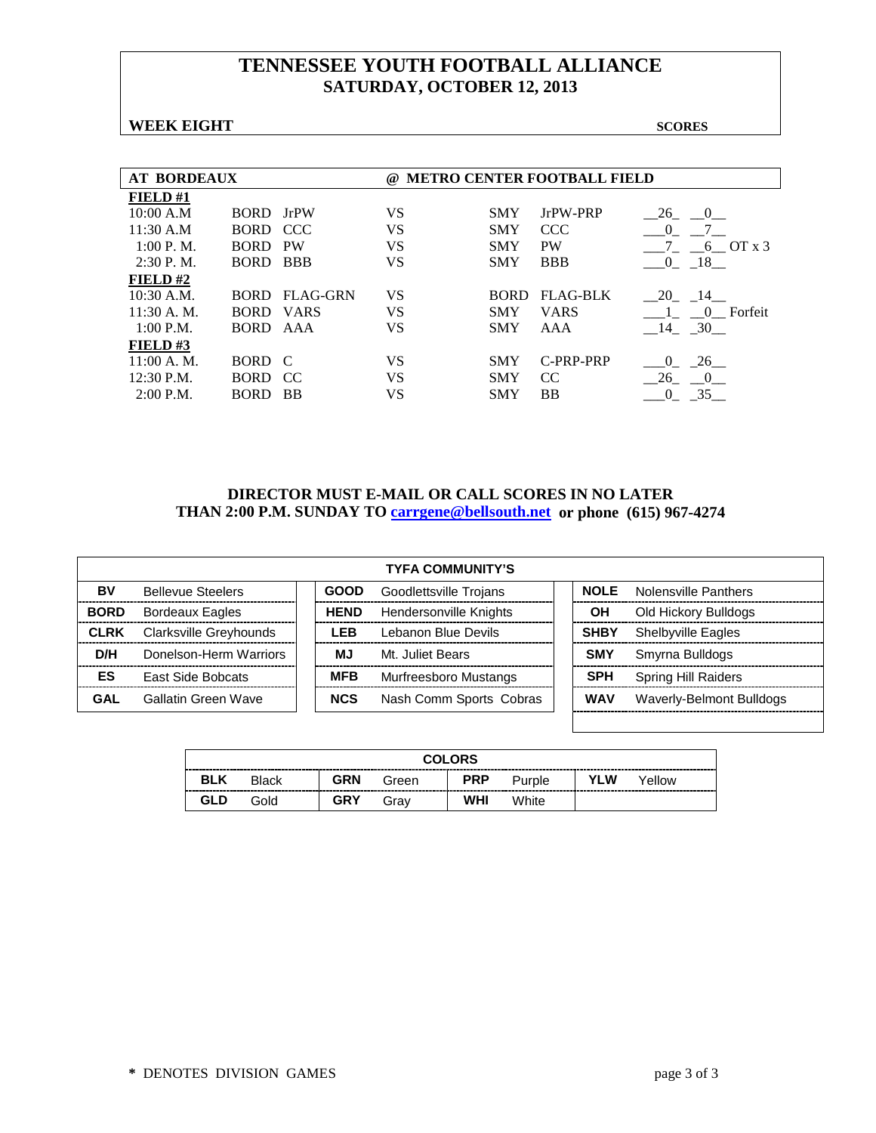# **TENNESSEE YOUTH FOOTBALL ALLIANCE SATURDAY, OCTOBER 12, 2013**

#### **WEEK EIGHT SCORES**

| <b>AT BORDEAUX</b> |             |                 | $\omega$ | <b>METRO CENTER FOOTBALL FIELD</b> |                 |                        |  |  |  |  |
|--------------------|-------------|-----------------|----------|------------------------------------|-----------------|------------------------|--|--|--|--|
| FIELD #1           |             |                 |          |                                    |                 |                        |  |  |  |  |
| 10:00 A.M          | BORD JrPW   |                 | VS       | <b>SMY</b>                         | JrPW-PRP        | 26<br>$\left($         |  |  |  |  |
| 11:30 A.M          | BORD CCC    |                 | VS       | <b>SMY</b>                         | <b>CCC</b>      | $\Omega$               |  |  |  |  |
| 1:00 P. M.         | <b>BORD</b> | <b>PW</b>       | VS       | <b>SMY</b>                         | <b>PW</b>       | $6$ OT $x$ 3           |  |  |  |  |
| $2:30$ P.M.        | BORD.       | <b>BBB</b>      | VS       | <b>SMY</b>                         | <b>BBB</b>      | - 18 -<br>$\theta$     |  |  |  |  |
| FIELD# $2$         |             |                 |          |                                    |                 |                        |  |  |  |  |
| $10:30$ A.M.       | BORD -      | <b>FLAG-GRN</b> | VS       | <b>BORD</b>                        | <b>FLAG-BLK</b> | 20 14                  |  |  |  |  |
| $11:30$ A. M.      | BORD VARS   |                 | VS       | <b>SMY</b>                         | <b>VARS</b>     | 0 Forfeit              |  |  |  |  |
| 1:00 P.M.          | BORD AAA    |                 | VS       | <b>SMY</b>                         | AAA             | 14 30                  |  |  |  |  |
| FIELD#3            |             |                 |          |                                    |                 |                        |  |  |  |  |
| 11:00 A. M.        | BORD C      |                 | VS       | <b>SMY</b>                         | C-PRP-PRP       | 26<br>$\theta$         |  |  |  |  |
| $12:30$ P.M.       | BORD CC     |                 | VS       | <b>SMY</b>                         | CC.             | - 26<br>$\overline{0}$ |  |  |  |  |
| $2:00$ P.M.        | <b>BORD</b> | <b>BB</b>       | VS       | <b>SMY</b>                         | BB              | 35                     |  |  |  |  |

#### **DIRECTOR MUST E-MAIL OR CALL SCORES IN NO LATER THAN 2:00 P.M. SUNDAY TO [carrgene@bellsouth.net](mailto:carrgene@bellsouth.net) or phone (615) 967-4274**

| <b>TYFA COMMUNITY'S</b> |                               |  |             |                         |             |                            |  |  |  |  |  |
|-------------------------|-------------------------------|--|-------------|-------------------------|-------------|----------------------------|--|--|--|--|--|
| BV                      | <b>Bellevue Steelers</b>      |  | <b>GOOD</b> | Goodlettsville Trojans  | <b>NOLE</b> | Nolensville Panthers       |  |  |  |  |  |
| <b>BORD</b>             | <b>Bordeaux Eagles</b>        |  | <b>HEND</b> | Hendersonville Knights  | OН          | Old Hickory Bulldogs       |  |  |  |  |  |
| <b>CLRK</b>             | <b>Clarksville Greyhounds</b> |  | I FR        | Lebanon Blue Devils     | <b>SHBY</b> | <b>Shelbyville Eagles</b>  |  |  |  |  |  |
| D/H                     | Donelson-Herm Warriors        |  | МJ          | Mt. Juliet Bears        | <b>SMY</b>  | Smyrna Bulldogs            |  |  |  |  |  |
| ES                      | <b>East Side Bobcats</b>      |  | <b>MFB</b>  | Murfreesboro Mustangs   | <b>SPH</b>  | <b>Spring Hill Raiders</b> |  |  |  |  |  |
| GAL                     | Gallatin Green Wave           |  | <b>NCS</b>  | Nash Comm Sports Cobras | <b>WAV</b>  | Waverly-Belmont Bulldogs   |  |  |  |  |  |
|                         |                               |  |             |                         |             |                            |  |  |  |  |  |

|            | <b>COLORS</b> |            |       |            |        |     |        |  |  |  |  |  |
|------------|---------------|------------|-------|------------|--------|-----|--------|--|--|--|--|--|
| <b>BLK</b> | Black         | <b>GRN</b> | Green | <b>PRP</b> | Purple | YLW | Yellow |  |  |  |  |  |
| GLD        | Gold          | GRY        | Grav  | WHI        | White  |     |        |  |  |  |  |  |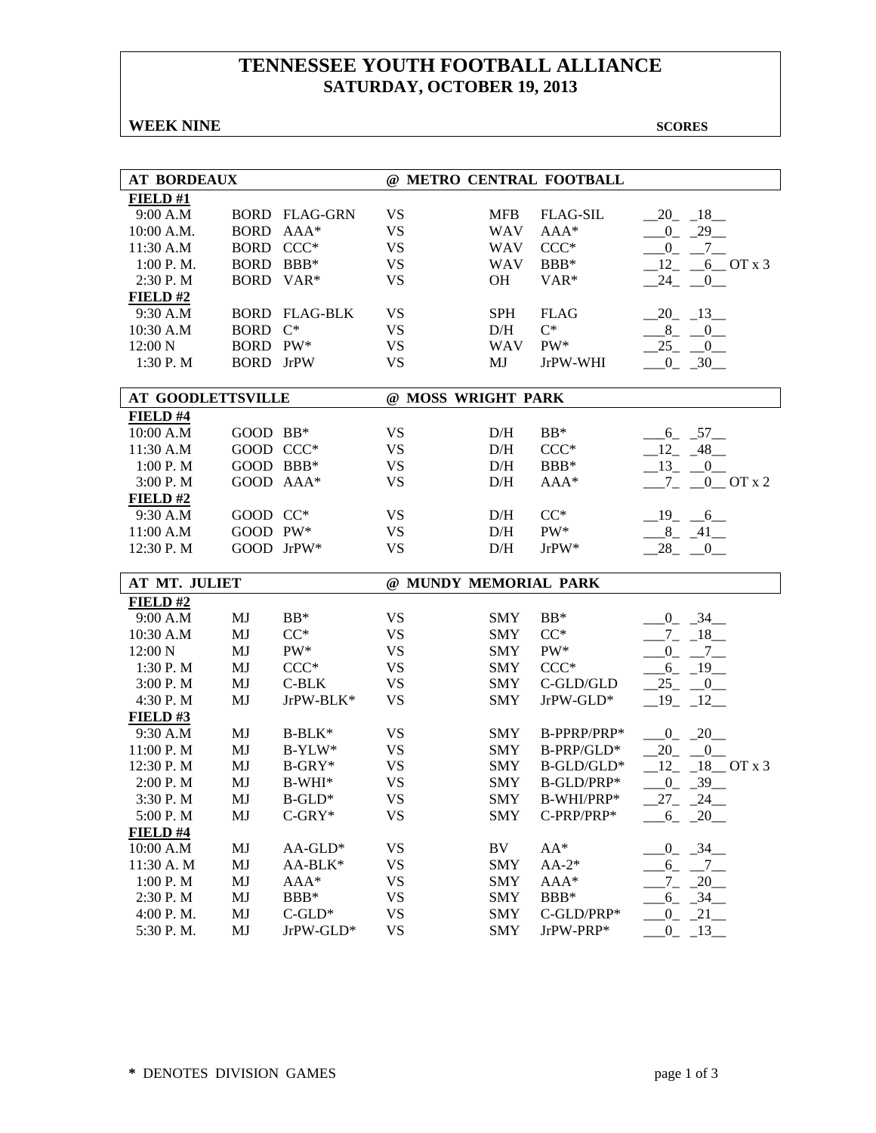# **TENNESSEE YOUTH FOOTBALL ALLIANCE SATURDAY, OCTOBER 19, 2013**

**WEEK NINE** SCORES

| <b>AT BORDEAUX</b>       |                  |                      |                       |            | @ METRO CENTRAL FOOTBALL |                                     |
|--------------------------|------------------|----------------------|-----------------------|------------|--------------------------|-------------------------------------|
| FIELD#1                  |                  |                      |                       |            |                          |                                     |
| 9:00 A.M                 |                  | <b>BORD FLAG-GRN</b> | <b>VS</b>             | <b>MFB</b> | <b>FLAG-SIL</b>          | $-20$ $-18$                         |
| 10:00 A.M.               | BORD AAA*        |                      | <b>VS</b>             | <b>WAV</b> | $AAA*$                   | $-0$ $-29$                          |
| 11:30 A.M                | BORD CCC*        |                      | <b>VS</b>             | <b>WAV</b> | $CCC*$                   | $0\_$<br>$-7$                       |
| 1:00 P.M.                | BORD BBB*        |                      | <b>VS</b>             | <b>WAV</b> | $BBB*$                   | 12<br>$6$ OT x 3                    |
| 2:30 P.M                 | BORD VAR*        |                      | <b>VS</b>             | OH         | VAR*                     | $24$ <sub>-</sub><br>$\overline{0}$ |
| FIELD#2                  |                  |                      |                       |            |                          |                                     |
| 9:30 A.M                 |                  | <b>BORD FLAG-BLK</b> | <b>VS</b>             | <b>SPH</b> | <b>FLAG</b>              | $-20 - 13$                          |
| 10:30 A.M                | BORD C*          |                      | <b>VS</b>             | D/H        | $C^*$                    | $8 - 0$                             |
| 12:00 N                  | BORD PW*         |                      | <b>VS</b>             | <b>WAV</b> | PW*                      | $25 - 0$                            |
| 1:30 P.M                 | <b>BORD</b> JrPW |                      | <b>VS</b>             | MJ         | JrPW-WHI                 | $-0$ $-30$                          |
|                          |                  |                      |                       |            |                          |                                     |
| <b>AT GOODLETTSVILLE</b> |                  |                      | @ MOSS WRIGHT PARK    |            |                          |                                     |
| FIELD #4                 |                  |                      |                       |            |                          |                                     |
| 10:00 A.M                | GOOD BB*         |                      | <b>VS</b>             | D/H        | $BB*$                    | $6 - 57$                            |
| 11:30 A.M                | GOOD CCC*        |                      | <b>VS</b>             | D/H        | $CCC*$                   | $-12 - 48$                          |
| 1:00 P. M                | GOOD BBB*        |                      | <b>VS</b>             | D/H        | BBB*                     | $-13$ $-0$                          |
| 3:00 P. M                |                  | GOOD AAA*            | <b>VS</b>             | D/H        | AAA*                     | $-7 - 0$ OT x 2                     |
| FIELD#2                  |                  |                      |                       |            |                          |                                     |
| 9:30 A.M                 | GOOD CC*         |                      | <b>VS</b>             | D/H        | $CC^*$                   | $-19$ $-6$                          |
| 11:00 A.M                | GOOD PW*         |                      | <b>VS</b>             | D/H        | PW*                      | $-8$ $-41$                          |
| 12:30 P.M                |                  | GOOD JrPW*           | <b>VS</b>             | D/H        | $\mathrm{JrPW^*}$        | $-28$ $-0$                          |
| AT MT. JULIET            |                  |                      | @ MUNDY MEMORIAL PARK |            |                          |                                     |
| FIELD#2                  |                  |                      |                       |            |                          |                                     |
| 9:00 A.M                 | MJ               | $BB*$                | <b>VS</b>             | <b>SMY</b> | $BB*$                    | $-0$ $-34$                          |
| 10:30 A.M                | MJ               | $CC^*$               | <b>VS</b>             | <b>SMY</b> | $CC^*$                   | $-7 - 18$                           |
| 12:00 N                  | MJ               | PW*                  | <b>VS</b>             | <b>SMY</b> | PW*                      | $-0$ $-7$                           |
| 1:30 P.M                 | MJ               | $CCC*$               | <b>VS</b>             | <b>SMY</b> | $CCC*$                   | $-6 - 19$                           |
| 3:00 P.M                 | MJ               | $C-BLK$              | <b>VS</b>             | <b>SMY</b> | C-GLD/GLD                | $25 - 0$                            |
| 4:30 P.M                 | MJ               | JrPW-BLK*            | <b>VS</b>             | <b>SMY</b> | $JrPW-GLD*$              | $-19 - 12$                          |
| FIELD#3                  |                  |                      |                       |            |                          |                                     |
| 9:30 A.M                 | MJ               | $B-BLK*$             | <b>VS</b>             | <b>SMY</b> | B-PPRP/PRP*              | $0 - 20$                            |
| 11:00 P.M                | MJ               | B-YLW*               | <b>VS</b>             | <b>SMY</b> | B-PRP/GLD*               | $20 - 0$                            |
| 12:30 P.M                | MJ               | $B-GRY*$             | <b>VS</b>             | <b>SMY</b> | B-GLD/GLD*               | 12<br>$18$ OT x 3                   |
| 2:00 P.M                 | MJ               | $B-WHI*$             | <b>VS</b>             | <b>SMY</b> | B-GLD/PRP*               | $-39$<br>$\overline{0}$             |
| 3:30 P.M                 | MJ               | $B$ -GLD*            | <b>VS</b>             | <b>SMY</b> | B-WHI/PRP*               | 27<br>24                            |
| 5:00 P.M                 | MJ               | $C-GRY*$             | <b>VS</b>             | <b>SMY</b> | C-PRP/PRP*               | $-6 - 20$                           |
| FIELD #4                 |                  |                      |                       |            |                          |                                     |
| 10:00 A.M                | MJ               | $AA-GLD*$            | <b>VS</b>             | BV         | $AA^*$                   | $-0$ $-34$                          |
| 11:30 A. M               | MJ               | AA-BLK*              | <b>VS</b>             | <b>SMY</b> | $AA-2*$                  | $-6 - 7 -$                          |
| $1:00$ P. M $\,$         | MJ               | AAA*                 | <b>VS</b>             | <b>SMY</b> | $AAA*$                   | $-20$<br>$7_{-}$                    |
| 2:30 P.M                 | MJ               | BBB*                 | <b>VS</b>             | <b>SMY</b> | BBB*                     | $6 - 34$                            |
| 4:00 P.M.                | MJ               | $C$ -GLD*            | <b>VS</b>             | <b>SMY</b> | C-GLD/PRP*               | $0 - 21$                            |
| 5:30 P.M.                | MJ               | $JrPW-GLD*$          | <b>VS</b>             | <b>SMY</b> | JrPW-PRP*                | $\overline{0}$<br>$-13$             |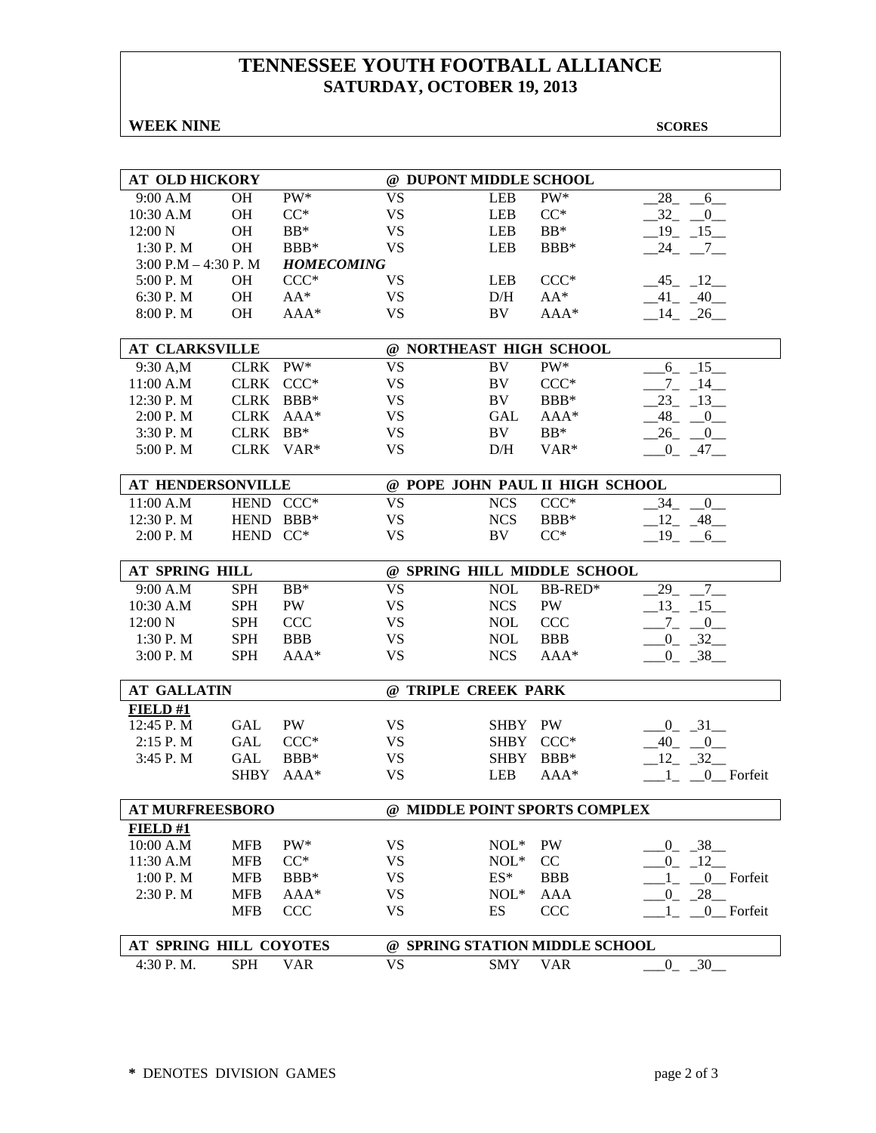# **TENNESSEE YOUTH FOOTBALL ALLIANCE SATURDAY, OCTOBER 19, 2013**

**WEEK NINE** SCORES

| <b>AT OLD HICKORY</b>    |                   | @ DUPONT MIDDLE SCHOOL |                |                                 |                                |
|--------------------------|-------------------|------------------------|----------------|---------------------------------|--------------------------------|
| 9:00 A.M<br><b>OH</b>    | $PW^*$            | <b>VS</b>              | <b>LEB</b>     | $PW^*$                          | 28<br>6                        |
| 10:30 A.M<br><b>OH</b>   | $CC^*$            | <b>VS</b>              | <b>LEB</b>     | $CC^*$                          | $-32 - 0$                      |
| 12:00 N<br>OH            | $BB*$             | <b>VS</b>              | <b>LEB</b>     | $BB*$                           | $-19 - 15$                     |
| <b>OH</b><br>1:30 P.M    | BBB*              | <b>VS</b>              | LEB            | BBB*                            | 24 7                           |
| 3:00 P.M $-$ 4:30 P.M    | <b>HOMECOMING</b> |                        |                |                                 |                                |
| 5:00 P.M<br><b>OH</b>    | $CCC*$            | VS                     | <b>LEB</b>     | $CCC*$                          | $-45 - 12$                     |
| 6:30 P.M<br><b>OH</b>    | $AA^*$            | <b>VS</b>              | D/H            | $AA^*$                          | $-41 - 40$                     |
| 8:00 P.M<br><b>OH</b>    | AAA*              | <b>VS</b>              | BV             | AAA*                            | $-14$ $-26$                    |
|                          |                   |                        |                |                                 |                                |
| <b>AT CLARKSVILLE</b>    |                   |                        |                | @ NORTHEAST HIGH SCHOOL         |                                |
| 9:30 A,M                 | CLRK PW*          | <b>VS</b>              | BV             | PW*                             | $6 - 15$                       |
| 11:00 A.M                | CLRK CCC*         | <b>VS</b>              | BV             | $CCC*$                          | $-7$ $-14$ $-$                 |
| 12:30 P.M<br><b>CLRK</b> | $BBB*$            | <b>VS</b>              | BV             | $BBB*$                          | $-23$ $-13$                    |
| <b>CLRK</b><br>2:00 P. M | $AAA*$            | <b>VS</b>              | GAL            | $AAA*$                          | $-48$ <sub>-</sub> $-0$        |
| 3:30 P.M<br><b>CLRK</b>  | $BB*$             | <b>VS</b>              | BV             | $BB*$                           | $-26$ $-0$                     |
| <b>CLRK</b><br>5:00 P.M  | $VAR*$            | <b>VS</b>              | D/H            | VAR*                            | $0 - 47$                       |
|                          |                   |                        |                |                                 |                                |
| AT HENDERSONVILLE        |                   |                        |                | @ POPE JOHN PAUL II HIGH SCHOOL |                                |
| 11:00 A.M                | HEND CCC*         | <b>VS</b>              | <b>NCS</b>     | $CCC*$                          | $\overline{\phantom{0}}$<br>34 |
| 12:30 P.M<br><b>HEND</b> | $BBB*$            | <b>VS</b>              | <b>NCS</b>     | BBB*                            | $-12 - 48$                     |
| 2:00 P.M<br><b>HEND</b>  | $CC^*$            | <b>VS</b>              | BV             | $CC^*$                          | $-19$ $-6$                     |
|                          |                   |                        |                |                                 |                                |
| AT SPRING HILL           |                   |                        |                | @ SPRING HILL MIDDLE SCHOOL     |                                |
| <b>SPH</b><br>9:00 A.M   | $BB*$             | <b>VS</b>              | <b>NOL</b>     | BB-RED*                         | 29<br>$7\overline{ }$          |
| <b>SPH</b><br>10:30 A.M  | PW                | <b>VS</b>              | <b>NCS</b>     | PW                              | $-13$ $-15$ $-$                |
| <b>SPH</b><br>12:00 N    | <b>CCC</b>        | <b>VS</b>              | <b>NOL</b>     | <b>CCC</b>                      | $-7 - -0$                      |
| 1:30 P.M<br><b>SPH</b>   | <b>BBB</b>        | <b>VS</b>              | <b>NOL</b>     | <b>BBB</b>                      | $-0$ $-32$                     |
| 3:00 P.M<br><b>SPH</b>   | $AAA*$            | <b>VS</b>              | <b>NCS</b>     | $AAA*$                          | $0 - 38$                       |
| <b>AT GALLATIN</b>       |                   | @ TRIPLE CREEK PARK    |                |                                 |                                |
| FIELD#1                  |                   |                        |                |                                 |                                |
| 12:45 P.M<br><b>GAL</b>  | <b>PW</b>         | <b>VS</b>              | SHBY PW        |                                 | $-31$<br>$0_{-}$               |
| 2:15 P.M<br><b>GAL</b>   | $CCC*$            | <b>VS</b>              | <b>SHBY</b>    | $CCC*$                          | $-40$<br>$\sqrt{0}$            |
| 3:45 P.M<br><b>GAL</b>   | BBB*              | <b>VS</b>              | <b>SHBY</b>    | BBB*                            | $-32$<br>12                    |
|                          |                   | <b>VS</b>              | <b>LEB</b>     |                                 |                                |
| <b>SHBY</b>              | $AAA*$            |                        |                | $AAA*$                          | 0 Forfeit                      |
| <b>AT MURFREESBORO</b>   |                   |                        |                | @ MIDDLE POINT SPORTS COMPLEX   |                                |
| FIELD#1                  |                   |                        |                |                                 |                                |
| 10:00 A.M<br><b>MFB</b>  | PW*               | <b>VS</b>              | $NOL*$         | PW                              | $0 - 38$                       |
| 11:30 A.M<br><b>MFB</b>  | $CC^*$            | <b>VS</b>              | $\text{NOL}^*$ | CC                              | $-12$<br>$0_{-}$               |
| 1:00 P.M<br><b>MFB</b>   | BBB*              | <b>VS</b>              | $ES^*$         | <b>BBB</b>                      | 0_Forfeit                      |
| 2:30 P.M<br><b>MFB</b>   | AAA*              | <b>VS</b>              | $NOL*$         | AAA                             | 28<br>$\overline{0}$           |
| <b>MFB</b>               | <b>CCC</b>        | <b>VS</b>              | ES             | <b>CCC</b>                      | 0_Forfeit                      |
|                          |                   |                        |                |                                 |                                |
| AT SPRING HILL COYOTES   |                   |                        |                | @ SPRING STATION MIDDLE SCHOOL  |                                |
| 4:30 P.M.<br><b>SPH</b>  | <b>VAR</b>        | <b>VS</b>              | <b>SMY</b>     | <b>VAR</b>                      | $0 - 30$                       |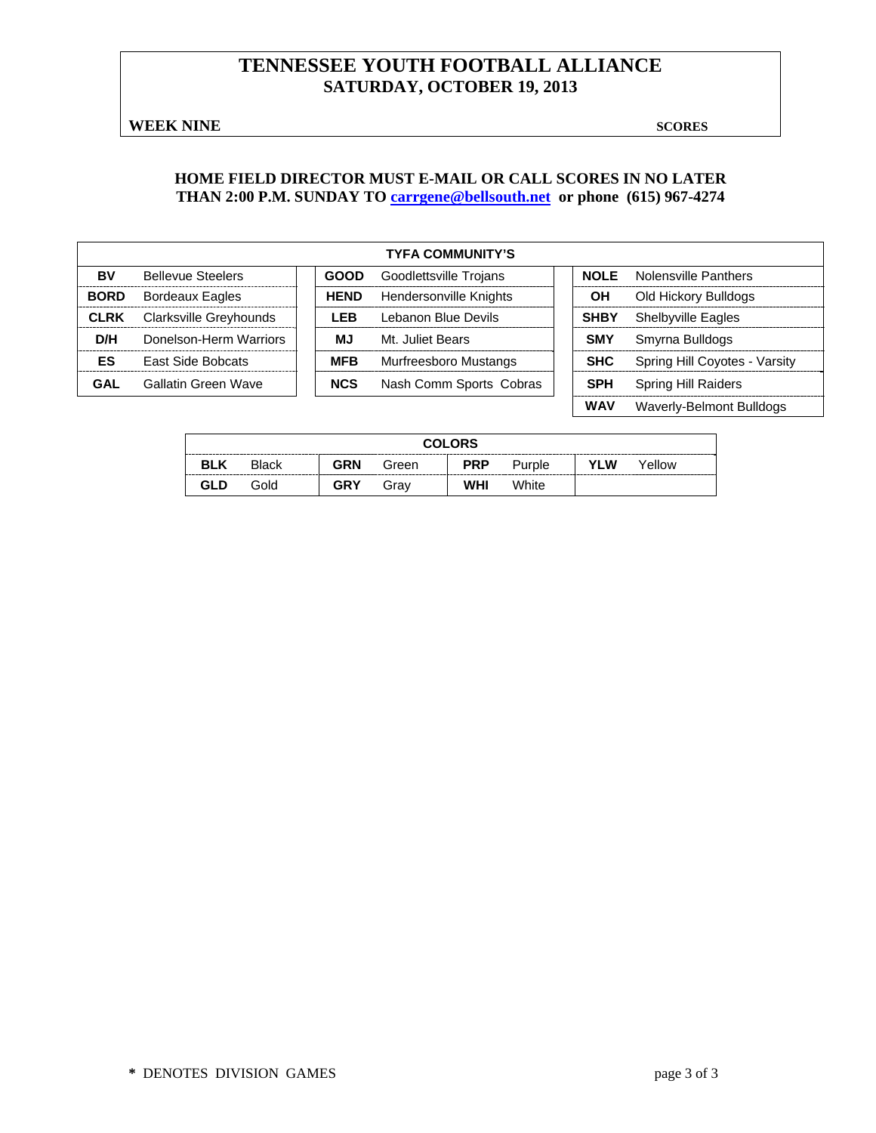# **TENNESSEE YOUTH FOOTBALL ALLIANCE SATURDAY, OCTOBER 19, 2013**

**WEEK NINE** SCORES

#### **HOME FIELD DIRECTOR MUST E-MAIL OR CALL SCORES IN NO LATER THAN 2:00 P.M. SUNDAY TO carrgene@bellsouth.net or phone (615) 967-4274**

|             |                          |             | <b>TYFA COMMUNITY'S</b> |             |                               |
|-------------|--------------------------|-------------|-------------------------|-------------|-------------------------------|
| BV          | <b>Bellevue Steelers</b> | <b>GOOD</b> | Goodlettsville Trojans  | <b>NOLE</b> | Nolensville Panthers          |
| <b>BORD</b> | <b>Bordeaux Eagles</b>   | <b>HEND</b> | Hendersonville Knights  | OН          | Old Hickory Bulldogs          |
| <b>CLRK</b> | Clarksville Greyhounds   | LEB         | Lebanon Blue Devils     | <b>SHBY</b> | <b>Shelbyville Eagles</b>     |
| D/H         | Donelson-Herm Warriors   | MJ          | Mt. Juliet Bears        | <b>SMY</b>  | Smyrna Bulldogs               |
| ES          | <b>East Side Bobcats</b> | <b>MFB</b>  | Murfreesboro Mustangs   | <b>SHC</b>  | Spring Hill Coyotes - Varsity |
| <b>GAL</b>  | Gallatin Green Wave      | <b>NCS</b>  | Nash Comm Sports Cobras | <b>SPH</b>  | <b>Spring Hill Raiders</b>    |
|             |                          |             |                         | <b>WAV</b>  | Waverly-Belmont Bulldogs      |

|            | <b>COLORS</b> |            |       |            |        |     |        |  |  |  |
|------------|---------------|------------|-------|------------|--------|-----|--------|--|--|--|
| <b>BLK</b> | <b>Black</b>  | <b>GRN</b> | Green | <b>PRP</b> | Purple | YLW | Yellow |  |  |  |
| GLD        | Gold          | <b>GRY</b> | Grav  | WHI        | White  |     |        |  |  |  |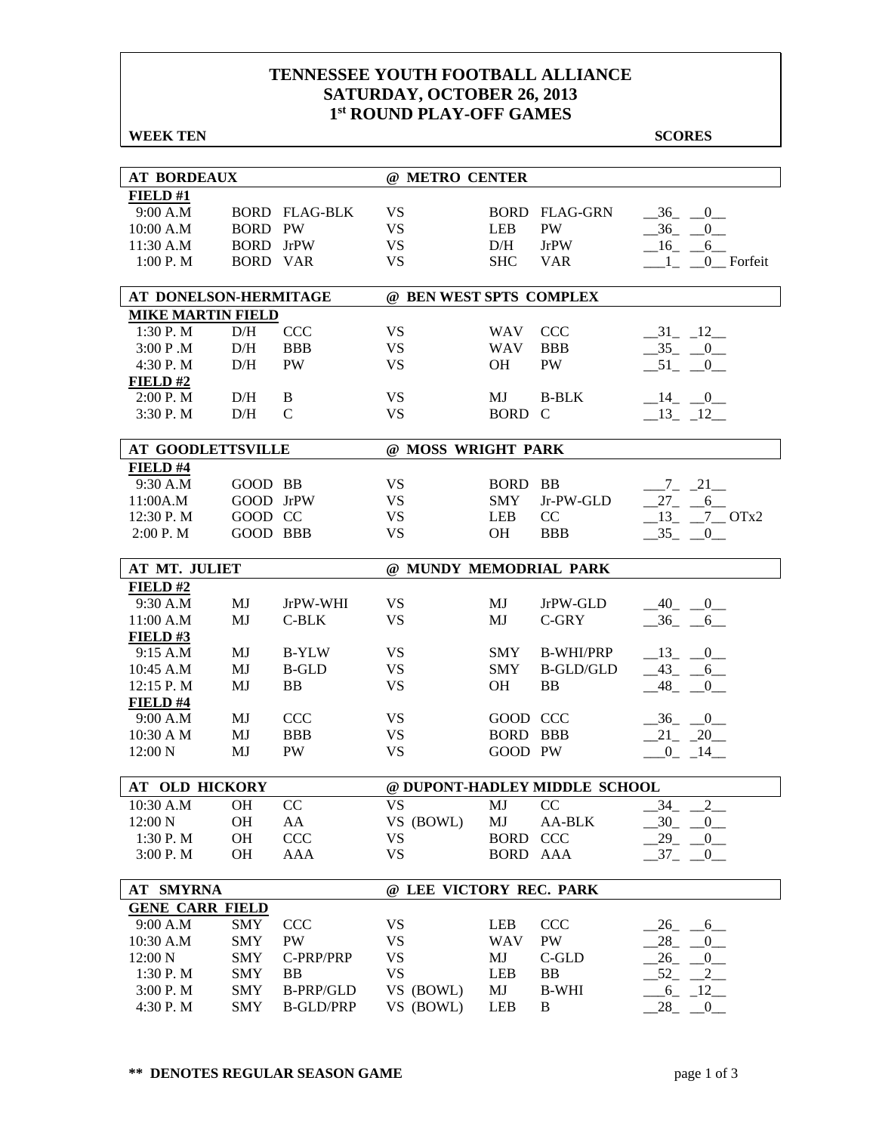#### **TENNESSEE YOUTH FOOTBALL ALLIANCE SATURDAY, OCTOBER 26, 2013 1st ROUND PLAY-OFF GAMES**

| <b>WEEK TEN</b>          |                  |                      |                         |                 |                               | <b>SCORES</b>                                    |
|--------------------------|------------------|----------------------|-------------------------|-----------------|-------------------------------|--------------------------------------------------|
|                          |                  |                      |                         |                 |                               |                                                  |
| <b>AT BORDEAUX</b>       |                  |                      | @ METRO CENTER          |                 |                               |                                                  |
| FIELD#1                  |                  |                      |                         |                 |                               |                                                  |
| 9:00 A.M                 |                  | <b>BORD FLAG-BLK</b> | <b>VS</b>               |                 | <b>BORD FLAG-GRN</b>          | $-36$ $-0$                                       |
| 10:00 A.M                | <b>BORD PW</b>   |                      | <b>VS</b>               | <b>LEB</b>      | PW                            | $-36$ $-0$                                       |
| 11:30 A.M                | <b>BORD</b> JrPW |                      | <b>VS</b>               | D/H             | <b>JrPW</b>                   | $-16$ $-6$                                       |
| 1:00 P. M                | BORD VAR         |                      | <b>VS</b>               | <b>SHC</b>      | <b>VAR</b>                    | $\begin{array}{c} 1 \\ -1 \end{array}$ 0 Forfeit |
| AT DONELSON-HERMITAGE    |                  |                      | @ BEN WEST SPTS COMPLEX |                 |                               |                                                  |
| <b>MIKE MARTIN FIELD</b> |                  |                      |                         |                 |                               |                                                  |
| 1:30 P.M                 | D/H              | <b>CCC</b>           | <b>VS</b>               | <b>WAV</b>      | <b>CCC</b>                    | $-31 - 12$                                       |
| 3:00 P.M                 | D/H              | <b>BBB</b>           | <b>VS</b>               | <b>WAV</b>      | <b>BBB</b>                    | $-35 - 0$                                        |
| 4:30 P.M                 | D/H              | <b>PW</b>            | <b>VS</b>               | <b>OH</b>       | PW                            | $-51$ $-0$                                       |
| $FIED$ #2                |                  |                      |                         |                 |                               |                                                  |
| 2:00 P.M                 | D/H              | B                    | <b>VS</b>               | MJ              | <b>B-BLK</b>                  | $-14$ $-0$                                       |
| 3:30 P.M                 | D/H              | $\mathcal{C}$        | <b>VS</b>               | BORD C          |                               | $-13 - 12$                                       |
|                          |                  |                      |                         |                 |                               |                                                  |
| <b>AT GOODLETTSVILLE</b> |                  |                      | @ MOSS WRIGHT PARK      |                 |                               |                                                  |
| FIELD #4                 |                  |                      |                         |                 |                               |                                                  |
| 9:30 A.M                 | GOOD BB          |                      | <b>VS</b>               | <b>BORD BB</b>  |                               | $-7 - 21$                                        |
| 11:00A.M                 | GOOD JrPW        |                      | <b>VS</b>               | <b>SMY</b>      | Jr-PW-GLD                     | $27 - 6$                                         |
| 12:30 P.M                | GOOD CC          |                      | <b>VS</b>               | <b>LEB</b>      | CC                            | $13 - 7 - 0$ Tx2                                 |
| 2:00 P.M                 | <b>GOOD BBB</b>  |                      | <b>VS</b>               | <b>OH</b>       | <b>BBB</b>                    | $-35 - 0$                                        |
| AT MT. JULIET            |                  |                      | @ MUNDY MEMODRIAL PARK  |                 |                               |                                                  |
| FIELD#2                  |                  |                      |                         |                 |                               |                                                  |
| 9:30 A.M                 | MJ               | JrPW-WHI             | <b>VS</b>               | MJ              | JrPW-GLD                      | $-40$ $-0$                                       |
| 11:00 A.M                | MJ               | $C-BLK$              | <b>VS</b>               | MJ              | C-GRY                         | $-36 - 6$                                        |
| FIELD#3                  |                  |                      |                         |                 |                               |                                                  |
| 9:15 A.M                 | MJ               | <b>B-YLW</b>         | <b>VS</b>               | <b>SMY</b>      | <b>B-WHI/PRP</b>              | $-13$ $-0$                                       |
| 10:45 A.M                | MJ               | <b>B-GLD</b>         | <b>VS</b>               | <b>SMY</b>      | <b>B-GLD/GLD</b>              | $-43$ $-6$                                       |
| 12:15 P.M                | MJ               | <b>BB</b>            | <b>VS</b>               | <b>OH</b>       | <b>BB</b>                     | 48<br>$\overline{0}$                             |
| FIELD #4                 |                  |                      |                         |                 |                               |                                                  |
| 9:00 A.M                 | MJ               | <b>CCC</b>           | <b>VS</b>               | GOOD CCC        |                               | $-36$ $-0$                                       |
| 10:30 A M                | MJ               | <b>BBB</b>           | <b>VS</b>               | <b>BORD BBB</b> |                               | $-21 - 20$                                       |
| $12:00\text{ N}$         | MJ               | PW                   | <b>VS</b>               | GOOD PW         |                               | $-0$ $-14$                                       |
| AT OLD HICKORY           |                  |                      |                         |                 | @ DUPONT-HADLEY MIDDLE SCHOOL |                                                  |
| 10:30 A.M                | OH               | CC                   | <b>VS</b>               | MJ              | CC                            | 34<br>$\overline{2}$                             |
| 12:00 N                  | OH               | AA                   | VS (BOWL)               | MJ              | AA-BLK                        | $-30$<br>$\overline{0}$                          |
| 1:30 P.M                 | OH               | CCC                  | <b>VS</b>               | BORD CCC        |                               | 29<br>$\overline{\phantom{0}}^0$                 |
| 3:00 P.M                 | <b>OH</b>        | AAA                  | <b>VS</b>               | BORD AAA        |                               | $-37 - 0$                                        |
|                          |                  |                      |                         |                 |                               |                                                  |
| <b>AT SMYRNA</b>         |                  |                      | @ LEE VICTORY REC. PARK |                 |                               |                                                  |
| <b>GENE CARR FIELD</b>   |                  |                      |                         |                 |                               |                                                  |
| 9:00 A.M                 | <b>SMY</b>       | CCC                  | <b>VS</b>               | <b>LEB</b>      | <b>CCC</b>                    | $-26$ $-6$ $-$                                   |
| 10:30 A.M                | <b>SMY</b>       | PW                   | <b>VS</b>               | <b>WAV</b>      | PW                            | 28<br>$\overline{0}$                             |
| 12:00 N                  | <b>SMY</b>       | C-PRP/PRP            | <b>VS</b>               | MJ              | C-GLD                         | 26<br>$\overline{0}$                             |
| 1:30 P.M                 | <b>SMY</b>       | BB                   | <b>VS</b>               | LEB             | BB                            | $-52$<br>$\frac{2}{2}$                           |
| 3:00 P.M                 | <b>SMY</b>       | <b>B-PRP/GLD</b>     | VS (BOWL)               | MJ              | <b>B-WHI</b>                  | $-6$ $-12$                                       |
| 4:30 P.M                 | <b>SMY</b>       | <b>B-GLD/PRP</b>     | VS (BOWL)               | LEB             | B                             | 28<br>$\overline{\phantom{0}}^0$                 |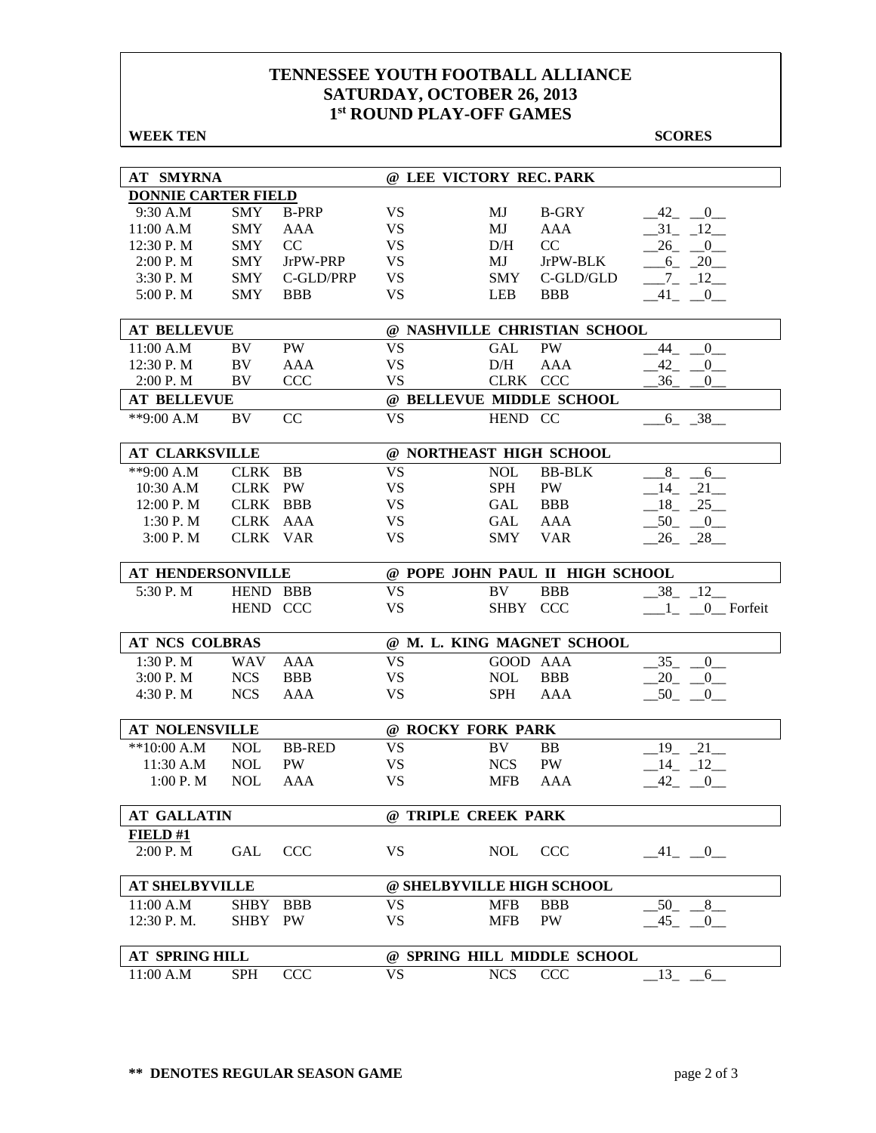#### **TENNESSEE YOUTH FOOTBALL ALLIANCE SATURDAY, OCTOBER 26, 2013 1st ROUND PLAY-OFF GAMES**

| <b>WEEK TEN</b>            |             |               |           |                              |                                 | <b>SCORES</b>                      |  |  |  |  |
|----------------------------|-------------|---------------|-----------|------------------------------|---------------------------------|------------------------------------|--|--|--|--|
|                            |             |               |           |                              |                                 |                                    |  |  |  |  |
| <b>AT SMYRNA</b>           |             |               |           | @ LEE VICTORY REC. PARK      |                                 |                                    |  |  |  |  |
| <b>DONNIE CARTER FIELD</b> |             |               |           |                              |                                 |                                    |  |  |  |  |
| 9:30 A.M                   | <b>SMY</b>  | <b>B-PRP</b>  | <b>VS</b> | МJ                           | <b>B-GRY</b>                    | 42<br>$\overline{\phantom{0}}^{0}$ |  |  |  |  |
| 11:00 A.M                  | <b>SMY</b>  | AAA           | <b>VS</b> | MJ                           | AAA                             | $-31 - 12$                         |  |  |  |  |
| 12:30 P.M                  | <b>SMY</b>  | CC            | <b>VS</b> | D/H                          | CC                              | $26 - 0$                           |  |  |  |  |
| 2:00 P. M                  | <b>SMY</b>  | JrPW-PRP      | <b>VS</b> | MJ                           | JrPW-BLK                        | $6 - 20$                           |  |  |  |  |
| 3:30 P.M                   | <b>SMY</b>  | C-GLD/PRP     | <b>VS</b> | <b>SMY</b>                   | $C$ -GLD/GLD                    | $-7 - 12$                          |  |  |  |  |
| 5:00 P.M                   | <b>SMY</b>  | <b>BBB</b>    | <b>VS</b> | <b>LEB</b>                   | <b>BBB</b>                      | $-41$ $-0$                         |  |  |  |  |
| <b>AT BELLEVUE</b>         |             |               |           | @ NASHVILLE CHRISTIAN SCHOOL |                                 |                                    |  |  |  |  |
| 11:00 A.M                  | BV          | PW            | <b>VS</b> | GAL                          | PW                              | 44<br>$\overline{0}$               |  |  |  |  |
| 12:30 P.M                  | BV          | AAA           | <b>VS</b> | D/H                          | AAA                             | 42<br>$\overline{0}$               |  |  |  |  |
| 2:00 P.M                   | BV          | <b>CCC</b>    | <b>VS</b> | CLRK CCC                     |                                 | 36<br>$\boldsymbol{0}$             |  |  |  |  |
| <b>AT BELLEVUE</b>         |             |               |           | @ BELLEVUE MIDDLE SCHOOL     |                                 |                                    |  |  |  |  |
| **9:00 A.M                 | BV          | CC            | <b>VS</b> | HEND CC                      |                                 | $6 - 38$                           |  |  |  |  |
| <b>AT CLARKSVILLE</b>      |             |               |           | @ NORTHEAST HIGH SCHOOL      |                                 |                                    |  |  |  |  |
|                            |             |               |           |                              |                                 |                                    |  |  |  |  |
| **9:00 A.M                 | CLRK        | <b>BB</b>     | <b>VS</b> | <b>NOL</b>                   | <b>BB-BLK</b>                   | 8<br>6                             |  |  |  |  |
| 10:30 A.M                  | CLRK PW     |               | <b>VS</b> | <b>SPH</b>                   | PW                              | $-14$ $-21$                        |  |  |  |  |
| 12:00 P.M                  | CLRK BBB    |               | <b>VS</b> | GAL                          | <b>BBB</b>                      | $18 - 25$                          |  |  |  |  |
| 1:30 P. M                  | CLRK AAA    |               | <b>VS</b> | GAL                          | AAA                             | $-50$<br>$_{0}$                    |  |  |  |  |
| 3:00 P.M                   | CLRK VAR    |               | <b>VS</b> | <b>SMY</b>                   | <b>VAR</b>                      | $26 - 28$                          |  |  |  |  |
| AT HENDERSONVILLE          |             |               |           |                              | @ POPE JOHN PAUL II HIGH SCHOOL |                                    |  |  |  |  |
| 5:30 P.M                   | HEND BBB    |               | <b>VS</b> | BV                           | <b>BBB</b>                      | 38<br>$-12$                        |  |  |  |  |
|                            | HEND CCC    |               | <b>VS</b> | <b>SHBY</b>                  | <b>CCC</b>                      | 0 Forfeit                          |  |  |  |  |
| AT NCS COLBRAS             |             |               |           | @ M. L. KING MAGNET SCHOOL   |                                 |                                    |  |  |  |  |
| 1:30 P.M                   | <b>WAV</b>  | AAA           | <b>VS</b> | GOOD AAA                     |                                 | 35<br>$\overline{0}$               |  |  |  |  |
| 3:00 P. M                  | <b>NCS</b>  | <b>BBB</b>    | <b>VS</b> | <b>NOL</b>                   | <b>BBB</b>                      | $-20$ $-0$                         |  |  |  |  |
| 4:30 P.M                   | <b>NCS</b>  | AAA           | <b>VS</b> | <b>SPH</b>                   | AAA                             | $-50$ $-0$                         |  |  |  |  |
|                            |             |               |           |                              |                                 |                                    |  |  |  |  |
| <b>AT NOLENSVILLE</b>      |             |               |           | @ ROCKY FORK PARK            |                                 |                                    |  |  |  |  |
| $**10:00 A.M$              | <b>NOL</b>  | <b>BB-RED</b> | <b>VS</b> | BV                           | <b>BB</b>                       | 21<br>19                           |  |  |  |  |
| 11:30 A.M                  | <b>NOL</b>  | PW            | <b>VS</b> | <b>NCS</b>                   | PW                              | 14<br>$\sqrt{12}$                  |  |  |  |  |
| 1:00 P. M                  | <b>NOL</b>  | AAA           | <b>VS</b> | MFB                          | AAA                             | $-42$ $-0$                         |  |  |  |  |
| <b>AT GALLATIN</b>         |             |               |           | @ TRIPLE CREEK PARK          |                                 |                                    |  |  |  |  |
| FIELD#1                    |             |               |           |                              |                                 |                                    |  |  |  |  |
| 2:00 P.M                   | GAL         | <b>CCC</b>    | <b>VS</b> | <b>NOL</b>                   | <b>CCC</b>                      | $-41$ $-0$                         |  |  |  |  |
| <b>AT SHELBYVILLE</b>      |             |               |           | @ SHELBYVILLE HIGH SCHOOL    |                                 |                                    |  |  |  |  |
| 11:00 A.M                  | <b>SHBY</b> | <b>BBB</b>    | <b>VS</b> | <b>MFB</b>                   | <b>BBB</b>                      | 50<br>8                            |  |  |  |  |
| 12:30 P.M.                 | <b>SHBY</b> | <b>PW</b>     | <b>VS</b> | <b>MFB</b>                   | PW                              | $-45$ <sub>-</sub> $-0$            |  |  |  |  |
|                            |             |               |           |                              | @ SPRING HILL MIDDLE SCHOOL     |                                    |  |  |  |  |
| AT SPRING HILL             |             |               | <b>VS</b> |                              |                                 |                                    |  |  |  |  |
| 11:00 A.M                  | <b>SPH</b>  | <b>CCC</b>    |           | ${\rm NCS}$                  | CCC                             | $^{13} - ^{6}$                     |  |  |  |  |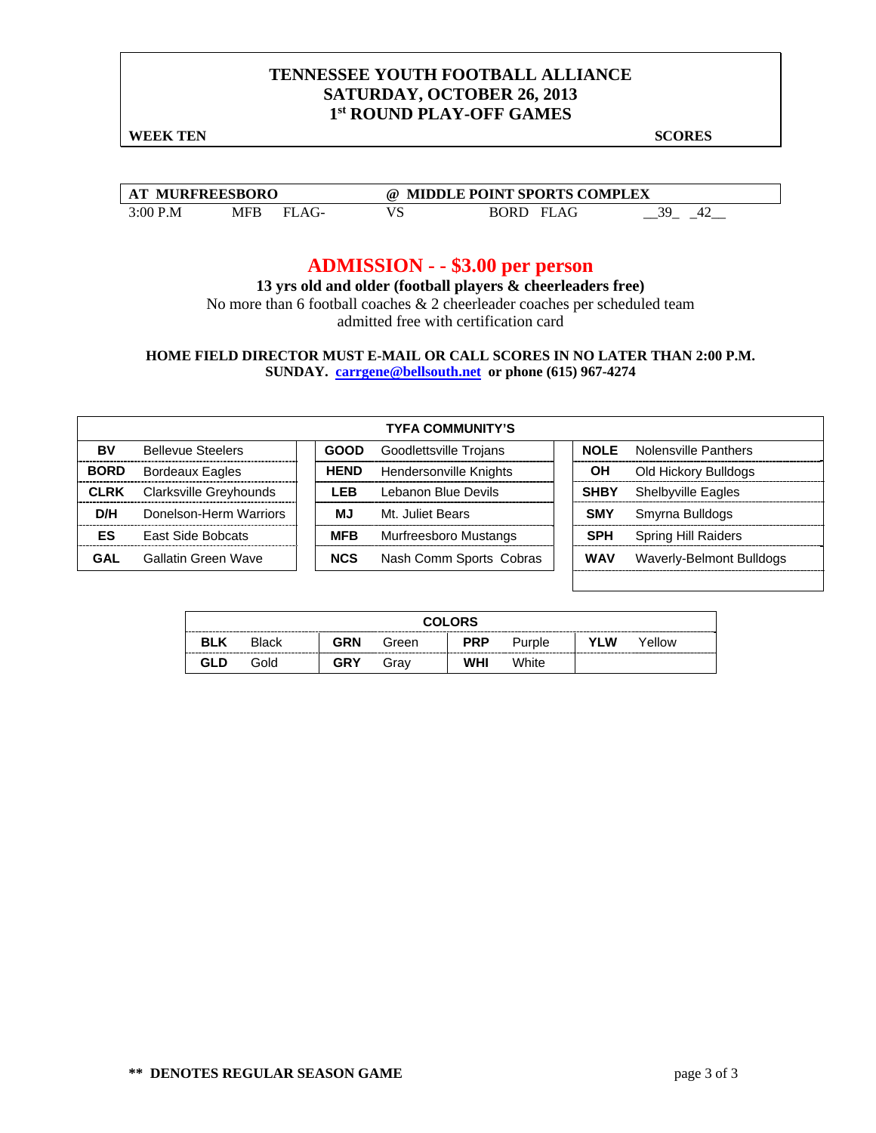#### **TENNESSEE YOUTH FOOTBALL ALLIANCE SATURDAY, OCTOBER 26, 2013 1st ROUND PLAY-OFF GAMES**

**WEEK TEN** SCORES

| <b>MURFREESBORO</b><br>$\mathbf{A}$ |     |  | ω  | <b>MIDDLE POINT SPORTS COMPLEX</b> |    |
|-------------------------------------|-----|--|----|------------------------------------|----|
| 3:00 P.M                            | MFP |  | ند | $\Lambda$ $\Gamma$<br>BORT<br>ыL   | 20 |

## **ADMISSION - - \$3.00 per person**

**13 yrs old and older (football players & cheerleaders free)**  No more than 6 football coaches & 2 cheerleader coaches per scheduled team

admitted free with certification card

**HOME FIELD DIRECTOR MUST E-MAIL OR CALL SCORES IN NO LATER THAN 2:00 P.M. SUNDAY. carrgene@bellsouth.net or phone (615) 967-4274**

|             |                          |             | <b>TYFA COMMUNITY'S</b>       |             |                            |
|-------------|--------------------------|-------------|-------------------------------|-------------|----------------------------|
| BV          | <b>Bellevue Steelers</b> | <b>GOOD</b> | Goodlettsville Trojans        | <b>NOLE</b> | Nolensville Panthers       |
| <b>BORD</b> | <b>Bordeaux Eagles</b>   | <b>HEND</b> | <b>Hendersonville Knights</b> | OН          | Old Hickory Bulldogs       |
| <b>CLRK</b> | Clarksville Greyhounds   | I FB        | Lebanon Blue Devils           | <b>SHBY</b> | <b>Shelbyville Eagles</b>  |
| D/H         | Donelson-Herm Warriors   | MJ.         | Mt. Juliet Bears              | <b>SMY</b>  | Smyrna Bulldogs            |
| ES          | <b>East Side Bobcats</b> | <b>MFB</b>  | Murfreesboro Mustangs         | <b>SPH</b>  | <b>Spring Hill Raiders</b> |
| GAL         | Gallatin Green Wave      | <b>NCS</b>  | Nash Comm Sports Cobras       | <b>WAV</b>  | Waverly-Belmont Bulldogs   |

| <b>COLORS</b> |              |            |       |            |        |     |        |  |  |
|---------------|--------------|------------|-------|------------|--------|-----|--------|--|--|
| <b>BLK</b>    | <b>Black</b> | GRN        | Green | <b>PRP</b> | Purple | YLW | Yellow |  |  |
| <b>GLD</b>    | Gold         | <b>GRY</b> | Grav  | WHI        | White  |     |        |  |  |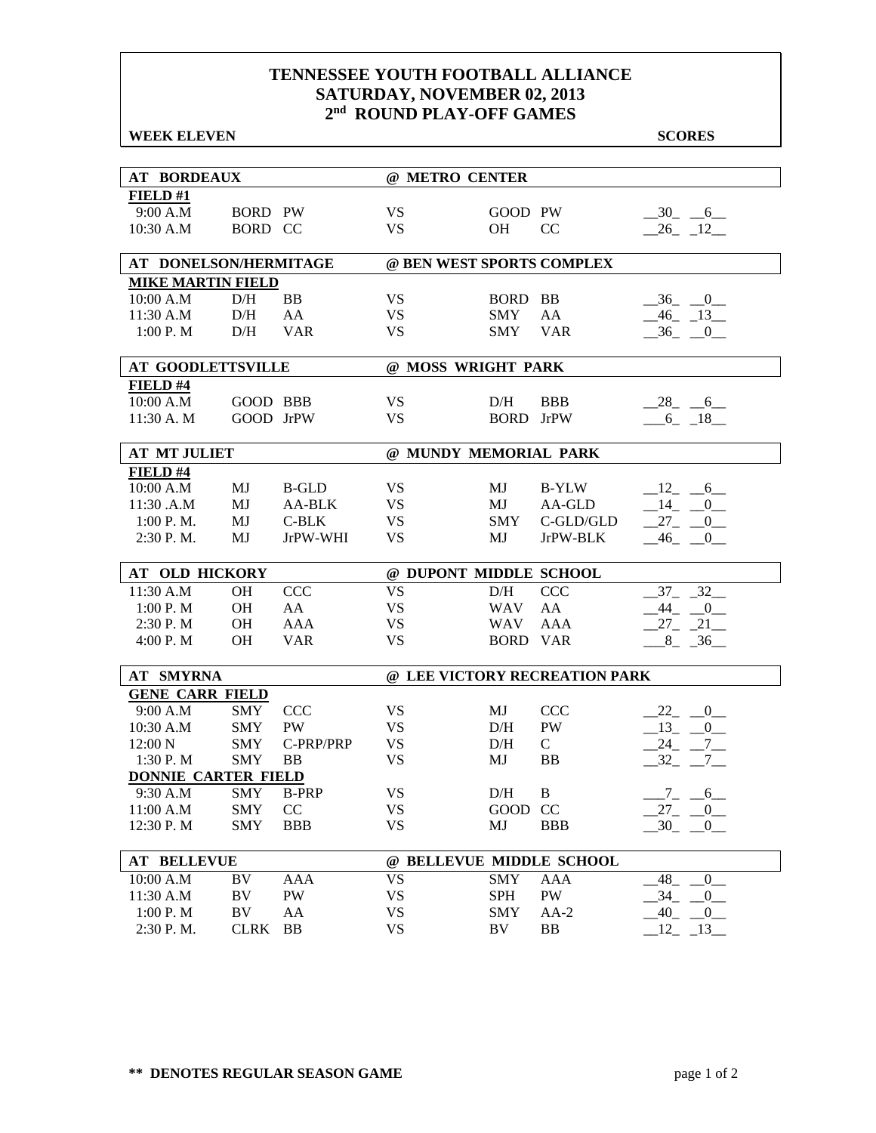#### **TENNESSEE YOUTH FOOTBALL ALLIANCE SATURDAY, NOVEMBER 02, 2013 2nd ROUND PLAY-OFF GAMES**

| <b>WEEK ELEVEN</b>                     |                   |                 |                        |                               |                               | <b>SCORES</b>                 |
|----------------------------------------|-------------------|-----------------|------------------------|-------------------------------|-------------------------------|-------------------------------|
|                                        |                   |                 |                        |                               |                               |                               |
| <b>AT BORDEAUX</b>                     |                   |                 | @ METRO CENTER         |                               |                               |                               |
| FIELD#1                                |                   |                 |                        |                               |                               |                               |
| 9:00 A.M                               | <b>BORD PW</b>    |                 | <b>VS</b>              | GOOD PW                       |                               | $-30 - 6$                     |
| 10:30 A.M                              | BORD CC           |                 | <b>VS</b>              | <b>OH</b>                     | <sub>CC</sub>                 | 26 12                         |
| AT DONELSON/HERMITAGE                  |                   |                 |                        |                               | @ BEN WEST SPORTS COMPLEX     |                               |
| <b>MIKE MARTIN FIELD</b>               |                   |                 |                        |                               |                               |                               |
| 10:00 A.M                              | D/H               | <b>BB</b>       | <b>VS</b>              | BORD BB                       |                               | $-36$ $-0$                    |
| 11:30 A.M                              | D/H               | AA              | <b>VS</b>              | <b>SMY</b>                    | AA                            | $-46$ $-13$                   |
| 1:00 P. M                              | D/H               | <b>VAR</b>      | <b>VS</b>              | <b>SMY</b>                    | <b>VAR</b>                    | $-36$ $-0$                    |
| <b>AT GOODLETTSVILLE</b>               |                   |                 |                        | @ MOSS WRIGHT PARK            |                               |                               |
| FIELD #4                               |                   |                 |                        |                               |                               |                               |
| 10:00 A.M                              | GOOD BBB          |                 | <b>VS</b>              | D/H                           | <b>BBB</b>                    | $-28$ <sub>-</sub> $-6$       |
| 11:30 A. M                             | GOOD JrPW         |                 | <b>VS</b>              | <b>BORD</b>                   | <b>JrPW</b>                   | $6 - 18$                      |
| <b>AT MT JULIET</b>                    |                   |                 |                        | @ MUNDY MEMORIAL PARK         |                               |                               |
| FIELD #4                               |                   |                 |                        |                               |                               |                               |
| 10:00 A.M                              | MJ                | <b>B-GLD</b>    | <b>VS</b>              | MJ                            | <b>B-YLW</b>                  | $12 - 6$                      |
| 11:30 .A.M                             | MJ                | AA-BLK          | <b>VS</b>              | MJ                            | AA-GLD                        | $14 \quad 0$                  |
| 1:00 P.M.                              | MJ                | C-BLK           | <b>VS</b>              | SMY                           | C-GLD/GLD                     | $27 - 0$                      |
| 2:30 P.M.                              | MJ                | JrPW-WHI        | <b>VS</b>              | MJ                            | JrPW-BLK                      | $-46$ $-0$                    |
|                                        |                   |                 |                        |                               |                               |                               |
| <b>AT OLD HICKORY</b><br>11:30 A.M     | <b>OH</b>         | <b>CCC</b>      | <b>VS</b>              | @ DUPONT MIDDLE SCHOOL<br>D/H | CCC                           | 37<br>$\sqrt{32}$             |
| 1:00 P.M                               | OH                | AA              | <b>VS</b>              | <b>WAV</b>                    | AA                            | $-44$ $-0$                    |
| 2:30 P. M                              | <b>OH</b>         | <b>AAA</b>      | <b>VS</b>              | <b>WAV</b>                    | <b>AAA</b>                    | $27 - 21$                     |
| 4:00 P.M                               | <b>OH</b>         | <b>VAR</b>      | <b>VS</b>              | <b>BORD VAR</b>               |                               | $-8$ $-36$                    |
|                                        |                   |                 |                        |                               |                               |                               |
| <b>AT SMYRNA</b>                       |                   |                 |                        |                               | @ LEE VICTORY RECREATION PARK |                               |
| <b>GENE CARR FIELD</b>                 |                   |                 |                        |                               |                               |                               |
| 9:00 A.M                               | <b>SMY</b>        | <b>CCC</b>      | <b>VS</b>              | MJ                            | <b>CCC</b>                    | 22 0                          |
| 10:30 A.M                              | <b>SMY</b>        | <b>PW</b>       | <b>VS</b>              | $\rm{D/H}$                    | PW                            | $-13$ $-$<br>$\mathbf{0}$     |
| $12:00\text{ N}$                       | <b>SMY</b>        | C-PRP/PRP       | <b>VS</b>              | D/H                           | $\mathsf{C}$<br><b>BB</b>     | $24$ <sub>-</sub><br>$7_{-}$  |
| 1:30P. M<br><b>DONNIE CARTER FIELD</b> | <b>SMY</b>        | <b>BB</b>       | <b>VS</b>              | MJ                            |                               | $-32 - -7$                    |
| 9:30 A.M                               | <b>SMY</b>        | <b>B-PRP</b>    | <b>VS</b>              | D/H                           | B                             | $-7$ $-6$ $-$                 |
| 11:00 A.M                              | <b>SMY</b>        | CC              | <b>VS</b>              | $\rm GOOD$                    | <b>CC</b>                     | $27 - 0$                      |
| 12:30 P.M                              | <b>SMY</b>        | <b>BBB</b>      | <b>VS</b>              | MJ                            | <b>BBB</b>                    | $-30$ $-$<br>$\overline{0}$   |
|                                        |                   |                 |                        |                               |                               |                               |
| <b>AT BELLEVUE</b>                     |                   |                 |                        |                               | @ BELLEVUE MIDDLE SCHOOL      |                               |
| 10:00 A.M                              | BV                | AAA             | <b>VS</b>              | <b>SMY</b>                    | AAA                           | 48<br>$\overline{0}$          |
| 11:30 A.M                              | BV                | PW              | <b>VS</b>              | <b>SPH</b>                    | PW                            | 34<br>$-0$                    |
| 1:00 P.M<br>2:30 P.M.                  | BV<br><b>CLRK</b> | AA<br><b>BB</b> | <b>VS</b><br><b>VS</b> | SMY<br>BV                     | $AA-2$<br>BB                  | .40<br>$-0$<br>12<br>$_{.13}$ |
|                                        |                   |                 |                        |                               |                               |                               |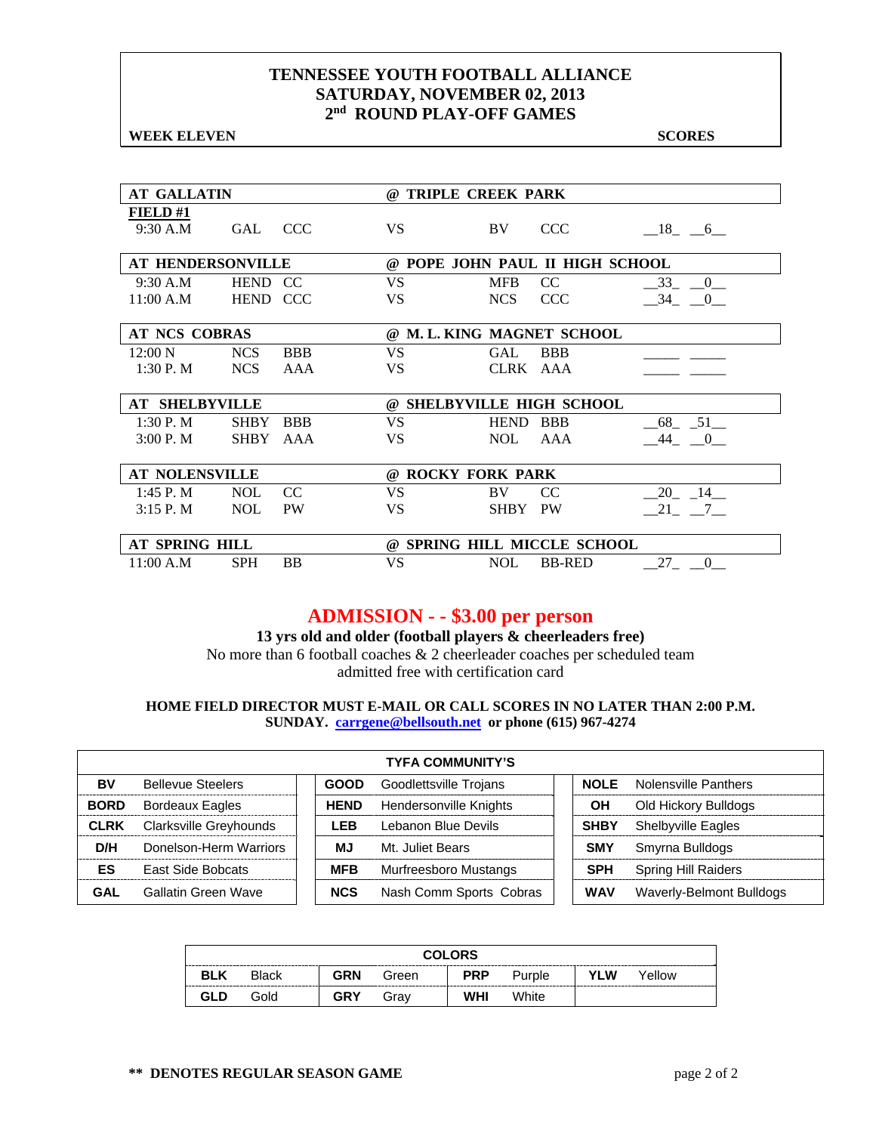#### **TENNESSEE YOUTH FOOTBALL ALLIANCE SATURDAY, NOVEMBER 02, 2013 2nd ROUND PLAY-OFF GAMES**

**WEEK ELEVEN** SCORES

| <b>AT GALLATIN</b>         |                 |            | <b>TRIPLE CREEK PARK</b><br>$\omega$ |             |               |                |  |  |
|----------------------------|-----------------|------------|--------------------------------------|-------------|---------------|----------------|--|--|
| <b>FIELD#1</b><br>9:30 A.M | GAL CCC         |            | <b>VS</b>                            | BV.         | <b>CCC</b>    | $-18$ $-6$     |  |  |
| <b>AT HENDERSONVILLE</b>   |                 |            | @ POPE JOHN PAUL II HIGH SCHOOL      |             |               |                |  |  |
| 9:30 A.M                   | HEND CC         |            | VS.                                  | <b>MFB</b>  | CC.           | 33 0           |  |  |
| 11:00 A.M                  | <b>HEND CCC</b> |            | VS.                                  | <b>NCS</b>  | <b>CCC</b>    | $-34$ $-0$     |  |  |
| <b>AT NCS COBRAS</b>       |                 |            | @ M.L. KING MAGNET SCHOOL            |             |               |                |  |  |
| $12:00\ N$                 | <b>NCS</b>      | <b>BBB</b> | VS.                                  | GAL         | <b>BBB</b>    |                |  |  |
| 1:30 P.M                   | NCS             | AAA        | <b>VS</b>                            | CLRK AAA    |               |                |  |  |
| <b>AT SHELBYVILLE</b>      |                 |            | @ SHELBYVILLE HIGH SCHOOL            |             |               |                |  |  |
| $1:30$ P. M                | <b>SHBY</b>     | <b>BBB</b> | <b>VS</b>                            | <b>HEND</b> | <b>BBB</b>    | $-68$ $-51$    |  |  |
| 3:00 P. M                  | SHBY            | AAA        | <b>VS</b>                            | NOL.        | AAA           | $-44$ $-0$     |  |  |
|                            |                 |            |                                      |             |               |                |  |  |
| <b>AT NOLENSVILLE</b>      |                 |            | @ ROCKY FORK PARK                    |             |               |                |  |  |
| 1:45 P. M                  | <b>NOL</b>      | CC         | <b>VS</b>                            | BV          | CC.           | 20 14          |  |  |
| $3:15$ P. M                | NOL             | <b>PW</b>  | <b>VS</b>                            | SHBY PW     |               | 21 7           |  |  |
| AT SPRING HILL             |                 |            | @ SPRING HILL MICCLE SCHOOL          |             |               |                |  |  |
| 11:00 A.M                  | <b>SPH</b>      | BB         | VS                                   | <b>NOL</b>  | <b>BB-RED</b> | 27<br>$\bf{0}$ |  |  |

# **ADMISSION - - \$3.00 per person**

**13 yrs old and older (football players & cheerleaders free)** 

No more than 6 football coaches & 2 cheerleader coaches per scheduled team admitted free with certification card

#### **HOME FIELD DIRECTOR MUST E-MAIL OR CALL SCORES IN NO LATER THAN 2:00 P.M. SUNDAY. carrgene@bellsouth.net or phone (615) 967-4274**

|             |                               |             | <b>TYFA COMMUNITY'S</b> |             |                            |
|-------------|-------------------------------|-------------|-------------------------|-------------|----------------------------|
| BV          | <b>Bellevue Steelers</b>      | <b>GOOD</b> | Goodlettsville Trojans  | <b>NOLE</b> | Nolensville Panthers       |
| <b>BORD</b> | <b>Bordeaux Eagles</b>        | <b>HEND</b> | Hendersonville Knights  | ΟH          | Old Hickory Bulldogs       |
| <b>CLRK</b> | <b>Clarksville Greyhounds</b> | I FB        | Lebanon Blue Devils     | <b>SHBY</b> | <b>Shelbyville Eagles</b>  |
| D/H         | Donelson-Herm Warriors        | МJ          | Mt. Juliet Bears        | <b>SMY</b>  | Smyrna Bulldogs            |
| ES          | <b>East Side Bobcats</b>      | <b>MFB</b>  | Murfreesboro Mustangs   | <b>SPH</b>  | <b>Spring Hill Raiders</b> |
| GAL         | Gallatin Green Wave           | <b>NCS</b>  | Nash Comm Sports Cobras | <b>WAV</b>  | Waverly-Belmont Bulldogs   |

| <b>COLORS</b> |              |            |       |            |        |            |        |  |  |  |  |
|---------------|--------------|------------|-------|------------|--------|------------|--------|--|--|--|--|
| <b>BLK</b>    | <b>Black</b> | <b>GRN</b> | Green | <b>PRP</b> | Purple | <b>YLW</b> | Yellow |  |  |  |  |
| GLD           | Gold         | <b>GRY</b> | Grav  | <b>WHI</b> | White  |            |        |  |  |  |  |